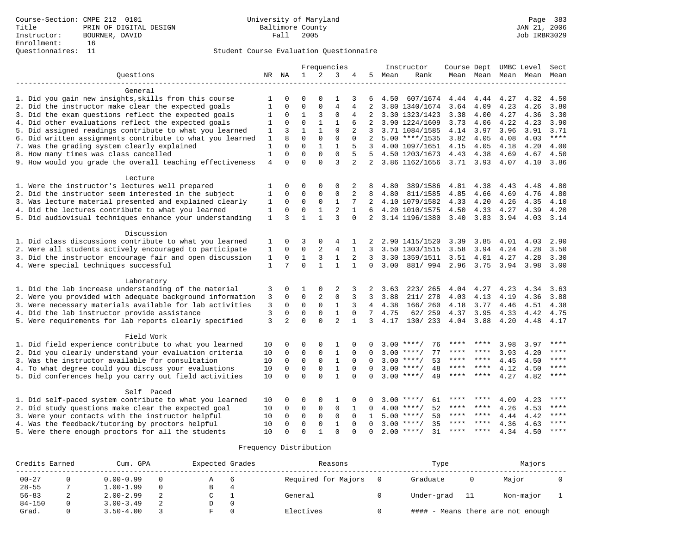|                                                           |                |                |              |              | Frequencies    |                |                |      | Instructor         | Course Dept UMBC Level |                     |      |      | Sect        |
|-----------------------------------------------------------|----------------|----------------|--------------|--------------|----------------|----------------|----------------|------|--------------------|------------------------|---------------------|------|------|-------------|
| Ouestions                                                 |                | NR NA          | $\mathbf{1}$ | 2            | 3              | 4              | 5              | Mean | Rank               |                        | Mean Mean Mean Mean |      |      | Mean        |
|                                                           |                |                |              |              |                |                |                |      |                    |                        |                     |      |      |             |
| General                                                   |                |                |              |              |                |                |                |      |                    |                        |                     |      |      |             |
| 1. Did you gain new insights, skills from this course     | 1              | 0              | $\Omega$     | O            |                | 3              | 6              | 4.50 | 607/1674           | 4.44                   | 4.44                | 4.27 | 4.32 | 4.50        |
| 2. Did the instructor make clear the expected goals       | 1              | $\mathbf 0$    | $\mathbf 0$  | $\mathbf{0}$ | $\overline{4}$ | 4              | 2              |      | 3.80 1340/1674     | 3.64                   | 4.09                | 4.23 | 4.26 | 3.80        |
| 3. Did the exam questions reflect the expected goals      | 1              | $\mathbf 0$    | 1            | 3            | $\mathbf 0$    | 4              | 2              |      | 3.30 1323/1423     | 3.38                   | 4.00                | 4.27 | 4.36 | 3.30        |
| 4. Did other evaluations reflect the expected goals       | 1              | $\mathbf{0}$   | $\mathbf 0$  | $\mathbf{1}$ | $\mathbf{1}$   | 6              |                |      | 3.90 1224/1609     | 3.73                   | 4.06                | 4.22 | 4.23 | 3.90        |
| 5. Did assigned readings contribute to what you learned   | 1              | 3              | $\mathbf{1}$ | $\mathbf{1}$ | $\Omega$       | 2              | 3              |      | 3.71 1084/1585     | 4.14                   | 3.97                | 3.96 | 3.91 | 3.71        |
| 6. Did written assignments contribute to what you learned | 1              | $\mathsf{R}$   | $\Omega$     | $\mathbf 0$  | $\mathbf 0$    | $\Omega$       | 2              |      | $5.00$ ****/1535   | 3.82                   | 4.05                | 4.08 | 4.03 | $***$       |
| 7. Was the grading system clearly explained               | 1              | $\Omega$       | $\Omega$     | $\mathbf{1}$ | $\mathbf{1}$   | 5              | 3              |      | 4.00 1097/1651     | 4.15                   | 4.05                | 4.18 | 4.20 | 4.00        |
| 8. How many times was class cancelled                     | $\mathbf{1}$   | $\Omega$       | $\mathbf 0$  | $\mathbf 0$  | $\mathbf 0$    | 5              | 5              |      | 4.50 1203/1673     | 4.43                   | 4.38                | 4.69 | 4.67 | 4.50        |
| 9. How would you grade the overall teaching effectiveness | $\overline{4}$ | $\Omega$       | $\Omega$     | $\Omega$     | 3              | $\overline{2}$ | 2              |      | 3.86 1162/1656     | 3.71 3.93              |                     | 4.07 | 4.10 | 3.86        |
| Lecture                                                   |                |                |              |              |                |                |                |      |                    |                        |                     |      |      |             |
| 1. Were the instructor's lectures well prepared           | 1              | $\Omega$       | 0            | 0            | 0              | 2              | 8              | 4.80 | 389/1586           | 4.81                   | 4.38                | 4.43 | 4.48 | 4.80        |
| 2. Did the instructor seem interested in the subject      | 1              | $\Omega$       | $\mathbf 0$  | $\mathbf{0}$ | $\mathbf{0}$   | 2              | 8              | 4.80 | 811/1585           | 4.85                   | 4.66                | 4.69 | 4.76 | 4.80        |
| 3. Was lecture material presented and explained clearly   | 1              | $\mathbf 0$    | $\mathbf 0$  | $\mathbf{0}$ | $\mathbf{1}$   | 7              | 2              |      | 4.10 1079/1582     | 4.33                   | 4.20                | 4.26 | 4.35 | 4.10        |
| 4. Did the lectures contribute to what you learned        | $\mathbf{1}$   | $\mathbf 0$    | $\mathbf 0$  | $\mathbf{1}$ | $\overline{2}$ | $\mathbf{1}$   | 6              |      | 4.20 1010/1575     | 4.50                   | 4.33                | 4.27 | 4.39 | 4.20        |
| 5. Did audiovisual techniques enhance your understanding  | $\mathbf{1}$   | 3              | $\mathbf{1}$ | $\mathbf{1}$ | 3              | $\Omega$       | 2              |      | 3.14 1196/1380     | 3.40                   | 3.83                | 3.94 | 4.03 | 3.14        |
|                                                           |                |                |              |              |                |                |                |      |                    |                        |                     |      |      |             |
| Discussion                                                |                |                |              |              |                |                |                |      |                    |                        |                     |      |      |             |
| 1. Did class discussions contribute to what you learned   | 1              | $\mathbf 0$    | 3            | $\mathbf 0$  | 4              | 1              | 2              |      | 2.90 1415/1520     | 3.39                   | 3.85                | 4.01 | 4.03 | 2.90        |
| 2. Were all students actively encouraged to participate   | 1              | $\mathbf 0$    | $\mathbf 0$  | 2            | 4              | $\mathbf{1}$   | 3              |      | 3.50 1303/1515     | 3.58                   | 3.94                | 4.24 | 4.28 | 3.50        |
| 3. Did the instructor encourage fair and open discussion  | 1              | $\mathbf 0$    | $\mathbf{1}$ | 3            | $\mathbf{1}$   | 2              | 3              |      | 3.30 1359/1511     | 3.51                   | 4.01                | 4.27 | 4.28 | 3.30        |
| 4. Were special techniques successful                     | $\mathbf{1}$   | 7              | $\Omega$     | $\mathbf{1}$ | $\mathbf{1}$   | $\mathbf{1}$   | $\mathbf 0$    | 3.00 | 881/994 2.96       |                        | 3.75                | 3.94 | 3.98 | 3.00        |
| Laboratory                                                |                |                |              |              |                |                |                |      |                    |                        |                     |      |      |             |
| 1. Did the lab increase understanding of the material     | 3              | 0              | 1            | 0            | 2              | 3              | 2              | 3.63 | 223/ 265           | 4.04                   | 4.27                | 4.23 | 4.34 | 3.63        |
| 2. Were you provided with adequate background information | 3              | $\mathbf 0$    | $\mathbf 0$  | 2            | $\mathbf{0}$   | 3              | 3              | 3.88 | 211/ 278           | 4.03                   | 4.13                | 4.19 | 4.36 | 3.88        |
| 3. Were necessary materials available for lab activities  | 3              | $\Omega$       | $\mathbf 0$  | $\mathbf 0$  | $\mathbf{1}$   | 3              | $\overline{4}$ | 4.38 | 166/ 260           | 4.18                   | 3.77                | 4.46 | 4.51 | 4.38        |
| 4. Did the lab instructor provide assistance              | 3              | $\mathbf 0$    | 0            | $\mathbf 0$  | $\mathbf{1}$   | $\Omega$       | 7              | 4.75 | 62/ 259            | 4.37                   | 3.95                | 4.33 | 4.42 | 4.75        |
| 5. Were requirements for lab reports clearly specified    | 3              | $\overline{2}$ | $\Omega$     | $\Omega$     | 2              | $\mathbf{1}$   | 3              | 4.17 | 130/ 233           | 4.04 3.88              |                     | 4.20 | 4.48 | 4.17        |
|                                                           |                |                |              |              |                |                |                |      |                    |                        |                     |      |      |             |
| Field Work                                                |                |                |              |              |                |                |                |      |                    |                        |                     |      |      |             |
| 1. Did field experience contribute to what you learned    | 10             | $\mathbf 0$    | $\Omega$     | 0            | $\mathbf{1}$   | $\Omega$       |                | 3.00 | $***/$<br>76       | ****                   |                     | 3.98 | 3.97 | ****        |
| 2. Did you clearly understand your evaluation criteria    | 10             | $\mathbf 0$    | $\mathbf 0$  | $\mathbf{0}$ | $\mathbf{1}$   | 0              |                | 3.00 | 77<br>$***/$       | ****                   | ****                | 3.93 | 4.20 | ****        |
| 3. Was the instructor available for consultation          | 10             | $\Omega$       | $\mathbf 0$  | $\mathbf 0$  | $\mathbf{1}$   | $\Omega$       | $\Omega$       |      | $3.00$ ****/<br>53 | $***$ * *              | $***$ *             | 4.45 | 4.50 | ****        |
| 4. To what degree could you discuss your evaluations      | 10             | $\Omega$       | $\mathbf 0$  | $\mathbf{0}$ | $\mathbf{1}$   | $\Omega$       | $\Omega$       | 3.00 | 48<br>$***/$       | ****                   | $***$ *             | 4.12 | 4.50 | ****        |
| 5. Did conferences help you carry out field activities    | 10             | $\Omega$       | $\Omega$     | $\Omega$     | $\mathbf{1}$   | $\Omega$       | $\Omega$       |      | $3.00$ ****/<br>49 | ****                   | ****                | 4.27 | 4.82 | ****        |
| Self Paced                                                |                |                |              |              |                |                |                |      |                    |                        |                     |      |      |             |
| 1. Did self-paced system contribute to what you learned   | 10             | 0              | 0            | 0            | 1              | $\Omega$       |                |      | $3.00$ ****/<br>61 | ****                   | ****                | 4.09 | 4.23 | ****        |
| 2. Did study questions make clear the expected goal       | 10             | $\mathbf 0$    | 0            | 0            | 0              | 1              | $\Omega$       | 4.00 | 52<br>$***$ /      | ****                   | ****                | 4.26 | 4.53 | ****        |
| 3. Were your contacts with the instructor helpful         | 10             | $\mathbf 0$    | $\mathbf 0$  | $\mathbf{0}$ | $\mathbf 0$    | $\mathbf 0$    | 1              | 5.00 | 50<br>$***$ /      | ****                   | $***$ *             | 4.44 | 4.42 | ****        |
| 4. Was the feedback/tutoring by proctors helpful          | 10             | $\Omega$       | $\Omega$     | $\mathbf{0}$ | $\mathbf{1}$   | $\Omega$       | $\Omega$       |      | $3.00$ ****/<br>35 | ***                    | ****                | 4.36 | 4.63 | ****        |
| 5. Were there enough proctors for all the students        | 10             | $\Omega$       | $\Omega$     | $\mathbf{1}$ | $\Omega$       |                | $\Omega$       |      | 31<br>$2.00$ ****/ | **** ****              |                     | 4.34 | 4.50 | $***$ * * * |

| Credits Earned |   | Cum. GPA      | Expected Grades |   | Reasons             | Type       |      | Majors                            |  |
|----------------|---|---------------|-----------------|---|---------------------|------------|------|-----------------------------------|--|
| $00 - 27$      |   | $0.00 - 0.99$ |                 |   | Required for Majors | Graduate   |      | Major                             |  |
| $28 - 55$      |   | $1.00 - 1.99$ | В               | 4 |                     |            |      |                                   |  |
| $56 - 83$      | ▵ | $2.00 - 2.99$ |                 |   | General             | Under-grad | - 11 | Non-major                         |  |
| $84 - 150$     |   | $3.00 - 3.49$ |                 |   |                     |            |      |                                   |  |
| Grad.          |   | $3.50 - 4.00$ |                 |   | Electives           |            |      | #### - Means there are not enough |  |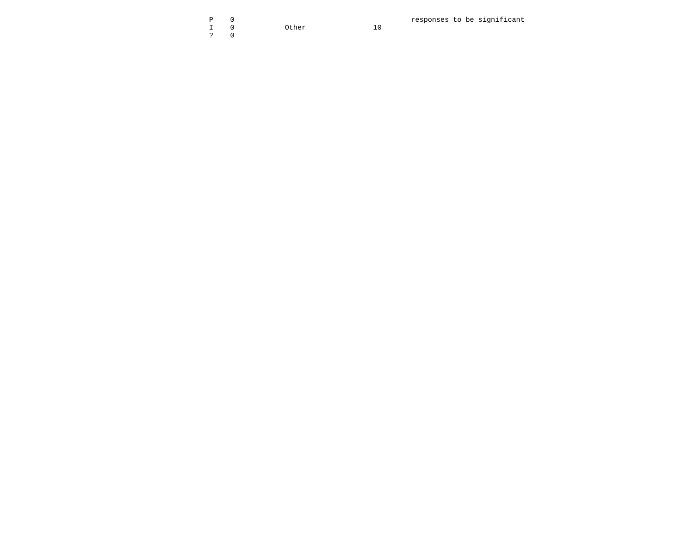I 0 Other 10 ? 0

 $10$ 

P 0 0 0 0 0 0 0 0 0 0 0 0 0 0 0 0 0 1 0 1 0 1 0  $\sqrt{2}$  10 0 1 0 1 0  $\sqrt{2}$  10 1 0  $\sqrt{2}$  10 1 0  $\sqrt{2}$  10 1 0  $\sqrt{2}$  10 1 0  $\sqrt{2}$  10  $\sqrt{2}$  10  $\sqrt{2}$  10  $\sqrt{2}$  10  $\sqrt{2}$  10  $\sqrt{2}$  10  $\sqrt{2}$  10  $\sqrt{2}$  10  $\sqrt{2$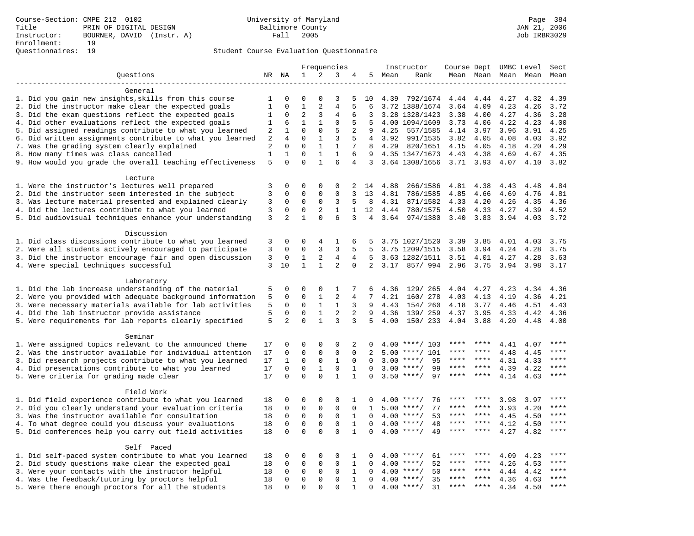|                                                                                                         |                |                |              | Frequencies  |                |                |                |              | Instructor           | Course Dept UMBC Level |              |                     |              | Sect         |
|---------------------------------------------------------------------------------------------------------|----------------|----------------|--------------|--------------|----------------|----------------|----------------|--------------|----------------------|------------------------|--------------|---------------------|--------------|--------------|
| Questions                                                                                               |                | NR NA          | 1            | 2            | 3              | 4              | 5              | Mean         | Rank                 |                        |              | Mean Mean Mean Mean |              | Mean         |
|                                                                                                         |                |                |              |              |                |                |                |              |                      |                        |              |                     |              |              |
| General                                                                                                 |                |                |              |              |                |                |                |              |                      |                        |              |                     |              |              |
| 1. Did you gain new insights, skills from this course                                                   | 1              | 0              | 0            | $\Omega$     | 3              | 5              | 10             | 4.39         | 792/1674             | 4.44                   | 4.44         | 4.27                | 4.32         | 4.39         |
| 2. Did the instructor make clear the expected goals                                                     | $\mathbf{1}$   | $\mathbf 0$    | $\mathbf{1}$ | 2            | 4              | 5              | 6              |              | 3.72 1388/1674       | 3.64                   | 4.09         | 4.23                | 4.26         | 3.72         |
| 3. Did the exam questions reflect the expected goals                                                    | 1              | 0              | 2            | 3            | 4              | 6              | 3              |              | 3.28 1328/1423       | 3.38                   | 4.00         | 4.27                | 4.36         | 3.28         |
| 4. Did other evaluations reflect the expected goals                                                     | 1              | 6              | $\mathbf{1}$ | $\mathbf{1}$ | $\mathbf{0}$   | 5              | 5              |              | 4.00 1094/1609       | 3.73                   | 4.06         | 4.22                | 4.23         | 4.00         |
| 5. Did assigned readings contribute to what you learned                                                 | 2              | $\mathbf 1$    | $\mathbf 0$  | $\mathbf 0$  | 5              | $\overline{2}$ | 9              | 4.25         | 557/1585             | 4.14                   | 3.97         | 3.96                | 3.91         | 4.25         |
| 6. Did written assignments contribute to what you learned                                               | $\sqrt{2}$     | 4              | $\mathbf 0$  | $\mathbf{1}$ | 3              | 5              | 4              | 3.92         | 991/1535             | 3.82                   | 4.05         | 4.08                | 4.03         | 3.92         |
| 7. Was the grading system clearly explained                                                             | $\overline{2}$ | $\mathbf 0$    | $\mathbf 0$  | $\mathbf{1}$ | $\mathbf{1}$   | 7              | 8              | 4.29         | 820/1651             | 4.15                   | 4.05         | 4.18                | 4.20         | 4.29         |
| 8. How many times was class cancelled                                                                   | $1\,$          | $\mathbf 1$    | $\mathbf 0$  | $\mathbf{1}$ | $\mathbf{1}$   | 6              | 9              |              | 4.35 1347/1673       | 4.43                   | 4.38         | 4.69                | 4.67         | 4.35         |
| 9. How would you grade the overall teaching effectiveness                                               | 5              | $\Omega$       | $\Omega$     | $\mathbf{1}$ | 6              | 4              | 3              |              | 3.64 1308/1656       | $3.71$ $3.93$          |              | 4.07                | 4.10         | 3.82         |
|                                                                                                         |                |                |              |              |                |                |                |              |                      |                        |              |                     |              |              |
| Lecture                                                                                                 |                | $\mathbf 0$    | $\mathbf 0$  | $\mathbf{0}$ | $\mathbf{0}$   |                |                |              |                      |                        |              |                     |              |              |
| 1. Were the instructor's lectures well prepared<br>2. Did the instructor seem interested in the subject | 3<br>3         | $\mathbf 0$    | $\mathbf 0$  | $\mathbf 0$  | $\mathbf{0}$   | 2<br>3         | 14<br>13       | 4.88<br>4.81 | 266/1586<br>786/1585 | 4.81<br>4.85           | 4.38<br>4.66 | 4.43<br>4.69        | 4.48<br>4.76 | 4.84<br>4.81 |
| 3. Was lecture material presented and explained clearly                                                 | 3              | 0              | 0            | 0            | 3              | 5              | 8              | 4.31         | 871/1582             | 4.33                   | 4.20         |                     | 4.35         | 4.36         |
| 4. Did the lectures contribute to what you learned                                                      | 3              | $\mathbf 0$    | $\mathbf 0$  | 2            | $\mathbf{1}$   | 1              | 12             | 4.44         | 780/1575             | 4.50                   | 4.33         | 4.26<br>4.27        | 4.39         | 4.52         |
| 5. Did audiovisual techniques enhance your understanding                                                | 3              | $\overline{a}$ | $\mathbf{1}$ | $\Omega$     | 6              | 3              | $\overline{4}$ | 3.64         | 974/1380             | 3.40                   | 3.83         | 3.94                | 4.03         | 3.72         |
|                                                                                                         |                |                |              |              |                |                |                |              |                      |                        |              |                     |              |              |
| Discussion                                                                                              |                |                |              |              |                |                |                |              |                      |                        |              |                     |              |              |
| 1. Did class discussions contribute to what you learned                                                 | 3              | 0              | 0            | 4            | 1              | 6              | 5              |              | 3.75 1027/1520       | 3.39                   | 3.85         | 4.01                | 4.03         | 3.75         |
| 2. Were all students actively encouraged to participate                                                 | 3              | 0              | 0            | 3            | 3              | 5              | 5              |              | 3.75 1209/1515       | 3.58                   | 3.94         | 4.24                | 4.28         | 3.75         |
| 3. Did the instructor encourage fair and open discussion                                                | 3              | 0              | $\mathbf{1}$ | 2            | 4              | 4              | 5              |              | 3.63 1282/1511       | 3.51                   | 4.01         | 4.27                | 4.28         | 3.63         |
| 4. Were special techniques successful                                                                   | 3              | 10             | $\mathbf{1}$ | $\mathbf{1}$ | 2              | $\Omega$       | 2              |              | 3.17 857/994         | 2.96                   | 3.75         | 3.94                | 3.98         | 3.17         |
|                                                                                                         |                |                |              |              |                |                |                |              |                      |                        |              |                     |              |              |
| Laboratory                                                                                              |                |                |              |              |                |                |                |              |                      |                        |              |                     |              |              |
| 1. Did the lab increase understanding of the material                                                   | 5              | 0              | $\mathbf 0$  | $\mathbf{0}$ | $\mathbf 1$    | 7              | 6              | 4.36         | 129/ 265             | 4.04                   | 4.27         | 4.23                | 4.34         | 4.36         |
| 2. Were you provided with adequate background information                                               | 5              | $\mathbf 0$    | $\mathbf 0$  | $\mathbf{1}$ | $\overline{2}$ | 4              | 7              | 4.21         | 160/ 278             | 4.03                   | 4.13         | 4.19                | 4.36         | 4.21         |
| 3. Were necessary materials available for lab activities                                                | 5              | 0              | 0            | $\mathbf{1}$ | $\mathbf{1}$   | 3              | 9              | 4.43         | 154/ 260             | 4.18                   | 3.77         | 4.46                | 4.51         | 4.43         |
| 4. Did the lab instructor provide assistance                                                            | 5              | $\mathbf 0$    | $\mathbf 0$  | $\mathbf{1}$ | 2              | 2              | 9              | 4.36         | 139/ 259             | 4.37                   | 3.95         | 4.33                | 4.42         | 4.36         |
| 5. Were requirements for lab reports clearly specified                                                  | 5              | $\overline{a}$ | $\Omega$     | $\mathbf{1}$ | 3              | 3              | 5              | 4.00         | 150/233              | 4.04                   | 3.88         | 4.20                | 4.48         | 4.00         |
|                                                                                                         |                |                |              |              |                |                |                |              |                      |                        |              |                     |              |              |
| Seminar                                                                                                 |                |                |              |              |                |                |                |              |                      |                        |              |                     |              |              |
| 1. Were assigned topics relevant to the announced theme                                                 | 17             | 0              | $\mathbf 0$  | $\mathbf{0}$ | $\mathbf{0}$   | 2              | 0              | 4.00         | ****/ 103            | ****                   |              | 4.41                | 4.07         | ****         |
| 2. Was the instructor available for individual attention                                                | 17             | 0              | $\mathbf 0$  | $\mathbf 0$  | $\mathsf 0$    | $\mathbf 0$    | $\overline{a}$ | 5.00         | $***/101$            | ****                   | ****         | 4.48                | 4.45         | ****         |
| 3. Did research projects contribute to what you learned                                                 | 17             | $\mathbf{1}$   | 0            | $\mathsf 0$  | $\mathbf{1}$   | $\mathbf 0$    | $\mathbf 0$    | 3.00         | 95<br>$***$ /        | ****                   | ****         | 4.31                | 4.33         | ****         |
| 4. Did presentations contribute to what you learned                                                     | 17             | $\mathbf 0$    | $\mathbf 0$  | $\mathbf{1}$ | $\mathbf 0$    | $\mathbf{1}$   | $\Omega$       | 3.00         | $***$ /<br>99        | ****                   | ****         | 4.39                | 4.22         | ****         |
| 5. Were criteria for grading made clear                                                                 | 17             | $\Omega$       | $\Omega$     | $\Omega$     | $\mathbf{1}$   | $\mathbf{1}$   | $\Omega$       |              | $3.50$ ****/<br>97   | ****                   | ****         | 4.14                | 4.63         | $***$        |
|                                                                                                         |                |                |              |              |                |                |                |              |                      |                        |              |                     |              |              |
| Field Work                                                                                              |                |                |              |              |                |                |                |              |                      |                        |              |                     |              |              |
| 1. Did field experience contribute to what you learned                                                  | 18             | 0              | 0            | $\mathsf 0$  | $\mathsf 0$    | 1              | 0              |              | $4.00$ ****/<br>76   | ****                   |              | 3.98                | 3.97         | $***$ * * *  |
| 2. Did you clearly understand your evaluation criteria                                                  | 18             | 0              | $\mathbf 0$  | $\mathbf 0$  | $\mathbf 0$    | $\mathbf 0$    | 1              |              | 77<br>$5.00$ ****/   | ****                   | ****         | 3.93                | 4.20         | ****         |
| 3. Was the instructor available for consultation                                                        | 18             | $\mathbf 0$    | $\mathbf 0$  | $\mathbf 0$  | $\mathbf{0}$   | $\mathbf{1}$   | $\Omega$       |              | 53<br>$4.00$ ****/   | ****                   | ****         | 4.45                | 4.50         | ****         |
| 4. To what degree could you discuss your evaluations                                                    | 18             | 0              | 0            | $\mathsf 0$  | $\mathbf 0$    | $\mathbf{1}$   | $\mathbf 0$    | 4.00         | 48<br>$***/$         |                        |              | 4.12                | 4.50         | ****         |
| 5. Did conferences help you carry out field activities                                                  | 18             | $\Omega$       | $\mathbf 0$  | $\Omega$     | $\Omega$       | $\mathbf{1}$   | $\Omega$       | 4.00         | $***$ /<br>49        | ****                   | ****         | 4.27                | 4.82         | ****         |
|                                                                                                         |                |                |              |              |                |                |                |              |                      |                        |              |                     |              |              |
| Self Paced                                                                                              |                |                |              |              |                |                |                |              |                      |                        |              |                     |              |              |
| 1. Did self-paced system contribute to what you learned                                                 | 18             | 0              | 0            | $\mathsf 0$  | $\mathbf{0}$   | 1              | 0              | 4.00         | $***$ /<br>61        |                        |              | 4.09                | 4.23         | ****         |
| 2. Did study questions make clear the expected goal                                                     | 18             | $\mathbf 0$    | 0            | $\mathbf 0$  | $\mathbf 0$    | $\mathbf{1}$   | $\mathbf 0$    | 4.00         | 52<br>$***$ /        | ****                   | ****         | 4.26                | 4.53         |              |
| 3. Were your contacts with the instructor helpful                                                       | 18             | 0              | $\mathbf 0$  | $\mathbf 0$  | $\mathbf 0$    | 1              | $\Omega$       | 4.00         | $***$ /<br>50        | ****                   | ****         | 4.44                | 4.42         | $***$ * * *  |
| 4. Was the feedback/tutoring by proctors helpful                                                        | 18             | 0              | $\mathbf 0$  | $\mathbf{0}$ | $\mathbf{0}$   | $\mathbf{1}$   | $\Omega$       | 4.00         | 35<br>$***$ /        | ****                   | ****         | 4.36                | 4.63         | ****         |
| 5. Were there enough proctors for all the students                                                      | 18             | $\Omega$       | $\mathbf 0$  | $\Omega$     | $\Omega$       | $\mathbf{1}$   | $\Omega$       | 4.00         | 31<br>$***/$         | ****                   |              | 4.34                | 4.50         | $***$        |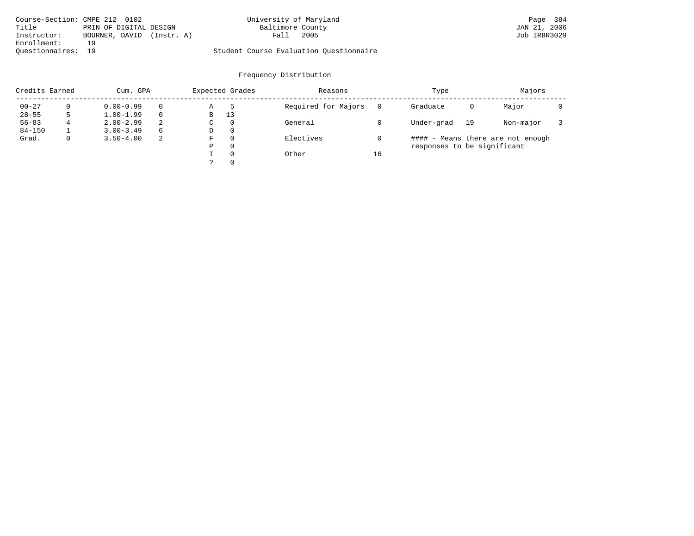| Course-Section: CMPE 212 0102 |                              | University of Maryland                  | Page 384     |
|-------------------------------|------------------------------|-----------------------------------------|--------------|
| Title                         | PRIN OF DIGITAL DESIGN       | Baltimore County                        | JAN 21, 2006 |
| Instructor:                   | BOURNER, DAVID<br>(Instr. A) | 2005<br>Fall                            | Job IRBR3029 |
| Enrollment:                   | 19                           |                                         |              |
| Ouestionnaires: 19            |                              | Student Course Evaluation Ouestionnaire |              |

| Credits Earned |             | Cum. GPA      |    |   | Expected Grades | Reasons             |    | Type                        | Majors |                                   |  |
|----------------|-------------|---------------|----|---|-----------------|---------------------|----|-----------------------------|--------|-----------------------------------|--|
| $00 - 27$      |             | $0.00 - 0.99$ |    | Α |                 | Required for Majors |    | Graduate                    | 0      | Major                             |  |
| $28 - 55$      |             | $1.00 - 1.99$ |    | В | 13              |                     |    |                             |        |                                   |  |
| $56 - 83$      | 4           | $2.00 - 2.99$ | 2  | C | $\Omega$        | General             |    | Under-grad                  | 19     | Non-major                         |  |
| $84 - 150$     |             | $3.00 - 3.49$ | 6  | D | $\Omega$        |                     |    |                             |        |                                   |  |
| Grad.          | $\mathbf 0$ | $3.50 - 4.00$ | -2 | F | $\Omega$        | Electives           |    |                             |        | #### - Means there are not enough |  |
|                |             |               |    | Ρ | $\Omega$        |                     |    | responses to be significant |        |                                   |  |
|                |             |               |    |   | $\Omega$        | Other               | 16 |                             |        |                                   |  |
|                |             |               |    |   | $\Omega$        |                     |    |                             |        |                                   |  |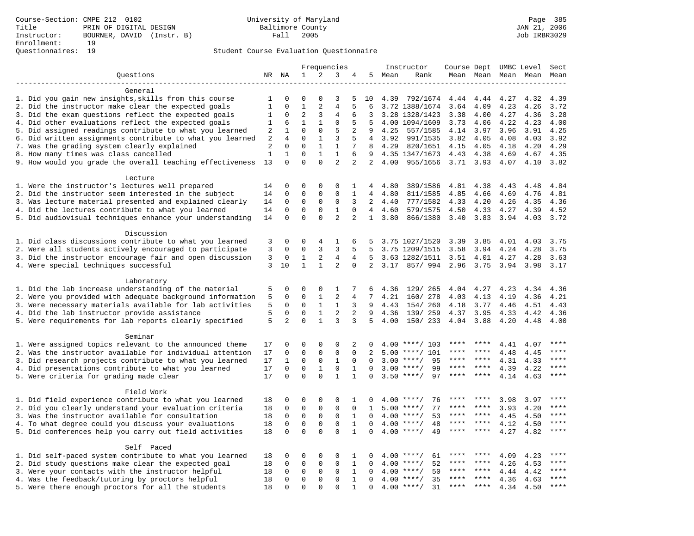|                                                           |                | Frequencies              |                      |                          |                                | Instructor          | Course Dept UMBC Level |      |                    |             | Sect      |                     |      |             |
|-----------------------------------------------------------|----------------|--------------------------|----------------------|--------------------------|--------------------------------|---------------------|------------------------|------|--------------------|-------------|-----------|---------------------|------|-------------|
| Questions                                                 |                | NR NA                    | 1                    | 2                        | 3                              | 4                   | 5                      | Mean | Rank               |             |           | Mean Mean Mean Mean |      | Mean        |
|                                                           |                |                          |                      |                          |                                |                     |                        |      |                    |             |           |                     |      |             |
| General                                                   |                |                          |                      |                          |                                |                     |                        |      |                    |             |           |                     |      |             |
| 1. Did you gain new insights, skills from this course     | 1              | 0                        | 0                    | $\Omega$                 | 3                              | 5                   | 10                     | 4.39 | 792/1674           | 4.44        | 4.44      | 4.27                | 4.32 | 4.39        |
| 2. Did the instructor make clear the expected goals       | $\mathbf{1}$   | $\mathbf 0$              | $\mathbf{1}$         | 2                        | 4                              | 5                   | 6                      |      | 3.72 1388/1674     | 3.64        | 4.09      | 4.23                | 4.26 | 3.72        |
| 3. Did the exam questions reflect the expected goals      | 1              | 0                        | $\overline{2}$       | 3                        | 4                              | 6                   | 3                      |      | 3.28 1328/1423     | 3.38        | 4.00      | 4.27                | 4.36 | 3.28        |
| 4. Did other evaluations reflect the expected goals       | 1              | 6                        | $\mathbf{1}$         | $\mathbf{1}$             | $\mathbf{0}$                   | 5                   | 5                      |      | 4.00 1094/1609     | 3.73        | 4.06      | 4.22                | 4.23 | 4.00        |
| 5. Did assigned readings contribute to what you learned   | $\overline{2}$ | $\mathbf{1}$             | $\mathbf 0$          | $\mathbf 0$              | 5                              | $\overline{2}$      | 9                      | 4.25 | 557/1585           | 4.14        | 3.97      | 3.96                | 3.91 | 4.25        |
| 6. Did written assignments contribute to what you learned | 2              | 4                        | $\mathbf 0$          | $\mathbf{1}$             | 3                              | 5                   | 4                      | 3.92 | 991/1535           | 3.82        | 4.05      | 4.08                | 4.03 | 3.92        |
| 7. Was the grading system clearly explained               | 2              | $\mathbf 0$              | $\mathbf 0$          | $\mathbf{1}$             | $\mathbf{1}$                   | 7                   | 8                      | 4.29 | 820/1651           | 4.15        | 4.05      | 4.18                | 4.20 | 4.29        |
| 8. How many times was class cancelled                     | $\mathbf{1}$   | $\mathbf{1}$<br>$\Omega$ | $\Omega$<br>$\Omega$ | $\mathbf{1}$<br>$\Omega$ | $\mathbf{1}$<br>$\overline{2}$ | 6<br>$\overline{a}$ | 9<br>2                 |      | 4.35 1347/1673     | 4.43        | 4.38      | 4.69                | 4.67 | 4.35        |
| 9. How would you grade the overall teaching effectiveness | 13             |                          |                      |                          |                                |                     |                        | 4.00 | 955/1656           | 3.71 3.93   |           | 4.07                | 4.10 | 3.82        |
| Lecture                                                   |                |                          |                      |                          |                                |                     |                        |      |                    |             |           |                     |      |             |
| 1. Were the instructor's lectures well prepared           | 14             | 0                        | 0                    | 0                        | 0                              | 1                   | 4                      | 4.80 | 389/1586           | 4.81 4.38   |           | 4.43                | 4.48 | 4.84        |
| 2. Did the instructor seem interested in the subject      | 14             | 0                        | $\mathbf 0$          | $\mathbf 0$              | $\mathbf{0}$                   | $\mathbf{1}$        | 4                      | 4.80 | 811/1585           | 4.85        | 4.66      | 4.69                | 4.76 | 4.81        |
| 3. Was lecture material presented and explained clearly   | 14             | 0                        | 0                    | $\mathbf 0$              | $\mathbf 0$                    | 3                   | 2                      | 4.40 | 777/1582           | 4.33        | 4.20      | 4.26                | 4.35 | 4.36        |
| 4. Did the lectures contribute to what you learned        | 14             | 0                        | 0                    | $\mathsf 0$              | $\mathbf{1}$                   | $\Omega$            | $\overline{4}$         | 4.60 | 579/1575           | 4.50        | 4.33      | 4.27                | 4.39 | 4.52        |
| 5. Did audiovisual techniques enhance your understanding  | 14             | $\mathbf 0$              | $\mathbf 0$          | $\Omega$                 | $\overline{2}$                 | 2                   | $\mathbf{1}$           | 3.80 | 866/1380           | 3.40        | 3.83      | 3.94                | 4.03 | 3.72        |
|                                                           |                |                          |                      |                          |                                |                     |                        |      |                    |             |           |                     |      |             |
| Discussion                                                |                |                          |                      |                          |                                |                     |                        |      |                    |             |           |                     |      |             |
| 1. Did class discussions contribute to what you learned   | 3              | 0                        | 0                    | 4                        | 1                              | 6                   | 5                      |      | 3.75 1027/1520     | 3.39        | 3.85      | 4.01                | 4.03 | 3.75        |
| 2. Were all students actively encouraged to participate   | 3              | 0                        | $\Omega$             | 3                        | 3                              | 5                   | 5                      |      | 3.75 1209/1515     | 3.58        | 3.94      | 4.24                | 4.28 | 3.75        |
| 3. Did the instructor encourage fair and open discussion  | 3              | 0                        | $\mathbf{1}$         | 2                        | 4                              | 4                   | 5                      |      | 3.63 1282/1511     | 3.51        | 4.01      | 4.27                | 4.28 | 3.63        |
| 4. Were special techniques successful                     | 3              | 10                       | $\mathbf{1}$         | $\mathbf{1}$             | $\overline{2}$                 | $\mathbf 0$         | 2                      | 3.17 | 857/ 994           | 2.96        | 3.75      | 3.94                | 3.98 | 3.17        |
|                                                           |                |                          |                      |                          |                                |                     |                        |      |                    |             |           |                     |      |             |
| Laboratory                                                |                |                          |                      |                          |                                |                     |                        |      |                    |             |           |                     |      |             |
| 1. Did the lab increase understanding of the material     | 5              | 0                        | 0                    | $\mathbf 0$              | 1                              | 7                   | 6                      | 4.36 | 129/ 265           | 4.04        | 4.27      | 4.23                | 4.34 | 4.36        |
| 2. Were you provided with adequate background information | 5              | 0                        | $\mathbf 0$          | $\mathbf{1}$             | $\overline{2}$                 | 4                   | 7                      | 4.21 | 160/ 278           | 4.03        | 4.13      | 4.19                | 4.36 | 4.21        |
| 3. Were necessary materials available for lab activities  | 5              | $\mathbf 0$              | $\mathbf 0$          | $\mathbf{1}$             | $\mathbf{1}$                   | 3                   | 9                      | 4.43 | 154/ 260           | 4.18        | 3.77      | 4.46                | 4.51 | 4.43        |
| 4. Did the lab instructor provide assistance              | 5              | $\mathbf 0$              | $\mathbf 0$          | $\mathbf{1}$             | $\overline{2}$                 | 2                   | 9                      | 4.36 | 139/ 259           | 4.37        | 3.95      | 4.33                | 4.42 | 4.36        |
| 5. Were requirements for lab reports clearly specified    | 5              | $\overline{a}$           | $\mathbf 0$          | $\mathbf{1}$             | 3                              | 3                   | 5                      | 4.00 | 150/ 233           | 4.04        | 3.88      | 4.20                | 4.48 | 4.00        |
| Seminar                                                   |                |                          |                      |                          |                                |                     |                        |      |                    |             |           |                     |      |             |
| 1. Were assigned topics relevant to the announced theme   | 17             | 0                        | 0                    | $\Omega$                 | $\Omega$                       | 2                   | $\Omega$               | 4.00 | ****/ 103          | ****        | ****      | 4.41                | 4.07 | $***$       |
| 2. Was the instructor available for individual attention  | 17             | $\mathbf 0$              | $\mathbf 0$          | $\mathbf 0$              | $\mathbf 0$                    | $\mathbf 0$         | $\overline{a}$         | 5.00 | $***/101$          | ****        | ****      | 4.48                | 4.45 |             |
| 3. Did research projects contribute to what you learned   | 17             | $\mathbf{1}$             | 0                    | $\mathsf 0$              | $\mathbf{1}$                   | $\mathbf 0$         | $\mathbf 0$            | 3.00 | $***/$<br>95       | ****        | ****      | 4.31                | 4.33 | ****        |
| 4. Did presentations contribute to what you learned       | 17             | $\mathbf 0$              | $\mathsf 0$          | $\mathbf{1}$             | $\mathsf 0$                    | $\mathbf{1}$        | $\mathbf 0$            | 3.00 | $***/$<br>99       | $***$ * * * | $* * * *$ | 4.39                | 4.22 | $***$       |
| 5. Were criteria for grading made clear                   | 17             | $\Omega$                 | $\Omega$             | $\Omega$                 | $\mathbf{1}$                   | 1                   | 0                      |      | $3.50$ ****/<br>97 | ****        | ****      | 4.14                | 4.63 | ****        |
|                                                           |                |                          |                      |                          |                                |                     |                        |      |                    |             |           |                     |      |             |
| Field Work                                                |                |                          |                      |                          |                                |                     |                        |      |                    |             |           |                     |      |             |
| 1. Did field experience contribute to what you learned    | 18             | 0                        | 0                    | $\mathbf 0$              | $\mathbf 0$                    | 1                   | 0                      |      | $4.00$ ****/<br>76 |             |           | 3.98                | 3.97 | * * * *     |
| 2. Did you clearly understand your evaluation criteria    | 18             | $\mathbf 0$              | $\mathsf 0$          | $\mathbf 0$              | $\mathsf 0$                    | $\mathbf 0$         | 1                      | 5.00 | 77<br>$***/$       | ****        | ****      | 3.93                | 4.20 | ****        |
| 3. Was the instructor available for consultation          | 18             | $\mathbf 0$              | $\mathsf 0$          | $\mathsf 0$              | $\mathsf 0$                    | $\mathbf{1}$        | $\mathbf 0$            |      | $4.00$ ****/<br>53 | ****        | $* * * *$ | 4.45                | 4.50 | ****        |
| 4. To what degree could you discuss your evaluations      | 18             | $\mathbf 0$              | 0                    | $\mathsf 0$              | $\mathsf 0$                    | $\mathbf{1}$        | $\mathbf 0$            | 4.00 | $***/$<br>48       | ****        | ****      | 4.12                | 4.50 | $***$       |
| 5. Did conferences help you carry out field activities    |                | $\mathbf 0$              | $\mathbf 0$          | $\Omega$                 | $\Omega$                       | $\mathbf{1}$        | $\Omega$               | 4.00 | 49<br>$***$ /      | ****        | ****      | 4.27                | 4.82 | $***$       |
|                                                           |                |                          |                      |                          |                                |                     |                        |      |                    |             |           |                     |      |             |
| Self Paced                                                |                |                          |                      |                          |                                |                     |                        |      |                    |             |           |                     |      |             |
| 1. Did self-paced system contribute to what you learned   | 18             | $\Omega$                 | 0                    | $\Omega$                 | 0                              | 1                   | 0                      |      | $4.00$ ****/<br>61 | ****        | ****      | 4.09                | 4.23 | ****        |
| 2. Did study questions make clear the expected goal       | 18             | $\mathbf 0$              | $\mathsf 0$          | $\mathsf 0$              | $\mathbf 0$                    | $\mathbf{1}$        | $\mathbf 0$            |      | 52<br>$4.00$ ****/ | ****        | ****      | 4.26                | 4.53 | ****        |
| 3. Were your contacts with the instructor helpful         | 18             | 0                        | $\mathbf 0$          | $\mathbf 0$              | $\mathbf 0$                    | 1                   | $\Omega$               | 4.00 | $***$ /<br>50      | ****        | ****      | 4.44                | 4.42 | ****        |
| 4. Was the feedback/tutoring by proctors helpful          | 18             | 0                        | $\mathbf 0$          | $\mathbf 0$              | $\mathbf 0$                    | $\mathbf{1}$        | $\mathbf 0$            | 4.00 | 35<br>$***$ /      | ****        | ****      | 4.36                | 4.63 | * * * *     |
| 5. Were there enough proctors for all the students        | 18             | $\Omega$                 | $\mathbf 0$          | $\Omega$                 | $\Omega$                       | $\mathbf{1}$        | 0                      |      | $4.00$ ****/<br>31 | $***$ * *   | $***$     | 4.34                | 4.50 | $***$ * * * |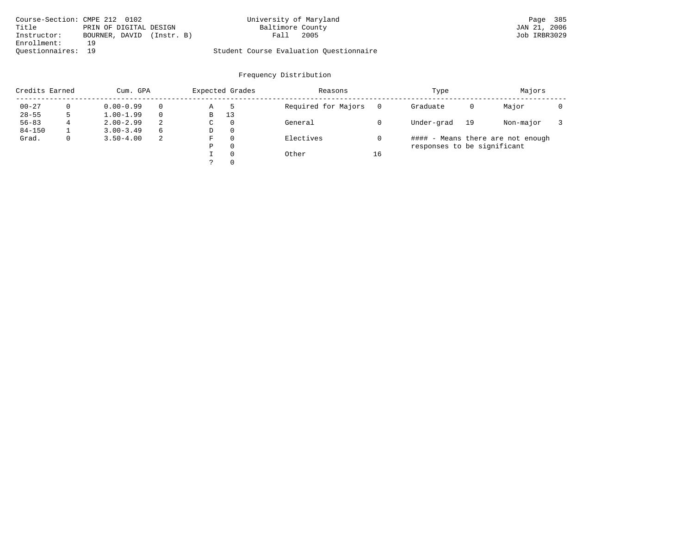|                    | Course-Section: CMPE 212 0102 | University of Maryland                  | Page 385     |
|--------------------|-------------------------------|-----------------------------------------|--------------|
| Title              | PRIN OF DIGITAL DESIGN        | Baltimore County                        | JAN 21, 2006 |
| Instructor:        | BOURNER, DAVID<br>(Instr. B)  | 2005<br>Fall                            | Job IRBR3029 |
| Enrollment:        | 19                            |                                         |              |
| Ouestionnaires: 19 |                               | Student Course Evaluation Ouestionnaire |              |

| Credits Earned |             | Cum. GPA      |    |   | Expected Grades | Reasons             |    | Type                        | Majors |                                   |  |
|----------------|-------------|---------------|----|---|-----------------|---------------------|----|-----------------------------|--------|-----------------------------------|--|
| $00 - 27$      |             | $0.00 - 0.99$ |    | Α |                 | Required for Majors |    | Graduate                    | 0      | Major                             |  |
| $28 - 55$      |             | $1.00 - 1.99$ |    | В | 13              |                     |    |                             |        |                                   |  |
| $56 - 83$      | 4           | $2.00 - 2.99$ | 2  | C | $\Omega$        | General             |    | Under-grad                  | 19     | Non-major                         |  |
| $84 - 150$     |             | $3.00 - 3.49$ | 6  | D | $\Omega$        |                     |    |                             |        |                                   |  |
| Grad.          | $\mathbf 0$ | $3.50 - 4.00$ | -2 | F | $\Omega$        | Electives           |    |                             |        | #### - Means there are not enough |  |
|                |             |               |    | Ρ | $\Omega$        |                     |    | responses to be significant |        |                                   |  |
|                |             |               |    |   | $\Omega$        | Other               | 16 |                             |        |                                   |  |
|                |             |               |    |   | $\Omega$        |                     |    |                             |        |                                   |  |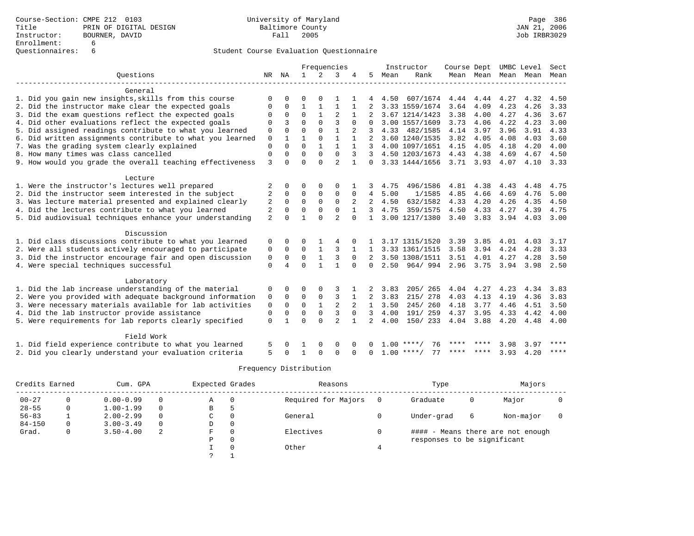|                                                           | Frequencies    |          | Instructor   | Course Dept  |                |                | UMBC Level   | Sect |                    |      |                |      |      |      |
|-----------------------------------------------------------|----------------|----------|--------------|--------------|----------------|----------------|--------------|------|--------------------|------|----------------|------|------|------|
| Ouestions                                                 | NR             | NA       | $\mathbf{1}$ | 2            | 3              |                | 5            | Mean | Rank               |      | Mean Mean Mean |      | Mean | Mean |
| General                                                   |                |          |              |              |                |                |              |      |                    |      |                |      |      |      |
| 1. Did you gain new insights, skills from this course     | $\Omega$       |          |              |              |                |                |              | 4.50 | 607/1674           | 4.44 | 4.44           | 4.27 | 4.32 | 4.50 |
| 2. Did the instructor make clear the expected goals       | 0              | 0        |              |              |                |                |              |      | 3.33 1559/1674     | 3.64 | 4.09           | 4.23 | 4.26 | 3.33 |
| 3. Did the exam questions reflect the expected goals      | $\Omega$       | $\Omega$ | $\Omega$     |              | $\overline{2}$ |                |              |      | 3.67 1214/1423     | 3.38 | 4.00           | 4.27 | 4.36 | 3.67 |
| 4. Did other evaluations reflect the expected goals       | 0              | 3        | $\Omega$     | $\Omega$     | 3              | $\Omega$       | $\cap$       |      | 3.00 1557/1609     | 3.73 | 4.06           | 4.22 | 4.23 | 3.00 |
| 5. Did assigned readings contribute to what you learned   | 0              | $\Omega$ | $\Omega$     | $\Omega$     | 1              | $\overline{2}$ | 3            | 4.33 | 482/1585           | 4.14 | 3.97           | 3.96 | 3.91 | 4.33 |
| 6. Did written assignments contribute to what you learned | 0              |          |              | $\Omega$     | $\mathbf{1}$   |                | 2            |      | 3.60 1240/1535     | 3.82 | 4.05           | 4.08 | 4.03 | 3.60 |
| 7. Was the grading system clearly explained               | $\mathbf 0$    | $\cap$   | $\Omega$     |              | $\mathbf{1}$   |                | २            |      | 4.00 1097/1651     | 4.15 | 4.05           | 4.18 | 4.20 | 4.00 |
| 8. How many times was class cancelled                     | $\Omega$       | $\Omega$ | $\Omega$     | $\Omega$     | $\Omega$       | 3              | 3            |      | 4.50 1203/1673     | 4.43 | 4.38           | 4.69 | 4.67 | 4.50 |
| 9. How would you grade the overall teaching effectiveness | 3              | $\cap$   | $\cap$       | $\cap$       | $\overline{a}$ |                | $\Omega$     |      | 3.33 1444/1656     |      | 3.71 3.93      | 4.07 | 4.10 | 3.33 |
| Lecture                                                   |                |          |              |              |                |                |              |      |                    |      |                |      |      |      |
| 1. Were the instructor's lectures well prepared           |                |          | $\Omega$     | $\Omega$     | $\Omega$       |                |              | 4.75 | 496/1586           | 4.81 | 4.38           | 4.43 | 4.48 | 4.75 |
| 2. Did the instructor seem interested in the subject      | 2              | $\Omega$ | $\Omega$     | $\Omega$     | $\Omega$       | $\Omega$       | 4            | 5.00 | 1/1585             | 4.85 | 4.66           | 4.69 | 4.76 | 5.00 |
| 3. Was lecture material presented and explained clearly   | 2              | $\Omega$ | $\Omega$     | $\Omega$     | $\Omega$       |                | 2            | 4.50 | 632/1582           | 4.33 | 4.20           | 4.26 | 4.35 | 4.50 |
| 4. Did the lectures contribute to what you learned        | 2              | $\Omega$ | $\Omega$     | $\Omega$     | $\Omega$       |                | 3            | 4.75 | 359/1575           | 4.50 | 4.33           | 4.27 | 4.39 | 4.75 |
| 5. Did audiovisual techniques enhance your understanding  | $\overline{2}$ | $\Omega$ |              | $\Omega$     | $\overline{a}$ | $\Omega$       | $\mathbf{1}$ |      | 3.00 1217/1380     | 3.40 | 3.83           | 3.94 | 4.03 | 3.00 |
| Discussion                                                |                |          |              |              |                |                |              |      |                    |      |                |      |      |      |
| 1. Did class discussions contribute to what you learned   | 0              | $\Omega$ | 0            |              |                |                |              |      | 3.17 1315/1520     | 3.39 | 3.85           | 4.01 | 4.03 | 3.17 |
| 2. Were all students actively encouraged to participate   | 0              | $\Omega$ | $\Omega$     |              | 3              |                | $\mathbf{1}$ |      | 3.33 1361/1515     | 3.58 | 3.94           | 4.24 | 4.28 | 3.33 |
| 3. Did the instructor encourage fair and open discussion  | 0              | 0        | 0            |              | 3              | $\Omega$       | 2            |      | 3.50 1308/1511     | 3.51 | 4.01           | 4.27 | 4.28 | 3.50 |
| 4. Were special techniques successful                     | $\Omega$       | 4        | $\Omega$     |              |                | $\Omega$       | $\Omega$     | 2.50 | 964/994            | 2.96 | 3.75           | 3.94 | 3.98 | 2.50 |
| Laboratory                                                |                |          |              |              |                |                |              |      |                    |      |                |      |      |      |
| 1. Did the lab increase understanding of the material     | 0              | $\Omega$ | $\Omega$     | $\Omega$     |                |                |              | 3.83 | 205/265            | 4.04 | 4.27           | 4.23 | 4.34 | 3.83 |
| 2. Were you provided with adequate background information | 0              | $\Omega$ | 0            | 0            | 3              |                | 2            | 3.83 | 215/ 278           | 4.03 | 4.13           | 4.19 | 4.36 | 3.83 |
| 3. Were necessary materials available for lab activities  | 0              | $\Omega$ | $\Omega$     | $\mathbf{1}$ | 2              |                | $\mathbf{1}$ | 3.50 | 245/260            | 4.18 | 3.77           | 4.46 | 4.51 | 3.50 |
| 4. Did the lab instructor provide assistance              | $\mathbf 0$    | $\Omega$ | $\Omega$     | $\Omega$     | 3              | $\Omega$       | 3            | 4.00 | 191/259            | 4.37 | 3.95           | 4.33 | 4.42 | 4.00 |
| 5. Were requirements for lab reports clearly specified    | $\Omega$       |          | $\Omega$     | $\Omega$     | $\overline{a}$ |                | 2            | 4.00 | 150/ 233           | 4.04 | 3.88           | 4.20 | 4.48 | 4.00 |
| Field Work                                                |                |          |              |              |                |                |              |      |                    |      |                |      |      |      |
| 1. Did field experience contribute to what you learned    |                |          |              |              | $\Omega$       |                |              | 1.00 | 76                 |      |                | 3.98 | 3.97 | **** |
| 2. Did you clearly understand your evaluation criteria    | 5              |          |              | $\Omega$     | $\Omega$       | $\Omega$       | $\Omega$     |      | 77<br>$1.00$ ****/ | **** | ****           | 3.93 | 4.20 | **** |

| Credits Earned |          | Cum. GPA      |          |   | Expected Grades | Reasons             |     | Type                        | Majors |                                   |  |
|----------------|----------|---------------|----------|---|-----------------|---------------------|-----|-----------------------------|--------|-----------------------------------|--|
| $00 - 27$      | 0        | $0.00 - 0.99$ | 0        | Α | 0               | Required for Majors | - 0 | Graduate                    | 0      | Major                             |  |
| $28 - 55$      | 0        | $1.00 - 1.99$ | $\Omega$ | В |                 |                     |     |                             |        |                                   |  |
| $56 - 83$      |          | $2.00 - 2.99$ | $\Omega$ | C | $\Omega$        | General             |     | Under-grad                  | 6      | Non-major                         |  |
| $84 - 150$     | $\Omega$ | $3.00 - 3.49$ | 0        | D | 0               |                     |     |                             |        |                                   |  |
| Grad.          | 0        | $3.50 - 4.00$ | 2        | F | $\Omega$        | Electives           |     |                             |        | #### - Means there are not enough |  |
|                |          |               |          | Ρ | 0               |                     |     | responses to be significant |        |                                   |  |
|                |          |               |          |   | $\Omega$        | Other               | 4   |                             |        |                                   |  |
|                |          |               |          |   |                 |                     |     |                             |        |                                   |  |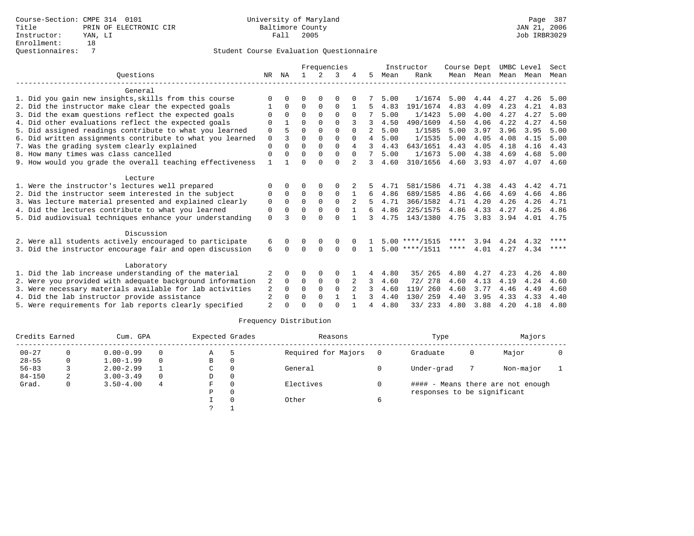|                                                           |                |             |          |             | Frequencies |          |                |      | Instructor       | Course Dept |           | UMBC Level  |      | Sect        |
|-----------------------------------------------------------|----------------|-------------|----------|-------------|-------------|----------|----------------|------|------------------|-------------|-----------|-------------|------|-------------|
| Ouestions                                                 | NR             | ΝA          |          | 2           | 3           |          | 5.             | Mean | Rank             |             | Mean Mean | Mean        | Mean | Mean        |
| General                                                   |                |             |          |             |             |          |                |      |                  |             |           |             |      |             |
| 1. Did you gain new insights, skills from this course     |                |             | ∩        |             | $\Omega$    |          |                | 5.00 | 1/1674           | 5.00        | 4.44 4.27 |             | 4.26 | 5.00        |
| 2. Did the instructor make clear the expected goals       |                | $\Omega$    | $\Omega$ | $\Omega$    | $\Omega$    |          | 5              | 4.83 | 191/1674         | 4.83        | 4.09      | 4.23        | 4.21 | 4.83        |
| 3. Did the exam questions reflect the expected goals      | $\Omega$       | $\Omega$    | $\Omega$ | $\Omega$    | $\Omega$    |          |                | 5.00 | 1/1423           | 5.00        | 4.00      | 4.27        | 4.27 | 5.00        |
| 4. Did other evaluations reflect the expected goals       |                |             | $\Omega$ | $\Omega$    | $\Omega$    |          | 3              | 4.50 | 490/1609         | 4.50        | 4.06      | 4.22        | 4.27 | 4.50        |
| 5. Did assigned readings contribute to what you learned   | 0              |             | $\Omega$ | $\Omega$    | $\Omega$    | $\Omega$ | $2^{\circ}$    | 5.00 | 1/1585           | 5.00        | 3.97      | 3.96        | 3.95 | 5.00        |
| 6. Did written assignments contribute to what you learned | $\Omega$       | 3           | $\Omega$ | $\Omega$    | $\cap$      | $\Omega$ | 4              | 5.00 | 1/1535           | 5.00        | 4.05      | 4.08        | 4.15 | 5.00        |
| 7. Was the grading system clearly explained               | $\Omega$       | $\Omega$    | $\Omega$ | $\Omega$    | $\Omega$    | 4        | 3              | 4.43 | 643/1651         | 4.43        | 4.05      | 4.18        | 4.16 | 4.43        |
| 8. How many times was class cancelled                     | $\Omega$       |             | $\Omega$ | $\Omega$    | $\Omega$    |          | 7              | 5.00 | 1/1673           | 5.00        | 4.38      | 4.69        | 4.68 | 5.00        |
| 9. How would you grade the overall teaching effectiveness |                |             | $\Omega$ | $\cap$      | $\Omega$    |          | 3              | 4.60 | 310/1656         | 4.60        | 3.93      | 4.07        | 4.07 | 4.60        |
| Lecture                                                   |                |             |          |             |             |          |                |      |                  |             |           |             |      |             |
| 1. Were the instructor's lectures well prepared           |                | 0           | 0        | $\Omega$    | O           |          |                | 4.71 | 581/1586         | 4.71        | 4.38      | 4.43        | 4.42 | 4.71        |
| 2. Did the instructor seem interested in the subject      | 0              | $\Omega$    | $\Omega$ | $\Omega$    | $\Omega$    |          | 6              | 4.86 | 689/1585         | 4.86        | 4.66      | 4.69        | 4.66 | 4.86        |
| 3. Was lecture material presented and explained clearly   | $\mathbf 0$    | $\mathbf 0$ | 0        | $\mathbf 0$ | $\Omega$    |          |                | 4.71 | 366/1582         | 4.71        | 4.20      | 4.26        | 4.26 | 4.71        |
| 4. Did the lectures contribute to what you learned        | $\Omega$       | $\cap$      | $\Omega$ | $\Omega$    | $\Omega$    |          | б.             | 4.86 | 225/1575         | 4.86        | 4.33      | 4.27        | 4.25 | 4.86        |
| 5. Did audiovisual techniques enhance your understanding  | $\Omega$       |             | $\Omega$ | $\cap$      | $\cap$      |          | 3              | 4.75 | 143/1380         | 4.75        | 3.83      | 3.94        | 4.01 | 4.75        |
| Discussion                                                |                |             |          |             |             |          |                |      |                  |             |           |             |      |             |
| 2. Were all students actively encouraged to participate   | 6              |             |          |             | 0           |          |                |      | $5.00$ ****/1515 | ****        |           | $3.94$ 4.24 | 4.32 | ****        |
| 3. Did the instructor encourage fair and open discussion  | 6              | $\Omega$    | $\Omega$ | $\Omega$    | $\Omega$    |          |                |      | $5.00$ ****/1511 | ****        | 4.01      | 4.27        | 4.34 | $***$ * * * |
| Laboratory                                                |                |             |          |             |             |          |                |      |                  |             |           |             |      |             |
| 1. Did the lab increase understanding of the material     | 2              |             |          |             | 0           |          | 4              | 4.80 | 35/265           | 4.80        | 4.27      | 4.23        | 4.26 | 4.80        |
| 2. Were you provided with adequate background information | 2              | $\Omega$    | 0        | $\mathbf 0$ | $\mathbf 0$ | 2        | 3              | 4.60 | 72/ 278          | 4.60        | 4.13      | 4.19        | 4.24 | 4.60        |
| 3. Were necessary materials available for lab activities  | 2              | $\Omega$    | $\Omega$ | $\Omega$    | $\Omega$    |          | 3              | 4.60 | 119/ 260         | 4.60        | 3.77      | 4.46        | 4.49 | 4.60        |
| 4. Did the lab instructor provide assistance              | 2              | $\Omega$    | $\Omega$ | $\Omega$    |             |          | 3              | 4.40 | 130/259          | 4.40        | 3.95      | 4.33        | 4.33 | 4.40        |
| 5. Were requirements for lab reports clearly specified    | $\overline{2}$ |             |          |             | $\cap$      |          | $\overline{4}$ | 4.80 | 33/ 233          | 4.80        | 3.88      | 4.20        | 4.18 | 4.80        |
|                                                           |                |             |          |             |             |          |                |      |                  |             |           |             |      |             |

| Credits Earned |   | Cum. GPA      |          |    | Expected Grades | Reasons             |     | Type                        | Majors |                                   |  |
|----------------|---|---------------|----------|----|-----------------|---------------------|-----|-----------------------------|--------|-----------------------------------|--|
| $00 - 27$      |   | $0.00 - 0.99$ | $\Omega$ | Α  |                 | Required for Majors | - 0 | Graduate                    | 0      | Major                             |  |
| $28 - 55$      | 0 | $1.00 - 1.99$ | $\Omega$ | В  | 0               |                     |     |                             |        |                                   |  |
| $56 - 83$      |   | $2.00 - 2.99$ |          | C  | $\Omega$        | General             |     | Under-grad                  |        | Non-major                         |  |
| $84 - 150$     | 2 | $3.00 - 3.49$ | $\Omega$ | D  | 0               |                     |     |                             |        |                                   |  |
| Grad.          | 0 | $3.50 - 4.00$ | 4        | F. | $\Omega$        | Electives           |     |                             |        | #### - Means there are not enough |  |
|                |   |               |          | Ρ  | $\Omega$        |                     |     | responses to be significant |        |                                   |  |
|                |   |               |          |    |                 | Other               | 6   |                             |        |                                   |  |
|                |   |               |          |    |                 |                     |     |                             |        |                                   |  |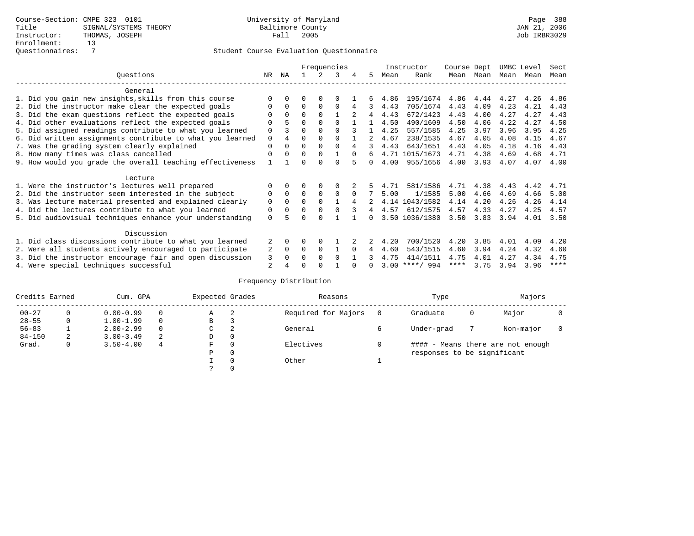|                                                           |             |                |          |          | Frequencies |          |              |      | Instructor       | Course Dept |      | UMBC Level |      | Sect        |
|-----------------------------------------------------------|-------------|----------------|----------|----------|-------------|----------|--------------|------|------------------|-------------|------|------------|------|-------------|
| Ouestions                                                 | NR.         | ΝA             |          |          | 3           | 4        | 5.           | Mean | Rank             | Mean        | Mean | Mean       | Mean | Mean        |
| General                                                   |             |                |          |          |             |          |              |      |                  |             |      |            |      |             |
| 1. Did you gain new insights, skills from this course     |             | $\Omega$       | O        | $\Omega$ | O           |          |              | 4.86 | 195/1674         | 4.86        | 4.44 | 4.27       | 4.26 | 4.86        |
| 2. Did the instructor make clear the expected goals       | O           | $\Omega$       | $\Omega$ | $\Omega$ | $\Omega$    | 4        | 3            | 4.43 | 705/1674         | 4.43        | 4.09 | 4.23       | 4.21 | 4.43        |
| 3. Did the exam questions reflect the expected goals      |             | $\Omega$       | $\Omega$ | $\Omega$ |             |          | 4            | 4.43 | 672/1423         | 4.43        | 4.00 | 4.27       | 4.27 | 4.43        |
| 4. Did other evaluations reflect the expected goals       | O           |                | $\Omega$ | $\Omega$ | $\Omega$    |          |              | 4.50 | 490/1609         | 4.50        | 4.06 | 4.22       | 4.27 | 4.50        |
| 5. Did assigned readings contribute to what you learned   | $\mathbf 0$ |                | $\Omega$ |          | $\Omega$    |          |              | 4.25 | 557/1585         | 4.25        | 3.97 | 3.96       | 3.95 | 4.25        |
| 6. Did written assignments contribute to what you learned | $\mathbf 0$ | $\overline{4}$ | $\Omega$ | $\Omega$ |             |          | 2            | 4.67 | 238/1535         | 4.67        | 4.05 | 4.08       | 4.15 | 4.67        |
| 7. Was the grading system clearly explained               | $\Omega$    | $\Omega$       | $\Omega$ | $\Omega$ | $\Omega$    |          |              | 4.43 | 643/1651         | 4.43        | 4.05 | 4.18       | 4.16 | 4.43        |
| 8. How many times was class cancelled                     | $\Omega$    | $\Omega$       | $\Omega$ | $\Omega$ |             | $\cap$   | 6            |      | 4.71 1015/1673   | 4.71        | 4.38 | 4.69       | 4.68 | 4.71        |
| 9. How would you grade the overall teaching effectiveness |             |                | U        |          | U           |          | <sup>n</sup> | 4.00 | 955/1656         | 4.00        | 3.93 | 4.07       | 4.07 | 4.00        |
| Lecture                                                   |             |                |          |          |             |          |              |      |                  |             |      |            |      |             |
| 1. Were the instructor's lectures well prepared           |             |                |          | $\Omega$ |             |          |              | 4.71 | 581/1586         | 4.71        | 4.38 | 4.43       | 4.42 | 4.71        |
| 2. Did the instructor seem interested in the subject      | 0           | $\Omega$       | $\Omega$ | $\Omega$ | $\Omega$    | $\Omega$ |              | 5.00 | 1/1585           | 5.00        | 4.66 | 4.69       | 4.66 | 5.00        |
| 3. Was lecture material presented and explained clearly   | $\mathbf 0$ | $\Omega$       | $\Omega$ | $\Omega$ |             | 4        |              |      | 4.14 1043/1582   | 4.14        | 4.20 | 4.26       | 4.26 | 4.14        |
| 4. Did the lectures contribute to what you learned        | 0           | $\Omega$       | $\Omega$ | $\Omega$ |             |          | 4            | 4.57 | 612/1575         | 4.57        | 4.33 | 4.27       | 4.25 | 4.57        |
| 5. Did audiovisual techniques enhance your understanding  | $\Omega$    |                |          | ∩        |             |          | <sup>n</sup> |      | 3.50 1036/1380   | 3.50        | 3.83 | 3.94       | 4.01 | 3.50        |
| Discussion                                                |             |                |          |          |             |          |              |      |                  |             |      |            |      |             |
| 1. Did class discussions contribute to what you learned   |             | $\Omega$       | O        | $\Omega$ |             |          |              | 4.20 | 700/1520         | 4.20        | 3.85 | 4.01       | 4.09 | 4.20        |
| 2. Were all students actively encouraged to participate   | 2           | $\Omega$       | $\Omega$ | $\Omega$ |             | $\Omega$ | 4            | 4.60 | 543/1515         | 4.60        | 3.94 | 4.24       | 4.32 | 4.60        |
| 3. Did the instructor encourage fair and open discussion  | 3           | $\Omega$       | 0        | $\Omega$ | $\Omega$    |          |              | 4.75 | 414/1511         | 4.75        | 4.01 | 4.27       | 4.34 | 4.75        |
| 4. Were special techniques successful                     | 2           |                |          |          |             |          |              |      | $3.00$ ****/ 994 | ****        | 3.75 | 3.94       | 3.96 | $***$ * * * |

| Credits Earned |   | Cum. GPA      |          | Expected Grades |          | Reasons             | Type |                             | Majors |                                   |  |
|----------------|---|---------------|----------|-----------------|----------|---------------------|------|-----------------------------|--------|-----------------------------------|--|
| $00 - 27$      |   | $0.00 - 0.99$ | $\Omega$ | Α               | -2       | Required for Majors |      | Graduate                    | 0      | Major                             |  |
| $28 - 55$      | 0 | $1.00 - 1.99$ | $\Omega$ | В               | 3        |                     |      |                             |        |                                   |  |
| $56 - 83$      |   | $2.00 - 2.99$ | $\Omega$ | С               | 2        | General             |      | Under-grad                  |        | Non-major                         |  |
| $84 - 150$     | 2 | $3.00 - 3.49$ | -2       | D               | 0        |                     |      |                             |        |                                   |  |
| Grad.          | 0 | $3.50 - 4.00$ | 4        | F               | 0        | Electives           |      |                             |        | #### - Means there are not enough |  |
|                |   |               |          | Ρ               | 0        |                     |      | responses to be significant |        |                                   |  |
|                |   |               |          |                 | $\Omega$ | Other               |      |                             |        |                                   |  |
|                |   |               |          | っ               | 0        |                     |      |                             |        |                                   |  |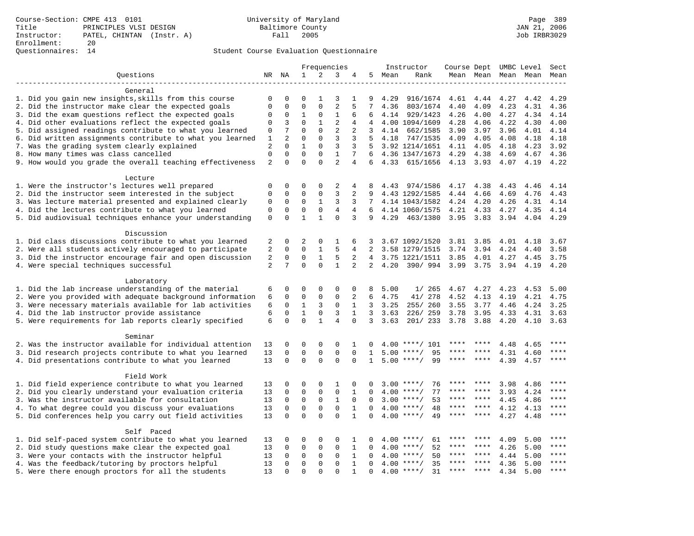|                                                                     |                |                |              |              | Frequencies    |                |                 |      | Instructor         | Course Dept UMBC Level |             |      |      | Sect        |
|---------------------------------------------------------------------|----------------|----------------|--------------|--------------|----------------|----------------|-----------------|------|--------------------|------------------------|-------------|------|------|-------------|
| Ouestions                                                           |                | NR NA          | $\mathbf{1}$ | 2            | 3              | 4              | 5               | Mean | Rank               |                        | Mean Mean   | Mean | Mean | Mean        |
|                                                                     |                |                |              |              |                |                |                 |      |                    |                        |             |      |      |             |
| General                                                             |                |                |              |              |                |                |                 |      |                    |                        |             |      |      |             |
| 1. Did you gain new insights, skills from this course               | $\mathbf 0$    | 0              | 0            | 1            | 3              | 1              | 9               | 4.29 | 916/1674           | 4.61                   | 4.44        | 4.27 | 4.42 | 4.29        |
| 2. Did the instructor make clear the expected goals                 | $\Omega$       | $\Omega$       | $\Omega$     | $\Omega$     | $\overline{2}$ | 5              | 7               | 4.36 | 803/1674           | 4.40                   | 4.09        | 4.23 | 4.31 | 4.36        |
| 3. Did the exam questions reflect the expected goals                | $\Omega$       | 0              | $\mathbf 1$  | 0            | $1\,$          | 6              | 6               |      | 4.14 929/1423      | 4.26                   | 4.00        | 4.27 | 4.34 | 4.14        |
| 4. Did other evaluations reflect the expected goals                 | 0              | $\overline{3}$ | $\Omega$     | $\mathbf{1}$ | $\overline{2}$ | 4              | 4               |      | 4.00 1094/1609     | 4.28                   | 4.06        | 4.22 | 4.30 | 4.00        |
| 5. Did assigned readings contribute to what you learned             | $\mathbf 0$    | 7              | $\Omega$     | $\Omega$     | $\overline{a}$ | $\overline{2}$ | 3               | 4.14 | 662/1585           | 3.90                   | 3.97        | 3.96 | 4.01 | 4.14        |
| 6. Did written assignments contribute to what you learned           | $\mathbf{1}$   | $\overline{2}$ | $\Omega$     | $\Omega$     | 3              | 3              | 5               | 4.18 | 747/1535           | 4.09                   | 4.05        | 4.08 | 4.18 | 4.18        |
| 7. Was the grading system clearly explained                         | 2              | $\Omega$       | $\mathbf{1}$ | $\Omega$     | 3              | 3              | .5              |      | 3.92 1214/1651     | 4.11                   | 4.05        | 4.18 | 4.23 | 3.92        |
| 8. How many times was class cancelled                               | $\mathbf 0$    | $\Omega$       | $\Omega$     | $\Omega$     | $\mathbf{1}$   | 7              | 6               |      | 4.36 1347/1673     | 4.29                   | 4.38        | 4.69 | 4.67 | 4.36        |
| 9. How would you grade the overall teaching effectiveness           | 2              | $\Omega$       | $\Omega$     | $\Omega$     | $\overline{2}$ | 4              | 6               |      | 4.33 615/1656      | 4.13 3.93              |             | 4.07 | 4.19 | 4.22        |
| Lecture                                                             |                |                |              |              |                |                |                 |      |                    |                        |             |      |      |             |
| 1. Were the instructor's lectures well prepared                     | 0              | $\Omega$       | $\Omega$     | $\Omega$     | $\overline{2}$ | 4              | 8               | 4.43 | 974/1586           | 4.17                   | 4.38        | 4.43 | 4.46 | 4.14        |
| 2. Did the instructor seem interested in the subject                | $\Omega$       | $\mathbf 0$    | $\mathbf{0}$ | $\mathbf 0$  | 3              | 2              | 9               |      | 4.43 1292/1585     | 4.44                   | 4.66        | 4.69 | 4.76 | 4.43        |
| 3. Was lecture material presented and explained clearly             | $\Omega$       | $\mathbf 0$    | $\mathbf 0$  | $\mathbf{1}$ | 3              | 3              | 7               |      | 4.14 1043/1582     | 4.24                   | 4.20        | 4.26 | 4.31 | 4.14        |
| 4. Did the lectures contribute to what you learned                  | $\mathbf 0$    | $\mathbf 0$    | $\mathsf 0$  | $\mathsf 0$  | $\overline{4}$ | 4              | 6               |      | 4.14 1060/1575     | 4.21                   | 4.33        | 4.27 | 4.35 | 4.14        |
| 5. Did audiovisual techniques enhance your understanding            | $\mathsf 0$    | $\Omega$       | $\mathbf{1}$ | $\mathbf{1}$ | $\Omega$       | 3              | 9               | 4.29 | 463/1380           | 3.95                   | 3.83        | 3.94 | 4.04 | 4.29        |
|                                                                     |                |                |              |              |                |                |                 |      |                    |                        |             |      |      |             |
| Discussion                                                          |                |                |              |              |                |                |                 |      |                    |                        |             |      |      |             |
| 1. Did class discussions contribute to what you learned             | 2              | $\Omega$       | 2            | $\Omega$     | 1              | 6              | 3               |      | 3.67 1092/1520     | 3.81                   | 3.85        | 4.01 | 4.18 | 3.67        |
| 2. Were all students actively encouraged to participate             | 2              | $\Omega$       | $\Omega$     | $\mathbf{1}$ | 5              | 4              | $\overline{2}$  |      | 3.58 1279/1515     | 3.74                   | 3.94        | 4.24 | 4.40 | 3.58        |
| 3. Did the instructor encourage fair and open discussion            | $\overline{2}$ | 0              | $\mathbf 0$  | $\mathbf{1}$ | 5              | 2              | $4\overline{ }$ |      | 3.75 1221/1511     | 3.85                   | 4.01        | 4.27 | 4.45 | 3.75        |
| 4. Were special techniques successful                               | $\overline{a}$ | 7              | $\Omega$     | $\Omega$     | $\mathbf{1}$   | 2              | 2               | 4.20 | 390/994            | 3.99                   | 3.75        | 3.94 | 4.19 | 4.20        |
| Laboratory                                                          |                |                |              |              |                |                |                 |      |                    |                        |             |      |      |             |
| 1. Did the lab increase understanding of the material               | 6              | 0              | $\Omega$     | $\Omega$     | $\mathbf 0$    | $\mathbf 0$    | 8               | 5.00 | 1/265              | 4.67                   | 4.27        | 4.23 | 4.53 | 5.00        |
| 2. Were you provided with adequate background information           | 6              | $\Omega$       | $\Omega$     | 0            | $\mathsf 0$    | 2              | 6               | 4.75 | 41/ 278            | 4.52                   | 4.13        | 4.19 | 4.21 | 4.75        |
| 3. Were necessary materials available for lab activities            | 6              | $\mathbf 0$    | $\mathbf{1}$ | 3            | $\mathsf 0$    | $\mathbf{1}$   | 3               | 3.25 | 255/ 260           | 3.55                   | 3.77        | 4.46 | 4.24 | 3.25        |
| 4. Did the lab instructor provide assistance                        | 6              | $\mathbf 0$    | $1\,$        | $\mathbf 0$  | 3              | $\mathbf{1}$   | 3               | 3.63 | 226/259            | 3.78                   | 3.95        | 4.33 | 4.31 | 3.63        |
| 5. Were requirements for lab reports clearly specified              | 6              | $\Omega$       | $\Omega$     | $\mathbf{1}$ | $\overline{4}$ | $\Omega$       | 3               | 3.63 | 201/233            | 3.78                   | 3.88        | 4.20 | 4.10 | 3.63        |
|                                                                     |                |                |              |              |                |                |                 |      |                    |                        |             |      |      |             |
| Seminar<br>2. Was the instructor available for individual attention | 13             | $\Omega$       | $\Omega$     | $\Omega$     | $\Omega$       | 1              | 0               | 4.00 | $***/101$          |                        |             | 4.48 | 4.65 | $***$ * * * |
| 3. Did research projects contribute to what you learned             | 13             | 0              | $\mathbf 0$  | 0            | $\mathsf 0$    | $\mathbf 0$    | $\mathbf{1}$    |      | $5.00$ ****/<br>95 |                        |             | 4.31 | 4.60 | ****        |
| 4. Did presentations contribute to what you learned                 | 13             | $\Omega$       | $\mathbf 0$  | $\Omega$     | $\mathbf 0$    | $\Omega$       | $\mathbf{1}$    | 5.00 | 99<br>$***$ /      |                        | ****        | 4.39 | 4.57 | $***$       |
|                                                                     |                |                |              |              |                |                |                 |      |                    |                        |             |      |      |             |
| Field Work                                                          |                |                |              |              |                |                |                 |      |                    |                        |             |      |      |             |
| 1. Did field experience contribute to what you learned              | 13             | 0              | $\Omega$     | $\Omega$     | 1              | $\Omega$       | O               | 3.00 | 76<br>****/        |                        |             | 3.98 | 4.86 | ****        |
| 2. Did you clearly understand your evaluation criteria              | 13             | 0              | $\mathbf 0$  | 0            | $\mathsf 0$    | $\mathbf{1}$   | 0               | 4.00 | 77<br>$***$ /      |                        |             | 3.93 | 4.24 |             |
| 3. Was the instructor available for consultation                    | 13             | 0              | $\mathbf 0$  | $\mathsf 0$  | $\mathbf{1}$   | $\mathbf 0$    | 0               | 3.00 | 53<br>$***/$       | ****                   | ****        | 4.45 | 4.86 | ****        |
| 4. To what degree could you discuss your evaluations                | 13             | $\mathbf 0$    | $\mathbf 0$  | 0            | $\mathsf 0$    | $1\,$          | 0               | 4.00 | $***/$<br>48       | ****                   | $***$ *     | 4.12 | 4.13 | $***$       |
| 5. Did conferences help you carry out field activities              | 13             | $\Omega$       | $\Omega$     | $\Omega$     | $\Omega$       | $\mathbf{1}$   | $\Omega$        | 4.00 | 49<br>$***$ /      | ****                   | $* * * * *$ | 4.27 | 4.48 | $***$       |
| Self Paced                                                          |                |                |              |              |                |                |                 |      |                    |                        |             |      |      |             |
| 1. Did self-paced system contribute to what you learned             | 13             | O              | $\Omega$     | $\Omega$     | $\Omega$       | 1              | U               | 4.00 | $***$ /<br>61      |                        |             | 4.09 | 5.00 | ****        |
| 2. Did study questions make clear the expected goal                 | 13             | 0              | $\mathbf 0$  | $\mathbf 0$  | $\mathsf 0$    | $\mathbf{1}$   | 0               | 4.00 | 52<br>$***$ /      | ****                   | ****        | 4.26 | 5.00 | $***$       |
| 3. Were your contacts with the instructor helpful                   | 13             | 0              | $\mathbf 0$  | 0            | $\mathsf 0$    | $\mathbf{1}$   | $\Omega$        | 4.00 | 50<br>$***$ /      |                        |             | 4.44 | 5.00 | ****        |
| 4. Was the feedback/tutoring by proctors helpful                    | 13             | $\Omega$       | $\mathbf{0}$ | 0            | $\mathbf 0$    | $\mathbf{1}$   | $\Omega$        | 4.00 | $***$ /<br>35      | ****                   | ****        | 4.36 | 5.00 | ****        |
| 5. Were there enough proctors for all the students                  | 13             | $\Omega$       | $\Omega$     | $\Omega$     | $\Omega$       | $\mathbf{1}$   | $\Omega$        |      | $4.00$ ****/<br>31 | ****                   | ****        | 4.34 | 5.00 | $***$       |
|                                                                     |                |                |              |              |                |                |                 |      |                    |                        |             |      |      |             |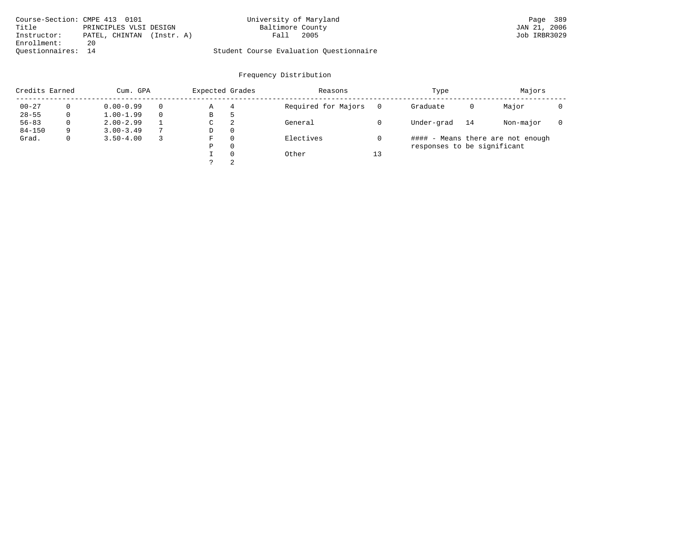| Course-Section: CMPE 413 0101 |                           | University of Maryland                  | Page 389     |
|-------------------------------|---------------------------|-----------------------------------------|--------------|
| Title                         | PRINCIPLES VLSI DESIGN    | Baltimore County                        | JAN 21, 2006 |
| Instructor:                   | PATEL, CHINTAN (Instr. A) | 2005<br>Fall                            | Job IRBR3029 |
| Enrollment:                   | 20                        |                                         |              |
| Ouestionnaires: 14            |                           | Student Course Evaluation Questionnaire |              |

| Credits Earned |          | Cum. GPA      |                | Expected Grades |          | Reasons             |          | Type                        |    | Majors                            |  |
|----------------|----------|---------------|----------------|-----------------|----------|---------------------|----------|-----------------------------|----|-----------------------------------|--|
| $00 - 27$      | $\Omega$ | $0.00 - 0.99$ |                | Α               | 4        | Required for Majors | $\Omega$ | Graduate                    | 0  | Major                             |  |
| $28 - 55$      | 0        | $1.00 - 1.99$ |                | В               | ל        |                     |          |                             |    |                                   |  |
| $56 - 83$      | 0        | $2.00 - 2.99$ |                | $\sim$<br>◡     | -2       | General             |          | Under-grad                  | 14 | Non-major                         |  |
| $84 - 150$     | 9        | $3.00 - 3.49$ | $\overline{ }$ | D               | 0        |                     |          |                             |    |                                   |  |
| Grad.          | 0        | $3.50 - 4.00$ |                | F               | 0        | Electives           |          |                             |    | #### - Means there are not enough |  |
|                |          |               |                | Ρ               | 0        |                     |          | responses to be significant |    |                                   |  |
|                |          |               |                |                 | $\Omega$ | Other               | 13       |                             |    |                                   |  |
|                |          |               |                | C               | 2        |                     |          |                             |    |                                   |  |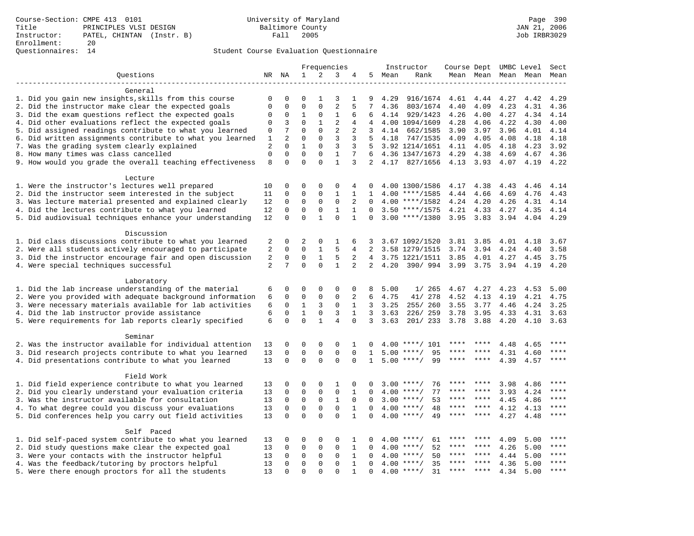|                                                           |                |                |              |              | Frequencies    |              |                |      | Instructor              |             |               |      | Course Dept UMBC Level   | Sect        |
|-----------------------------------------------------------|----------------|----------------|--------------|--------------|----------------|--------------|----------------|------|-------------------------|-------------|---------------|------|--------------------------|-------------|
| Questions                                                 |                | NR NA          | $\mathbf{1}$ | 2            | 3              | 4            | 5              | Mean | Rank                    |             |               |      | Mean Mean Mean Mean Mean |             |
|                                                           |                |                |              |              |                |              |                |      |                         |             |               |      |                          |             |
| General                                                   |                |                |              |              |                |              |                |      |                         |             |               |      |                          |             |
| 1. Did you gain new insights, skills from this course     | 0              | $\mathbf 0$    | 0            | 1            | 3              | 1            | 9              | 4.29 | 916/1674                | 4.61        | 4.44          | 4.27 | 4.42                     | 4.29        |
| 2. Did the instructor make clear the expected goals       | $\mathbf 0$    | $\Omega$       | $\Omega$     | $\Omega$     | $\overline{2}$ | 5            | 7              | 4.36 | 803/1674                | 4.40        | 4.09          | 4.23 | 4.31                     | 4.36        |
| 3. Did the exam questions reflect the expected goals      | $\Omega$       | 0              | $\mathbf 1$  | $\mathbf 0$  | $\mathbf{1}$   | 6            | 6              |      | 4.14 929/1423           | 4.26        | 4.00          | 4.27 | 4.34                     | 4.14        |
| 4. Did other evaluations reflect the expected goals       | $\mathbf 0$    | 3              | $\mathbf 0$  | $\mathbf{1}$ | $\overline{2}$ | 4            | 4              |      | 4.00 1094/1609          | 4.28        | 4.06          | 4.22 | 4.30                     | 4.00        |
| 5. Did assigned readings contribute to what you learned   | 0              | 7              | $\mathbf 0$  | $\mathbf 0$  | $\overline{2}$ | 2            | 3              |      | 4.14 662/1585           | 3.90        | 3.97          | 3.96 | 4.01                     | 4.14        |
| 6. Did written assignments contribute to what you learned | $\mathbf{1}$   | $\overline{a}$ | $\mathbf 0$  | $\mathbf 0$  | $\mathbf{3}$   | 3            | 5              |      | 4.18 747/1535           | 4.09        | 4.05          | 4.08 | 4.18                     | 4.18        |
| 7. Was the grading system clearly explained               | $\overline{2}$ | $\Omega$       | $\mathbf{1}$ | $\Omega$     | 3              | 3            | 5              |      | 3.92 1214/1651          | 4.11        | 4.05          | 4.18 | 4.23                     | 3.92        |
| 8. How many times was class cancelled                     | $\mathbf 0$    | $\Omega$       | $\Omega$     | $\Omega$     | $\mathbf{1}$   | 7            | 6              |      | 4.36 1347/1673          | 4.29        | 4.38          | 4.69 | 4.67                     | 4.36        |
| 9. How would you grade the overall teaching effectiveness | 8              | $\Omega$       | $\Omega$     | $\Omega$     | $\mathbf{1}$   | 3            | 2              |      | 4.17 827/1656 4.13 3.93 |             |               | 4.07 | 4.19                     | 4.22        |
| Lecture                                                   |                |                |              |              |                |              |                |      |                         |             |               |      |                          |             |
| 1. Were the instructor's lectures well prepared           | 10             | 0              | $\mathbf 0$  | $\mathbf{0}$ | $\mathbf{0}$   | 4            | 0              |      | 4.00 1300/1586          | 4.17        | 4.38          | 4.43 | 4.46                     | 4.14        |
| 2. Did the instructor seem interested in the subject      | 11             | $\mathbf 0$    | $\mathbf 0$  | $\mathbf 0$  | $\mathbf{1}$   | $\mathbf{1}$ | 1              |      | $4.00$ ****/1585        | 4.44        | 4.66          | 4.69 | 4.76                     | 4.43        |
| 3. Was lecture material presented and explained clearly   | 12             | $\mathbf 0$    | $\mathbf 0$  | $\mathbf 0$  | $\mathbf 0$    | 2            | $\Omega$       |      | $4.00$ ****/1582        | 4.24 4.20   |               | 4.26 | 4.31                     | 4.14        |
| 4. Did the lectures contribute to what you learned        | 12             | $\mathbf 0$    | $\mathbf 0$  | $\mathbf 0$  | $\mathbf{1}$   | $\mathbf{1}$ | $\Omega$       |      | $3.50$ ****/1575        | 4.21 4.33   |               |      | 4.27 4.35 4.14           |             |
| 5. Did audiovisual techniques enhance your understanding  | 12             | $\Omega$       | $\Omega$     | $\mathbf{1}$ | $\Omega$       | $\mathbf{1}$ | $\Omega$       |      | $3.00$ ****/1380        |             | $3.95$ $3.83$ | 3.94 | 4.04                     | 4.29        |
|                                                           |                |                |              |              |                |              |                |      |                         |             |               |      |                          |             |
| Discussion                                                |                |                |              |              |                |              |                |      |                         |             |               |      |                          |             |
| 1. Did class discussions contribute to what you learned   | 2              | 0              | 2            | $\mathbf 0$  | 1              | 6            | 3              |      | 3.67 1092/1520          | 3.81        | 3.85          | 4.01 | 4.18                     | 3.67        |
| 2. Were all students actively encouraged to participate   | $\overline{2}$ | $\mathbf 0$    | $\mathbf 0$  | $\mathbf{1}$ | 5              | 4            | $\overline{2}$ |      | 3.58 1279/1515          | 3.74        | 3.94          | 4.24 | 4.40                     | 3.58        |
| 3. Did the instructor encourage fair and open discussion  | 2              | $\mathbf 0$    | $\mathbf 0$  | $\mathbf{1}$ | 5              | 2            | $\overline{4}$ |      | 3.75 1221/1511          | 3.85        | 4.01          | 4.27 | 4.45                     | 3.75        |
| 4. Were special techniques successful                     | $\overline{2}$ | 7              | $\Omega$     | $\Omega$     | $\mathbf{1}$   | 2            | 2              | 4.20 | 390/994                 | 3.99        | 3.75          | 3.94 | 4.19                     | 4.20        |
| Laboratory                                                |                |                |              |              |                |              |                |      |                         |             |               |      |                          |             |
| 1. Did the lab increase understanding of the material     | 6              | $\mathbf 0$    | 0            | $\mathbf 0$  | $\mathbf 0$    | $\mathbf 0$  | 8              | 5.00 | 1/265                   | 4.67        | 4.27          | 4.23 | 4.53                     | 5.00        |
| 2. Were you provided with adequate background information | 6              | 0              | $\mathbf 0$  | $\mathbf 0$  | $\mathbf{0}$   | 2            | 6              | 4.75 | 41/ 278                 | 4.52        | 4.13          | 4.19 | 4.21                     | 4.75        |
| 3. Were necessary materials available for lab activities  | 6              | $\mathbf 0$    | $\mathbf{1}$ | 3            | $\mathbf 0$    | $\mathbf{1}$ | 3              | 3.25 | 255/260                 | 3.55        | 3.77          | 4.46 | 4.24                     | 3.25        |
| 4. Did the lab instructor provide assistance              | 6              | $\mathbf 0$    | $\mathbf{1}$ | $\mathbf 0$  | 3              | $\mathbf{1}$ | 3              | 3.63 | 226/259                 | 3.78        | 3.95          | 4.33 | 4.31                     | 3.63        |
| 5. Were requirements for lab reports clearly specified    | 6              | $\Omega$       | $\Omega$     | $\mathbf{1}$ | $\overline{4}$ | $\Omega$     | 3              | 3.63 | 201/ 233                | 3.78        | 3.88          | 4.20 | 4.10                     | 3.63        |
| Seminar                                                   |                |                |              |              |                |              |                |      |                         |             |               |      |                          |             |
| 2. Was the instructor available for individual attention  | 13             | 0              | $\mathbf 0$  | $\mathbf{0}$ | $\mathbf{0}$   | 1            | 0              |      | $4.00$ ****/ 101        | ****        |               | 4.48 | 4.65                     | ****        |
| 3. Did research projects contribute to what you learned   | 13             | $\mathbf 0$    | $\mathbf 0$  | $\mathbf 0$  | $\mathbf 0$    | $\mathbf{0}$ | $\mathbf{1}$   |      | $5.00$ ****/<br>95      |             |               | 4.31 | 4.60                     | $***$       |
| 4. Did presentations contribute to what you learned       | 13             | $\Omega$       | $\mathbf 0$  | $\Omega$     | $\Omega$       | $\Omega$     | $\mathbf{1}$   |      | 99<br>$5.00$ ****/      |             | ****          | 4.39 | 4.57                     | $***$       |
|                                                           |                |                |              |              |                |              |                |      |                         |             |               |      |                          |             |
| Field Work                                                |                |                |              |              |                |              |                |      |                         |             |               |      |                          |             |
| 1. Did field experience contribute to what you learned    | 13             | 0              | 0            | $\mathbf 0$  | $\mathbf 1$    | $\mathbf 0$  | $\Omega$       |      | 76<br>$3.00$ ****/      |             |               | 3.98 | 4.86                     | ****        |
| 2. Did you clearly understand your evaluation criteria    | 13             | 0              | 0            | $\mathsf 0$  | $\mathsf 0$    | $\mathbf{1}$ | $\mathbf 0$    | 4.00 | 77<br>$***$ /           |             | ****          | 3.93 | 4.24                     | ****        |
| 3. Was the instructor available for consultation          | 13             | $\mathbf 0$    | $\mathbf 0$  | $\mathsf 0$  | $\mathbf{1}$   | $\mathbf 0$  | $\Omega$       |      | 53<br>$3.00$ ****/      | ****        | $***$ *       | 4.45 | 4.86                     | $***$ * * * |
| 4. To what degree could you discuss your evaluations      | 13             | $\mathbf 0$    | $\mathbf 0$  | $\mathbf 0$  | $\mathbf 0$    | $1\,$        | $\Omega$       |      | $4.00$ ****/<br>48      | $***$ * * * | $***$         | 4.12 | 4.13                     | $***$       |
| 5. Did conferences help you carry out field activities    | 13             | $\Omega$       | $\Omega$     | $\Omega$     | $\Omega$       | $\mathbf{1}$ | $\Omega$       | 4.00 | 49<br>$***$ /           | $***$ * * * | ****          | 4.27 | 4.48                     | $***$       |
| Self Paced                                                |                |                |              |              |                |              |                |      |                         |             |               |      |                          |             |
| 1. Did self-paced system contribute to what you learned   | 13             | $\Omega$       | 0            | $\mathbf 0$  | $\mathbf 0$    | 1            | 0              | 4.00 | 61<br>$***$ /           |             |               | 4.09 | 5.00                     | ****        |
| 2. Did study questions make clear the expected goal       | 13             | 0              | 0            | $\mathsf 0$  | $\mathsf 0$    | $\mathbf{1}$ | $\mathbf 0$    | 4.00 | 52<br>$***$ /           | ****        | ****          | 4.26 | 5.00                     | $***$       |
| 3. Were your contacts with the instructor helpful         | 13             | 0              | 0            | 0            | $\mathbf 0$    | $\mathbf{1}$ | $\Omega$       | 4.00 | 50<br>$***/$            | ****        | ****          | 4.44 | 5.00                     | ****        |
| 4. Was the feedback/tutoring by proctors helpful          | 13             | $\mathbf 0$    | $\mathbf 0$  | $\mathbf{0}$ | $\mathbf 0$    | $\mathbf{1}$ | $\Omega$       | 4.00 | $***$ /<br>35           | ****        | ****          | 4.36 | 5.00                     | $***$       |
| 5. Were there enough proctors for all the students        | 13             | $\Omega$       | $\Omega$     | $\Omega$     | $\Omega$       | $\mathbf{1}$ | $\Omega$       |      | 31<br>$4.00$ ****/      | $***$ * * * | $* * * * *$   | 4.34 | 5.00                     | ****        |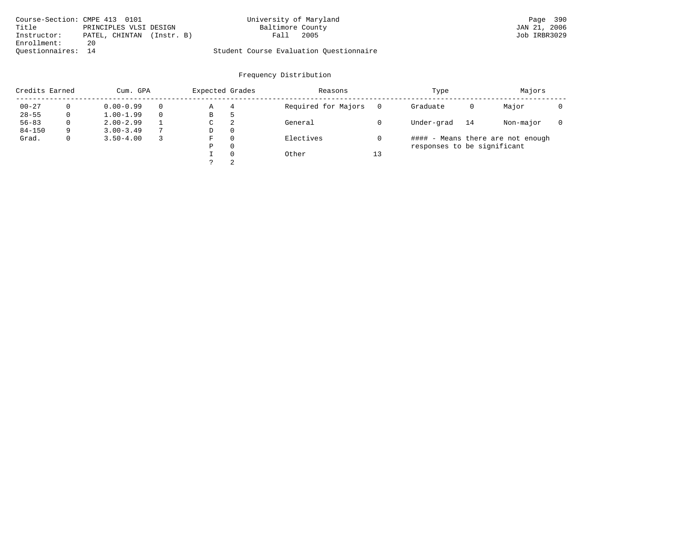| Course-Section: CMPE 413 0101 |                           | University of Maryland                  | Page 390     |
|-------------------------------|---------------------------|-----------------------------------------|--------------|
| Title                         | PRINCIPLES VLSI DESIGN    | Baltimore County                        | JAN 21, 2006 |
| Instructor:                   | PATEL, CHINTAN (Instr. B) | 2005<br>Fall                            | Job IRBR3029 |
| Enrollment:                   | 20                        |                                         |              |
| Ouestionnaires: 14            |                           | Student Course Evaluation Questionnaire |              |

| Credits Earned |          | Cum. GPA      |                | Expected Grades |          | Reasons             |          | Type                        |    | Majors                            |  |
|----------------|----------|---------------|----------------|-----------------|----------|---------------------|----------|-----------------------------|----|-----------------------------------|--|
| $00 - 27$      | $\Omega$ | $0.00 - 0.99$ |                | Α               | 4        | Required for Majors | $\Omega$ | Graduate                    | 0  | Major                             |  |
| $28 - 55$      | 0        | $1.00 - 1.99$ |                | В               | ל        |                     |          |                             |    |                                   |  |
| $56 - 83$      | 0        | $2.00 - 2.99$ |                | $\sim$<br>◡     | -2       | General             |          | Under-grad                  | 14 | Non-major                         |  |
| $84 - 150$     | 9        | $3.00 - 3.49$ | $\overline{ }$ | D               | 0        |                     |          |                             |    |                                   |  |
| Grad.          | 0        | $3.50 - 4.00$ |                | F               | 0        | Electives           |          |                             |    | #### - Means there are not enough |  |
|                |          |               |                | Ρ               | 0        |                     |          | responses to be significant |    |                                   |  |
|                |          |               |                |                 | $\Omega$ | Other               | 13       |                             |    |                                   |  |
|                |          |               |                | C               | 2        |                     |          |                             |    |                                   |  |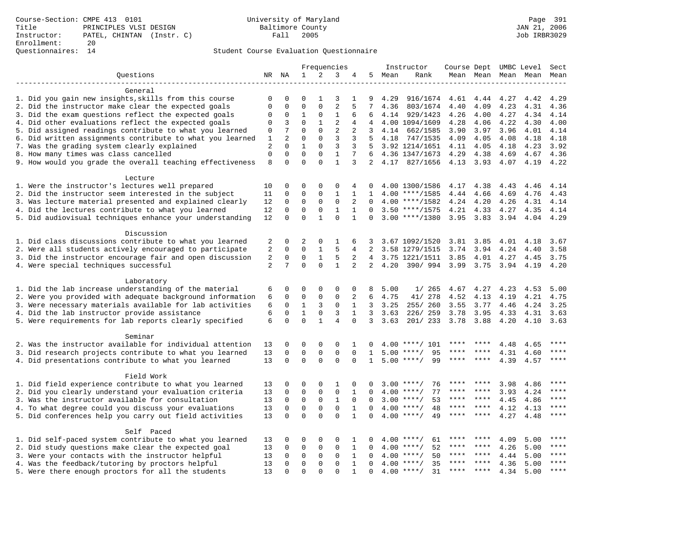Course-Section: CMPE 413 0101 University of Maryland Page 391 Title PRINCIPLES VLSI DESIGN Baltimore County JAN 21, 2006 Instructor: PATEL, CHINTAN (Instr. C) Enrollment: 20 Questionnaires: 14

|                                                           |                |                |              |              | Frequencies    |              |                 |      | Instructor         | Course Dept UMBC Level |             |      |                          | Sect  |
|-----------------------------------------------------------|----------------|----------------|--------------|--------------|----------------|--------------|-----------------|------|--------------------|------------------------|-------------|------|--------------------------|-------|
| Questions                                                 |                | NR NA          | 1            | 2            | 3              | 4            | 5               | Mean | Rank               |                        |             |      | Mean Mean Mean Mean Mean |       |
|                                                           |                |                |              |              |                |              |                 |      |                    |                        |             |      |                          |       |
| General                                                   |                |                |              |              |                |              |                 |      |                    |                        |             |      |                          |       |
| 1. Did you gain new insights, skills from this course     | 0              | $\mathbf 0$    | 0            | 1            | 3              | 1            | 9               | 4.29 | 916/1674           | 4.61                   | 4.44        | 4.27 | 4.42                     | 4.29  |
| 2. Did the instructor make clear the expected goals       | $\mathbf 0$    | $\Omega$       | $\Omega$     | $\Omega$     | $\overline{2}$ | 5            | 7               | 4.36 | 803/1674           | 4.40                   | 4.09        | 4.23 | 4.31                     | 4.36  |
| 3. Did the exam questions reflect the expected goals      | $\mathbf 0$    | 0              | $\mathbf 1$  | $\mathsf 0$  | $\mathbf{1}$   | 6            | 6               |      | 4.14 929/1423      | 4.26                   | 4.00        | 4.27 | 4.34                     | 4.14  |
| 4. Did other evaluations reflect the expected goals       | $\mathbf{0}$   | 3              | $\Omega$     | $\mathbf{1}$ | $\overline{2}$ | 4            | 4               |      | 4.00 1094/1609     | 4.28                   | 4.06        | 4.22 | 4.30                     | 4.00  |
| 5. Did assigned readings contribute to what you learned   | 0              | 7              | $\Omega$     | $\Omega$     | $\overline{2}$ | 2            | $\mathbf{3}$    |      | 4.14 662/1585      | 3.90                   | 3.97        | 3.96 | 4.01                     | 4.14  |
| 6. Did written assignments contribute to what you learned | $\mathbf{1}$   | $\overline{a}$ | $\mathbf 0$  | $\Omega$     | $\overline{3}$ | 3            | 5               | 4.18 | 747/1535           | 4.09                   | 4.05        | 4.08 | 4.18                     | 4.18  |
| 7. Was the grading system clearly explained               | $\overline{2}$ | $\Omega$       | $\mathbf{1}$ | $\Omega$     | 3              | 3            | .5              |      | 3.92 1214/1651     | 4.11                   | 4.05        | 4.18 | 4.23                     | 3.92  |
| 8. How many times was class cancelled                     | $\mathbf{0}$   | $\Omega$       | $\Omega$     | $\Omega$     | $\mathbf{1}$   | 7            | 6               |      | 4.36 1347/1673     | 4.29                   | 4.38        | 4.69 | 4.67                     | 4.36  |
| 9. How would you grade the overall teaching effectiveness | 8              | $\Omega$       | $\Omega$     | $\Omega$     | $\mathbf{1}$   | 3            | 2               |      | 4.17 827/1656      | 4.13 3.93              |             | 4.07 | 4.19                     | 4.22  |
| Lecture                                                   |                |                |              |              |                |              |                 |      |                    |                        |             |      |                          |       |
| 1. Were the instructor's lectures well prepared           | 10             | $\mathbf 0$    | $\Omega$     | $\mathbf{0}$ | $\Omega$       | 4            |                 |      | 4.00 1300/1586     | 4.17                   | 4.38        | 4.43 | 4.46                     | 4.14  |
| 2. Did the instructor seem interested in the subject      | 11             | $\mathbf 0$    | $\mathbf 0$  | $\mathbf{0}$ | $\mathbf{1}$   | $\mathbf{1}$ | 1               |      | $4.00$ ****/1585   | 4.44                   | 4.66        | 4.69 | 4.76                     | 4.43  |
| 3. Was lecture material presented and explained clearly   | 12             | $\mathbf 0$    | $\mathbf 0$  | $\mathbf 0$  | $\mathbf 0$    | 2            | $\Omega$        |      | $4.00$ ****/1582   | 4.24 4.20              |             | 4.26 | 4.31                     | 4.14  |
| 4. Did the lectures contribute to what you learned        | 12             | $\mathbf 0$    | $\mathbf 0$  | $\mathsf 0$  | $\mathbf{1}$   | 1            | $\mathbf 0$     |      | $3.50$ ****/1575   | 4.21                   | 4.33        | 4.27 | 4.35 4.14                |       |
| 5. Did audiovisual techniques enhance your understanding  | 12             | $\mathbf 0$    | $\mathbf 0$  | $\mathbf{1}$ | $\Omega$       | $\mathbf{1}$ |                 |      | $3.00$ ****/1380   | $3.95$ $3.83$          |             | 3.94 | 4.04                     | 4.29  |
|                                                           |                |                |              |              |                |              |                 |      |                    |                        |             |      |                          |       |
| Discussion                                                |                |                |              |              |                |              |                 |      |                    |                        |             |      |                          |       |
| 1. Did class discussions contribute to what you learned   | 2              | $\Omega$       | 2            | $\Omega$     | $\mathbf{1}$   | 6            | 3               |      | 3.67 1092/1520     | 3.81                   | 3.85        | 4.01 | 4.18                     | 3.67  |
| 2. Were all students actively encouraged to participate   | 2              | $\mathbf 0$    | $\Omega$     | $\mathbf{1}$ | 5              | 4            | 2               |      | 3.58 1279/1515     | 3.74                   | 3.94        | 4.24 | 4.40                     | 3.58  |
| 3. Did the instructor encourage fair and open discussion  | 2              | $\mathbf 0$    | 0            | $\mathbf{1}$ | 5              | 2            | $4\overline{ }$ |      | 3.75 1221/1511     | 3.85                   | 4.01        | 4.27 | 4.45                     | 3.75  |
| 4. Were special techniques successful                     | 2              | 7              | $\Omega$     | $\Omega$     | $\mathbf{1}$   | 2            | $\overline{2}$  | 4.20 | 390/994            | 3.99                   | 3.75        | 3.94 | 4.19                     | 4.20  |
| Laboratory                                                |                |                |              |              |                |              |                 |      |                    |                        |             |      |                          |       |
| 1. Did the lab increase understanding of the material     | 6              | $\mathbf 0$    | $\Omega$     | $\Omega$     | 0              | 0            | 8               | 5.00 | 1/265              | 4.67                   | 4.27        | 4.23 | 4.53                     | 5.00  |
| 2. Were you provided with adequate background information | 6              | $\Omega$       | 0            | $\Omega$     | $\mathbf{0}$   | 2            | 6               | 4.75 | 41/ 278            | 4.52                   | 4.13        | 4.19 | 4.21                     | 4.75  |
| 3. Were necessary materials available for lab activities  | 6              | $\mathbf 0$    | 1            | 3            | $\mathbf 0$    | $\mathbf{1}$ | $\overline{3}$  | 3.25 | 255/260            | 3.55                   | 3.77        | 4.46 | 4.24                     | 3.25  |
| 4. Did the lab instructor provide assistance              | 6              | $\mathbf 0$    | $\mathbf{1}$ | $\mathbf 0$  | $\overline{3}$ | $\mathbf{1}$ | 3               | 3.63 | 226/259            | 3.78                   | 3.95        | 4.33 | 4.31                     | 3.63  |
| 5. Were requirements for lab reports clearly specified    | 6              | $\mathbf 0$    | $\Omega$     | $\mathbf{1}$ | $\overline{4}$ | $\Omega$     | 3               | 3.63 | 201/233            | 3.78                   | 3.88        | 4.20 | 4.10                     | 3.63  |
| Seminar                                                   |                |                |              |              |                |              |                 |      |                    |                        |             |      |                          |       |
| 2. Was the instructor available for individual attention  | 13             | $\mathbf 0$    | 0            | $\Omega$     | 0              | 1            | 0               |      | $4.00$ ****/ 101   |                        |             | 4.48 | 4.65                     | ****  |
| 3. Did research projects contribute to what you learned   | 13             | $\mathbf 0$    | $\mathbf 0$  | $\mathbf 0$  | $\mathbf 0$    | $\mathbf{0}$ | $\mathbf{1}$    |      | $5.00$ ****/<br>95 |                        |             | 4.31 | 4.60                     | ****  |
| 4. Did presentations contribute to what you learned       | 13             | $\Omega$       | $\mathbf 0$  | $\Omega$     | $\Omega$       | $\Omega$     | $\mathbf{1}$    | 5.00 | $***$ /<br>99      |                        | ****        | 4.39 | 4.57                     | ****  |
|                                                           |                |                |              |              |                |              |                 |      |                    |                        |             |      |                          |       |
| Field Work                                                |                |                |              |              |                |              |                 |      |                    |                        |             |      |                          |       |
| 1. Did field experience contribute to what you learned    | 13             | $\mathbf 0$    | 0            | 0            | $\mathbf{1}$   | 0            | $\Omega$        | 3.00 | 76<br>****/        |                        |             | 3.98 | 4.86                     |       |
| 2. Did you clearly understand your evaluation criteria    | 13             | $\mathbf 0$    | $\mathbf 0$  | $\mathsf 0$  | $\mathbf 0$    | 1            | $\Omega$        | 4.00 | 77<br>$***$ /      | ****                   | ****        | 3.93 | 4.24                     | ****  |
| 3. Was the instructor available for consultation          | 13             | $\mathbf 0$    | $\mathbf 0$  | $\mathsf 0$  | $\mathbf{1}$   | 0            | 0               |      | 53<br>$3.00$ ****/ | $***$ * *              | $***$ * * * | 4.45 | 4.86                     | ****  |
| 4. To what degree could you discuss your evaluations      | 13             | $\mathbf 0$    | $\mathbf 0$  | $\mathbf 0$  | $\mathbf 0$    | $\mathbf{1}$ | $\Omega$        |      | $4.00$ ****/<br>48 | $***$ * * *            | $***$       | 4.12 | 4.13                     | $***$ |
| 5. Did conferences help you carry out field activities    | 13             | $\Omega$       | $\Omega$     | $\Omega$     | $\Omega$       | $\mathbf{1}$ | $\Omega$        | 4.00 | $***$ /<br>49      | ****                   | $***$       | 4.27 | 4.48                     | $***$ |
| Self Paced                                                |                |                |              |              |                |              |                 |      |                    |                        |             |      |                          |       |
| 1. Did self-paced system contribute to what you learned   | 13             | $\Omega$       | $\Omega$     | $\Omega$     | $\Omega$       | 1            | 0               | 4.00 | ****/<br>61        |                        |             | 4.09 | 5.00                     | ****  |
| 2. Did study questions make clear the expected goal       | 13             | $\mathbf 0$    | 0            | $\mathsf 0$  | $\mathbf 0$    | $\mathbf{1}$ | $\mathbf 0$     | 4.00 | 52<br>$***$ /      |                        | ****        | 4.26 | 5.00                     | ****  |
| 3. Were your contacts with the instructor helpful         | 13             | $\mathbf 0$    | 0            | 0            | $\mathbf 0$    | $\mathbf{1}$ | $\Omega$        | 4.00 | 50<br>$***$ /      | ****                   | ****        | 4.44 | 5.00                     | $***$ |
| 4. Was the feedback/tutoring by proctors helpful          | 13             | $\Omega$       | $\mathbf 0$  | $\mathbf{0}$ | $\mathbf 0$    | $\mathbf{1}$ | $\Omega$        |      | 35<br>$4.00$ ****/ | ****                   | $***$ *     | 4.36 | 5.00                     | $***$ |
| 5. Were there enough proctors for all the students        | 13             | $\Omega$       | $\Omega$     | $\Omega$     | $\Omega$       | $\mathbf{1}$ | $\Omega$        |      | $4.00$ ****/<br>31 | $***$ * * *            | $***$ *     | 4.34 | 5.00                     | $***$ |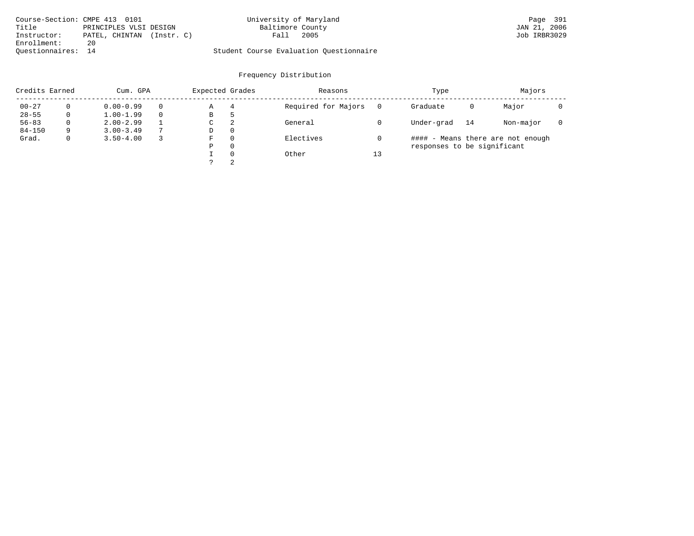| Course-Section: CMPE 413 0101 |                           | University of Maryland                  | Page 391     |
|-------------------------------|---------------------------|-----------------------------------------|--------------|
| Title                         | PRINCIPLES VLSI DESIGN    | Baltimore County                        | JAN 21, 2006 |
| Instructor:                   | PATEL, CHINTAN (Instr. C) | 2005<br>Fall                            | Job IRBR3029 |
| Enrollment:                   | 20                        |                                         |              |
| Ouestionnaires: 14            |                           | Student Course Evaluation Questionnaire |              |

| Credits Earned |          | Cum. GPA      | Expected Grades |          | Reasons             |          | Type                        |    | Majors                            |  |
|----------------|----------|---------------|-----------------|----------|---------------------|----------|-----------------------------|----|-----------------------------------|--|
| $00 - 27$      | $\Omega$ | $0.00 - 0.99$ | Α               | 4        | Required for Majors | $\Omega$ | Graduate                    | 0  | Major                             |  |
| $28 - 55$      | 0        | $1.00 - 1.99$ | В               | 5        |                     |          |                             |    |                                   |  |
| $56 - 83$      | 0        | $2.00 - 2.99$ | C               | 2        | General             |          | Under-grad                  | 14 | Non-major                         |  |
| $84 - 150$     | 9        | $3.00 - 3.49$ | D               | 0        |                     |          |                             |    |                                   |  |
| Grad.          | 0        | $3.50 - 4.00$ | F               | 0        | Electives           |          |                             |    | #### - Means there are not enough |  |
|                |          |               | Ρ               | 0        |                     |          | responses to be significant |    |                                   |  |
|                |          |               |                 | $\Omega$ | Other               | 13       |                             |    |                                   |  |
|                |          |               |                 | 2        |                     |          |                             |    |                                   |  |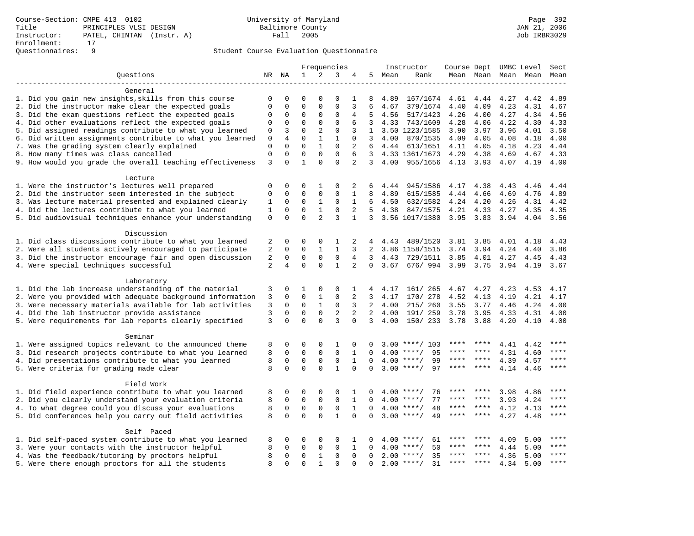# Questionnaires: 9 Student Course Evaluation Questionnaire

|                                                           |                |                |              |                | Frequencies    |                |              |      | Instructor                        | Course Dept UMBC Level |           |      |           | Sect      |
|-----------------------------------------------------------|----------------|----------------|--------------|----------------|----------------|----------------|--------------|------|-----------------------------------|------------------------|-----------|------|-----------|-----------|
| Ouestions                                                 |                | NR NA          | $\mathbf{1}$ | 2              | 3              | 4              | 5            | Mean | Rank                              |                        | Mean Mean |      | Mean Mean | Mean      |
|                                                           |                |                |              |                |                |                |              |      |                                   |                        |           |      |           |           |
| General                                                   |                |                |              |                |                |                |              |      |                                   |                        |           |      |           |           |
| 1. Did you gain new insights, skills from this course     | 0              | 0              | 0            | 0              | 0              | 1              | 8            | 4.89 | 167/1674                          | 4.61                   | 4.44      | 4.27 | 4.42      | 4.89      |
| 2. Did the instructor make clear the expected goals       | 0              | $\mathbf 0$    | $\mathbf 0$  | $\mathbf{0}$   | $\mathbf{0}$   | 3              | 6            | 4.67 | 379/1674                          | 4.40                   | 4.09      | 4.23 | 4.31      | 4.67      |
| 3. Did the exam questions reflect the expected goals      | $\mathbf 0$    | $\mathbf 0$    | $\mathbf 0$  | $\mathbf{0}$   | $\mathbf{0}$   | 4              | .5           | 4.56 | 517/1423                          | 4.26                   | 4.00      | 4.27 | 4.34      | 4.56      |
| 4. Did other evaluations reflect the expected goals       | $\Omega$       | $\mathbf 0$    | $\mathbf 0$  | $\mathbf 0$    | $\mathbf 0$    | 6              | 3            | 4.33 | 743/1609                          | 4.28                   | 4.06      | 4.22 | 4.30      | 4.33      |
| 5. Did assigned readings contribute to what you learned   | 0              | 3              | $\mathbf 0$  | 2              | $\mathbf{0}$   | 3              | $\mathbf{1}$ |      | 3.50 1223/1585                    | 3.90                   | 3.97      | 3.96 | 4.01      | 3.50      |
| 6. Did written assignments contribute to what you learned | $\mathbf 0$    | $\overline{4}$ | $\Omega$     | $\mathbf{1}$   | $\mathbf{1}$   | $\Omega$       | 3            | 4.00 | 870/1535                          | 4.09                   | 4.05      | 4.08 | 4.18      | 4.00      |
| 7. Was the grading system clearly explained               | $\mathbf 0$    | $\Omega$       | $\Omega$     | $\mathbf{1}$   | $\Omega$       | 2              | 6            |      | 4.44 613/1651                     | 4.11                   | 4.05      | 4.18 | 4.23      | 4.44      |
| 8. How many times was class cancelled                     | $\mathbf 0$    | $\Omega$       | $\mathbf 0$  | $\mathbf 0$    | $\Omega$       | 6              | $\mathbf{3}$ |      | 4.33 1361/1673                    | 4.29                   | 4.38      | 4.69 | 4.67      | 4.33      |
| 9. How would you grade the overall teaching effectiveness | 3              | $\Omega$       | $\mathbf{1}$ | $\Omega$       | $\Omega$       | $\overline{2}$ | 3            | 4.00 | 955/1656                          | 4.13                   | 3.93      | 4.07 | 4.19      | 4.00      |
| Lecture                                                   |                |                |              |                |                |                |              |      |                                   |                        |           |      |           |           |
| 1. Were the instructor's lectures well prepared           | $\mathbf 0$    | $\mathbf 0$    | 0            | $\mathbf 1$    | $\Omega$       | 2              | 6            | 4.44 | 945/1586                          | 4.17                   | 4.38      | 4.43 | 4.46      | 4.44      |
| 2. Did the instructor seem interested in the subject      | $\mathbf 0$    | $\mathbf 0$    | $\mathbf 0$  | $\mathbf 0$    | $\Omega$       | 1              | 8            | 4.89 | 615/1585                          | 4.44                   | 4.66      | 4.69 | 4.76      | 4.89      |
| 3. Was lecture material presented and explained clearly   | 1              | 0              | 0            | $\mathbf{1}$   | 0              | 1              | 6            | 4.50 | 632/1582                          | 4.24                   | 4.20      | 4.26 | 4.31      | 4.42      |
| 4. Did the lectures contribute to what you learned        | 1              | $\mathbf 0$    | 0            | $\mathbf{1}$   | $\mathbf 0$    | 2              | 5            | 4.38 | 847/1575                          | 4.21                   | 4.33      | 4.27 | 4.35      | 4.35      |
| 5. Did audiovisual techniques enhance your understanding  | $\mathsf 0$    | $\mathbf 0$    | $\mathbf 0$  | $\overline{2}$ | $\overline{3}$ | 1              | $\mathbf{3}$ |      | 3.56 1017/1380                    | 3.95                   | 3.83      | 3.94 | 4.04      | 3.56      |
|                                                           |                |                |              |                |                |                |              |      |                                   |                        |           |      |           |           |
| Discussion                                                |                |                |              |                |                |                |              |      |                                   |                        |           |      |           |           |
| 1. Did class discussions contribute to what you learned   | 2              | 0              | 0            | 0              | 1              | 2              | 4            | 4.43 | 489/1520                          | 3.81                   | 3.85      | 4.01 | 4.18      | 4.43      |
| 2. Were all students actively encouraged to participate   | 2              | 0              | $\mathbf 0$  | 1              | 1              | 3              | 2            |      | 3.86 1158/1515                    | 3.74                   | 3.94      | 4.24 | 4.40      | 3.86      |
| 3. Did the instructor encourage fair and open discussion  | 2              | $\mathbf 0$    | $\mathbf 0$  | $\mathbf 0$    | 0              | 4              | 3            | 4.43 | 729/1511                          | 3.85                   | 4.01      | 4.27 | 4.45      | 4.43      |
| 4. Were special techniques successful                     | $\overline{2}$ | $\overline{4}$ | $\Omega$     | $\Omega$       | $\mathbf{1}$   | 2              | $\Omega$     |      | 3.67 676/ 994 3.99 3.75 3.94 4.19 |                        |           |      |           | 3.67      |
|                                                           |                |                |              |                |                |                |              |      |                                   |                        |           |      |           |           |
| Laboratory                                                |                |                |              |                |                |                |              |      |                                   |                        |           |      |           |           |
| 1. Did the lab increase understanding of the material     | 3              | $\mathbf 0$    | 1            | $\mathbf 0$    | $\Omega$       | 1              | 4            | 4.17 | 161/ 265                          | 4.67                   | 4.27      | 4.23 | 4.53      | 4.17      |
| 2. Were you provided with adequate background information | 3              | $\mathbf 0$    | $\mathbf 0$  | $\mathbf{1}$   | $\mathbf{0}$   | 2              | 3            | 4.17 | 170/ 278                          | 4.52                   | 4.13      | 4.19 | 4.21      | 4.17      |
| 3. Were necessary materials available for lab activities  | 3              | $\mathbf 0$    | $\mathbf 0$  | $\mathbf{1}$   | $\mathbf 0$    | 3              | 2            | 4.00 | 215/ 260                          | 3.55                   | 3.77      | 4.46 | 4.24      | 4.00      |
| 4. Did the lab instructor provide assistance              | 3              | $\mathbf 0$    | $\mathbf 0$  | $\mathbf 0$    | $\overline{2}$ | $\overline{a}$ | 2            | 4.00 | 191/ 259                          | 3.78                   | 3.95      | 4.33 | 4.31      | 4.00      |
| 5. Were requirements for lab reports clearly specified    | $\overline{3}$ | 0              | $\mathbf 0$  | $\Omega$       | $\overline{3}$ | $\mathbf 0$    | $\mathbf{3}$ | 4.00 | 150/ 233                          | 3.78                   | 3.88      | 4.20 | 4.10      | 4.00      |
| Seminar                                                   |                |                |              |                |                |                |              |      |                                   |                        |           |      |           |           |
| 1. Were assigned topics relevant to the announced theme   | 8              | $\mathbf 0$    | 0            | $\mathbf 0$    | $\mathbf{1}$   | 0              |              | 3.00 | ****/ 103                         | ****                   |           | 4.41 | 4.42      | $* * * *$ |
| 3. Did research projects contribute to what you learned   | 8              | $\mathbf 0$    | $\mathbf 0$  | $\mathbf 0$    | $\mathbf 0$    | 1              | $\Omega$     | 4.00 | $***/$<br>95                      | ****                   | ****      | 4.31 | 4.60      | ****      |
| 4. Did presentations contribute to what you learned       | 8              | $\mathbf 0$    | $\mathbf 0$  | $\mathbf 0$    | 0              | 1              | $\Omega$     |      | $4.00$ ****/<br>99                | $***$ * *              | ****      | 4.39 | 4.57      | ****      |
| 5. Were criteria for grading made clear                   | 8              | $\Omega$       | $\Omega$     | $\Omega$       | $\mathbf{1}$   | $\Omega$       | $\mathbf 0$  |      | $3.00$ ****/<br>97                | ****                   | $***$ *   | 4.14 | 4.46      | ****      |
|                                                           |                |                |              |                |                |                |              |      |                                   |                        |           |      |           |           |
| Field Work                                                |                |                |              |                |                |                |              |      |                                   |                        |           |      |           |           |
| 1. Did field experience contribute to what you learned    | 8              | 0              | 0            | 0              | $\Omega$       | 1              | 0            | 4.00 | $***$ /<br>76                     | ****                   | ****      | 3.98 | 4.86      | ****      |
| 2. Did you clearly understand your evaluation criteria    | 8              | $\mathbf 0$    | $\mathbf 0$  | $\mathsf 0$    | $\mathbf 0$    | $\mathbf{1}$   | $\Omega$     |      | $4.00$ ****/<br>77                | ****                   | ****      | 3.93 | 4.24      | ****      |
| 4. To what degree could you discuss your evaluations      | 8              | $\mathbf 0$    | $\mathbf 0$  | $\mathbf{0}$   | $\mathbf 0$    | $\mathbf{1}$   | $\Omega$     | 4.00 | $***$ /<br>48                     | ****                   | ****      | 4.12 | 4.13      | $***$ *   |
| 5. Did conferences help you carry out field activities    | 8              | $\Omega$       | $\Omega$     | $\Omega$       | $\mathbf{1}$   | $\Omega$       | $\Omega$     |      | $3.00$ ****/<br>49                | ****                   | ****      | 4.27 | 4.48      | ****      |
| Self Paced                                                |                |                |              |                |                |                |              |      |                                   |                        |           |      |           |           |
| 1. Did self-paced system contribute to what you learned   | 8              | 0              | 0            | 0              | 0              | 1              | 0            | 4.00 | $***$ /<br>61                     | ****                   |           | 4.09 | 5.00      | ****      |
| 3. Were your contacts with the instructor helpful         | 8              | 0              | $\mathbf 0$  | 0              | $\mathbf{0}$   | 1              | $\Omega$     | 4.00 | 50<br>$***$ /                     | ****                   | ****      | 4.44 | 5.00      | $***$     |
| 4. Was the feedback/tutoring by proctors helpful          | 8              | $\mathbf 0$    | $\mathbf 0$  | 1              | $\mathbf{0}$   | 0              | 0            |      | $2.00$ ****/<br>35                | ****                   | $***$ *   | 4.36 | 5.00      | ****      |
| 5. Were there enough proctors for all the students        | 8              | $\Omega$       | $\Omega$     | $\mathbf{1}$   | $\Omega$       | $\Omega$       | $\Omega$     |      | $2.00$ ****/<br>31                | $***$ *                | $***$     | 4.34 | 5.00      | ****      |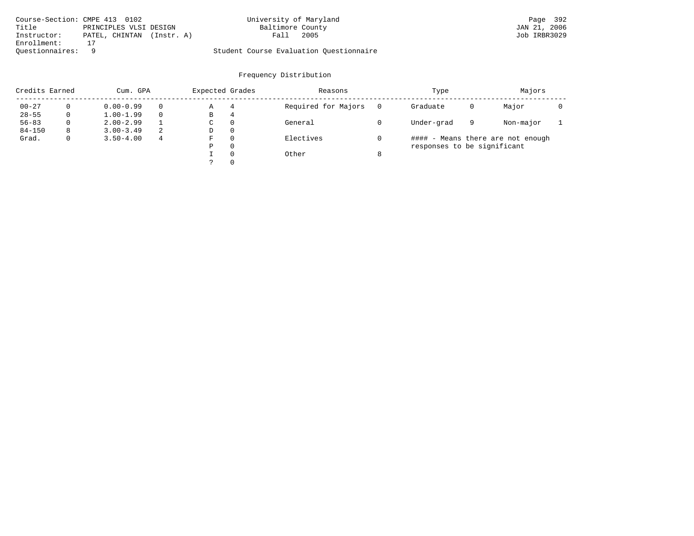| Course-Section: CMPE 413 0102 |                           | University of Maryland                  | Page 392     |
|-------------------------------|---------------------------|-----------------------------------------|--------------|
| Title                         | PRINCIPLES VLSI DESIGN    | Baltimore County                        | JAN 21, 2006 |
| Instructor:                   | PATEL, CHINTAN (Instr. A) | 2005<br>Fall                            | Job IRBR3029 |
| Enrollment:                   |                           |                                         |              |
| Ouestionnaires:               |                           | Student Course Evaluation Questionnaire |              |

| Credits Earned |          | Cum. GPA      |   | Expected Grades |          | Reasons             |   | Type                        |   | Majors                            |  |
|----------------|----------|---------------|---|-----------------|----------|---------------------|---|-----------------------------|---|-----------------------------------|--|
| $00 - 27$      | $\Omega$ | $0.00 - 0.99$ |   | Α               | 4        | Required for Majors | 0 | Graduate                    | 0 | Major                             |  |
| $28 - 55$      | 0        | $1.00 - 1.99$ |   | В               | 4        |                     |   |                             |   |                                   |  |
| $56 - 83$      | $\Omega$ | $2.00 - 2.99$ |   | $\sim$<br>◡     | 0        | General             |   | Under-grad                  | 9 | Non-major                         |  |
| $84 - 150$     | 8        | $3.00 - 3.49$ | 2 | D               | 0        |                     |   |                             |   |                                   |  |
| Grad.          | 0        | $3.50 - 4.00$ | 4 | F               | 0        | Electives           |   |                             |   | #### - Means there are not enough |  |
|                |          |               |   | Ρ               | 0        |                     |   | responses to be significant |   |                                   |  |
|                |          |               |   |                 | $\Omega$ | Other               | 8 |                             |   |                                   |  |
|                |          |               |   | C               |          |                     |   |                             |   |                                   |  |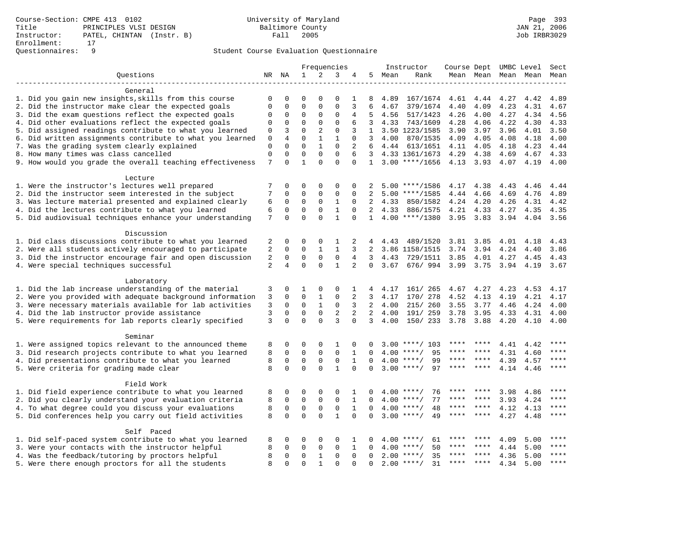# Questionnaires: 9 Student Course Evaluation Questionnaire

|                                                           |                     |                         | Frequencies             |                                 |                          |                | Instructor     | Course Dept UMBC Level |                             |              |              | Sect |              |           |
|-----------------------------------------------------------|---------------------|-------------------------|-------------------------|---------------------------------|--------------------------|----------------|----------------|------------------------|-----------------------------|--------------|--------------|------|--------------|-----------|
| Ouestions                                                 |                     | NR NA                   | 1                       | 2                               | 3                        | 4              | 5              | Mean                   | Rank                        |              | Mean Mean    |      | Mean Mean    | Mean      |
|                                                           |                     |                         |                         |                                 |                          |                |                |                        |                             |              |              |      |              |           |
| General                                                   |                     |                         |                         |                                 |                          |                |                |                        |                             |              |              |      |              |           |
| 1. Did you gain new insights, skills from this course     | 0                   | 0                       | 0                       | $\mathbf 0$                     | $\Omega$                 | 1              | 8              | 4.89                   | 167/1674                    | 4.61         | 4.44         | 4.27 | 4.42         | 4.89      |
| 2. Did the instructor make clear the expected goals       | 0                   | $\mathbf 0$             | $\mathbf{0}$            | $\mathbf 0$                     | $\mathbf 0$              | 3              | 6              | 4.67                   | 379/1674                    | 4.40         | 4.09         | 4.23 | 4.31         | 4.67      |
| 3. Did the exam questions reflect the expected goals      | $\mathbf 0$         | 0                       | $\mathbf{0}$            | $\Omega$                        | $\mathbf{0}$             | 4              | 5              | 4.56                   | 517/1423                    | 4.26         | 4.00         | 4.27 | 4.34         | 4.56      |
| 4. Did other evaluations reflect the expected goals       | 0                   | $\mathbf 0$             | $\mathbf 0$             | $\mathbf 0$                     | $\mathbf{0}$             | 6              | 3              | 4.33                   | 743/1609                    | 4.28         | 4.06         | 4.22 | 4.30         | 4.33      |
| 5. Did assigned readings contribute to what you learned   | 0                   | 3                       | $\mathbf{0}$            | $\overline{a}$                  | 0                        | 3              | $\mathbf{1}$   |                        | 3.50 1223/1585              | 3.90         | 3.97         | 3.96 | 4.01         | 3.50      |
| 6. Did written assignments contribute to what you learned | 0                   | $\overline{4}$          | $\Omega$                | $\mathbf{1}$                    | $\mathbf{1}$             | $\mathbf 0$    | 3              | 4.00                   | 870/1535                    | 4.09         | 4.05         | 4.08 | 4.18         | 4.00      |
| 7. Was the grading system clearly explained               | $\Omega$            | $\Omega$                | $\Omega$                | $\mathbf{1}$                    | $\Omega$                 | 2              | 6              |                        | 4.44 613/1651               | 4.11         | 4.05         | 4.18 | 4.23         | 4.44      |
| 8. How many times was class cancelled                     | $\mathsf 0$         | $\Omega$                | $\mathbf{0}$            | $\Omega$                        | $\Omega$                 | 6              | 3              |                        | 4.33 1361/1673              | 4.29         | 4.38         | 4.69 | 4.67         | 4.33      |
| 9. How would you grade the overall teaching effectiveness | 7                   | $\Omega$                | $\mathbf{1}$            | $\Omega$                        | $\Omega$                 | $\Omega$       | $\mathbf{1}$   |                        | $3.00$ ****/1656            | 4.13         | 3.93         | 4.07 | 4.19         | 4.00      |
| Lecture                                                   |                     |                         |                         |                                 |                          |                |                |                        |                             |              |              |      |              |           |
| 1. Were the instructor's lectures well prepared           | 7                   | 0                       | $\mathbf 0$             | $\mathbf 0$                     | 0                        | 0              | 2              |                        | $5.00$ ****/1586            | 4.17         | 4.38         | 4.43 | 4.46         | 4.44      |
| 2. Did the instructor seem interested in the subject      | 7                   | $\mathbf 0$             | $\mathbf 0$             | $\mathbf 0$                     | $\mathsf 0$              | $\mathbf 0$    | 2              |                        | $5.00$ ****/1585            | 4.44         | 4.66         | 4.69 | 4.76         | 4.89      |
| 3. Was lecture material presented and explained clearly   | 6                   | 0                       | $\mathbf{0}$            | $\mathbf 0$                     | $\mathbf{1}$             | $\Omega$       | 2              | 4.33                   | 850/1582                    | 4.24         | 4.20         | 4.26 | 4.31         | 4.42      |
| 4. Did the lectures contribute to what you learned        | 6                   | $\mathbf 0$             | $\mathbf 0$             | 0                               | 1                        | $\Omega$       | 2              | 4.33                   | 886/1575                    | 4.21         | 4.33         | 4.27 | 4.35         | 4.35      |
| 5. Did audiovisual techniques enhance your understanding  | $\overline{7}$      | $\Omega$                | $\mathbf{0}$            | $\Omega$                        | $\mathbf{1}$             | $\Omega$       | $\mathbf{1}$   |                        | $4.00$ ****/1380            | 3.95         | 3.83         | 3.94 | 4.04         | 3.56      |
|                                                           |                     |                         |                         |                                 |                          |                |                |                        |                             |              |              |      |              |           |
| Discussion                                                |                     |                         |                         |                                 |                          |                |                |                        |                             |              |              |      |              |           |
| 1. Did class discussions contribute to what you learned   | 2                   | 0                       | 0                       | 0                               | 1                        | 2              | 4              | 4.43                   | 489/1520                    | 3.81         | 3.85         | 4.01 | 4.18         | 4.43      |
| 2. Were all students actively encouraged to participate   | 2                   | $\mathbf 0$             | $\mathbf{0}$            | $\mathbf{1}$                    | $\mathbf{1}$             | 3              | 2              |                        | 3.86 1158/1515              | 3.74         | 3.94         | 4.24 | 4.40         | 3.86      |
| 3. Did the instructor encourage fair and open discussion  | 2                   | $\Omega$                | $\mathbf 0$             | $\Omega$                        | $\Omega$                 | 4              | 3              | 4.43                   | 729/1511                    | 3.85         | 4.01         | 4.27 | 4.45         | 4.43      |
| 4. Were special techniques successful                     | $\overline{a}$      | 4                       | $\Omega$                | $\Omega$                        | $\mathbf{1}$             | $\overline{2}$ | $\Omega$       |                        | 3.67 676/994 3.99 3.75 3.94 |              |              |      | 4.19         | 3.67      |
|                                                           |                     |                         |                         |                                 |                          |                |                |                        |                             |              |              |      |              |           |
| Laboratory                                                |                     |                         |                         |                                 |                          |                |                |                        |                             |              |              |      |              |           |
| 1. Did the lab increase understanding of the material     | 3                   | 0                       | 1<br>$\mathbf 0$        | $\mathbf 0$                     | $\Omega$<br>$\mathbf{0}$ | 1              | 4              | 4.17                   | 161/ 265                    | 4.67         | 4.27         | 4.23 | 4.53         | 4.17      |
| 2. Were you provided with adequate background information | 3<br>$\mathbf{3}$   | 0<br>$\mathbf 0$        | $\mathbf 0$             | 1<br>$\mathbf{1}$               | $\mathbf{0}$             | 2<br>3         | 3<br>2         | 4.17                   | 170/ 278                    | 4.52<br>3.55 | 4.13<br>3.77 | 4.19 | 4.21<br>4.24 | 4.17      |
| 3. Were necessary materials available for lab activities  |                     |                         |                         |                                 |                          |                | $\overline{2}$ | 4.00                   | 215/ 260                    |              |              | 4.46 |              | 4.00      |
| 4. Did the lab instructor provide assistance              | $\overline{3}$<br>3 | $\mathbf 0$<br>$\Omega$ | $\mathbf 0$<br>$\Omega$ | $\mathsf{O}\xspace$<br>$\Omega$ | $\overline{2}$<br>3      | 2              |                | 4.00                   | 191/ 259                    | 3.78         | 3.95         | 4.33 | 4.31         | 4.00      |
| 5. Were requirements for lab reports clearly specified    |                     |                         |                         |                                 |                          | $\Omega$       | 3              | 4.00                   | 150/ 233                    | 3.78         | 3.88         | 4.20 | 4.10         | 4.00      |
| Seminar                                                   |                     |                         |                         |                                 |                          |                |                |                        |                             |              |              |      |              |           |
| 1. Were assigned topics relevant to the announced theme   | 8                   | 0                       | $\mathbf 0$             | $\Omega$                        | $\mathbf{1}$             | 0              | $\Omega$       | 3.00                   | ****/ 103                   | ****         |              | 4.41 | 4.42         | $* * * *$ |
| 3. Did research projects contribute to what you learned   | 8                   | 0                       | $\mathbf 0$             | $\mathbf 0$                     | $\mathbf{0}$             | $\mathbf 1$    | $\Omega$       | 4.00                   | $***/$<br>95                | ****         | ****         | 4.31 | 4.60         | ****      |
| 4. Did presentations contribute to what you learned       | 8                   | $\mathbf 0$             | $\mathsf 0$             | $\mathbf 0$                     | $\mathbf{0}$             | $\mathbf{1}$   | $\Omega$       | 4.00                   | $***/$<br>99                | ****         | ****         | 4.39 | 4.57         | $***$     |
| 5. Were criteria for grading made clear                   | 8                   | $\Omega$                | $\Omega$                | $\Omega$                        | $\mathbf{1}$             | $\Omega$       | $\Omega$       |                        | $3.00$ ****/<br>97          | ****         | $***$ *      | 4.14 | 4.46         | $***$     |
|                                                           |                     |                         |                         |                                 |                          |                |                |                        |                             |              |              |      |              |           |
| Field Work                                                | 8                   | 0                       | 0                       | $\mathbf 0$                     | $\mathbf 0$              | 1              |                | 4.00                   | 76<br>$***$ /               | ****         | ****         | 3.98 |              | ****      |
| 1. Did field experience contribute to what you learned    | 8                   | $\mathbf 0$             | $\mathbf 0$             | $\mathsf{O}$                    | $\mathsf 0$              | $\mathbf{1}$   | $\Omega$       | 4.00                   | 77<br>$* * * * /$           | ****         | ****         | 3.93 | 4.86<br>4.24 | ****      |
| 2. Did you clearly understand your evaluation criteria    | 8                   | $\mathbf 0$             | $\mathbf 0$             | $\mathbf 0$                     | $\mathbf{0}$             | $\mathbf{1}$   | $\Omega$       | 4.00                   | 48<br>$***$ /               | ****         | ****         | 4.12 |              | ****      |
| 4. To what degree could you discuss your evaluations      |                     |                         | $\Omega$                | $\Omega$                        | $\mathbf{1}$             |                |                |                        | $3.00$ ****/                | ****         | ****         |      | 4.13         | ****      |
| 5. Did conferences help you carry out field activities    | 8                   | $\Omega$                |                         |                                 |                          | $\Omega$       | $\Omega$       |                        | 49                          |              |              | 4.27 | 4.48         |           |
| Self Paced                                                |                     |                         |                         |                                 |                          |                |                |                        |                             |              |              |      |              |           |
| 1. Did self-paced system contribute to what you learned   | 8                   | 0                       | 0                       | 0                               | 0                        | 1              | $\Omega$       | 4.00                   | $***$ /<br>61               | ****         | ****         | 4.09 | 5.00         | ****      |
| 3. Were your contacts with the instructor helpful         | 8                   | $\mathbf 0$             | $\mathbf 0$             | $\mathbf 0$                     | $\mathbf{0}$             | 1              | $\Omega$       | 4.00                   | 50<br>$* * * * /$           | ****         | ****         | 4.44 | 5.00         | ****      |
| 4. Was the feedback/tutoring by proctors helpful          | 8                   | 0                       | $\mathbf{0}$            | 1                               | $\mathbf{0}$             | $\mathbf 0$    | $\mathbf 0$    | 2.00                   | $***$ /<br>35               | ****         | $***$ *      | 4.36 | 5.00         | ****      |
| 5. Were there enough proctors for all the students        | 8                   | $\Omega$                | $\Omega$                | $\mathbf{1}$                    | $\Omega$                 | $\Omega$       | $\Omega$       | 2.00                   | 31<br>$***$ /               | $***$ *      | $***$ * * *  | 4.34 | 5.00         | $***$ *   |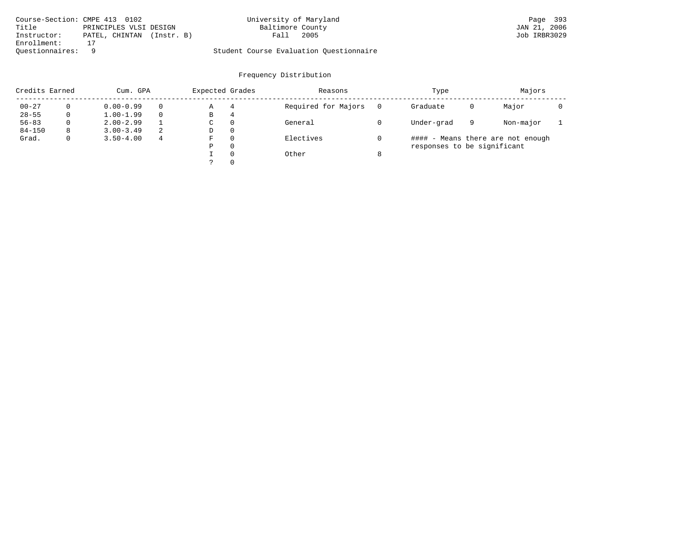| Course-Section: CMPE 413 0102 |                           | University of Maryland                  |      | Page 393     |
|-------------------------------|---------------------------|-----------------------------------------|------|--------------|
| Title                         | PRINCIPLES VLSI DESIGN    | Baltimore County                        |      | JAN 21, 2006 |
| Instructor:                   | PATEL, CHINTAN (Instr. B) | Fall                                    | 2005 | Job IRBR3029 |
| Enrollment:                   |                           |                                         |      |              |
| Ouestionnaires: 9             |                           | Student Course Evaluation Ouestionnaire |      |              |

| Credits Earned |          | Cum. GPA      |   | Expected Grades |          | Reasons             |   | Type                        |   | Majors                            |  |
|----------------|----------|---------------|---|-----------------|----------|---------------------|---|-----------------------------|---|-----------------------------------|--|
| $00 - 27$      | $\Omega$ | $0.00 - 0.99$ |   | Α               | 4        | Required for Majors | 0 | Graduate                    | 0 | Major                             |  |
| $28 - 55$      | 0        | $1.00 - 1.99$ |   | В               | 4        |                     |   |                             |   |                                   |  |
| $56 - 83$      | $\Omega$ | $2.00 - 2.99$ |   | $\sim$<br>◡     | 0        | General             |   | Under-grad                  | 9 | Non-major                         |  |
| $84 - 150$     | 8        | $3.00 - 3.49$ | 2 | D               | 0        |                     |   |                             |   |                                   |  |
| Grad.          | 0        | $3.50 - 4.00$ | 4 | F               | 0        | Electives           |   |                             |   | #### - Means there are not enough |  |
|                |          |               |   | Ρ               | 0        |                     |   | responses to be significant |   |                                   |  |
|                |          |               |   |                 | $\Omega$ | Other               | 8 |                             |   |                                   |  |
|                |          |               |   | C               |          |                     |   |                             |   |                                   |  |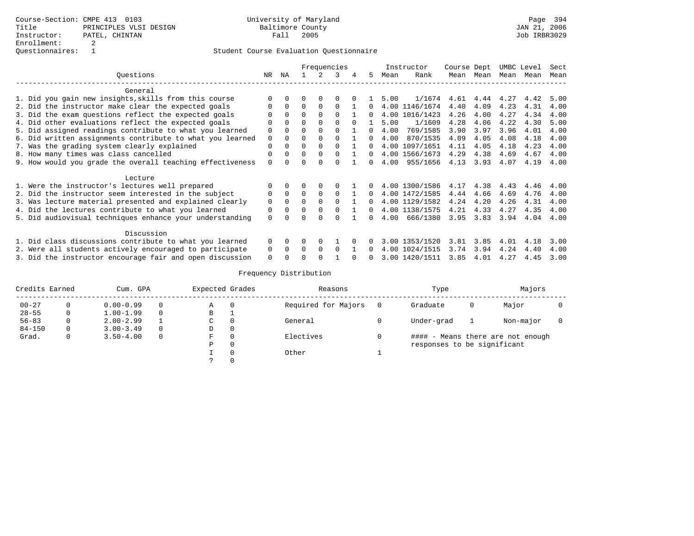|                                                           |          | Frequencies |          |          |          |  |          |      | Instructor              | Course Dept |           | UMBC Level |      | Sect |
|-----------------------------------------------------------|----------|-------------|----------|----------|----------|--|----------|------|-------------------------|-------------|-----------|------------|------|------|
| Ouestions                                                 | NR       | ΝA          |          |          | 3        |  | .5       | Mean | Rank                    |             | Mean Mean | Mean       | Mean | Mean |
| General                                                   |          |             |          |          |          |  |          |      |                         |             |           |            |      |      |
| 1. Did you gain new insights, skills from this course     |          |             |          |          |          |  |          | 5.00 | $1/1674$ 4.61 4.44 4.27 |             |           |            | 4.42 | 5.00 |
| 2. Did the instructor make clear the expected goals       |          | $\Omega$    | $\Omega$ |          | $\Omega$ |  |          |      | 4.00 1146/1674          | 4.40        | 4.09      | 4.23       | 4.31 | 4.00 |
| 3. Did the exam questions reflect the expected goals      |          | $\Omega$    | $\Omega$ |          |          |  | $\Omega$ |      | 4.00 1016/1423          | 4.26        | 4.00      | 4.27       | 4.34 | 4.00 |
| 4. Did other evaluations reflect the expected goals       |          |             |          |          |          |  |          | 5.00 | 1/1609                  | 4.28        | 4.06      | 4.22       | 4.30 | 5.00 |
| 5. Did assigned readings contribute to what you learned   | $\Omega$ |             |          |          |          |  | $\Omega$ | 4.00 | 769/1585                | 3.90        | 3.97      | 3.96       | 4.01 | 4.00 |
| 6. Did written assignments contribute to what you learned | $\Omega$ |             |          |          |          |  | $\Omega$ | 4.00 | 870/1535                | 4.09        | 4.05      | 4.08       | 4.18 | 4.00 |
| 7. Was the grading system clearly explained               | $\Omega$ |             | $\Omega$ |          |          |  | $\Omega$ |      | 4.00 1097/1651          | 4.11        | 4.05      | 4.18       | 4.23 | 4.00 |
| 8. How many times was class cancelled                     |          |             | $\Omega$ |          |          |  | $\Omega$ |      | 4.00 1566/1673          | 4.29        | 4.38      | 4.69       | 4.67 | 4.00 |
| 9. How would you grade the overall teaching effectiveness |          |             |          |          |          |  | $\Omega$ | 4.00 | 955/1656                | 4.13        | 3.93      | 4.07       | 4.19 | 4.00 |
| Lecture                                                   |          |             |          |          |          |  |          |      |                         |             |           |            |      |      |
| 1. Were the instructor's lectures well prepared           |          |             |          |          |          |  |          |      | 4.00 1300/1586          | 4.17        | 4.38      | 4.43       | 4.46 | 4.00 |
| 2. Did the instructor seem interested in the subject      | $\Omega$ | $\Omega$    | $\Omega$ | $\Omega$ | $\Omega$ |  | $\Omega$ |      | 4.00 1472/1585          | 4.44        | 4.66      | 4.69       | 4.76 | 4.00 |
| 3. Was lecture material presented and explained clearly   | $\Omega$ | $\Omega$    | $\Omega$ |          | $\cap$   |  | 0        |      | 4.00 1129/1582          | 4.24        | 4.20      | 4.26       | 4.31 | 4.00 |
| 4. Did the lectures contribute to what you learned        | $\Omega$ | $\Omega$    | $\Omega$ | $\Omega$ | $\Omega$ |  | $\Omega$ |      | 4.00 1138/1575          | 4.21        | 4.33      | 4.27       | 4.35 | 4.00 |
| 5. Did audiovisual techniques enhance your understanding  | $\Omega$ |             |          |          |          |  |          | 4.00 | 666/1380                | 3.95        | 3.83      | 3.94       | 4.04 | 4.00 |
| Discussion                                                |          |             |          |          |          |  |          |      |                         |             |           |            |      |      |
| 1. Did class discussions contribute to what you learned   | $\Omega$ | $\Omega$    | 0        | $\Omega$ |          |  |          |      | 3.00 1353/1520          | 3.81        | 3.85      | 4.01       | 4.18 | 3.00 |
| 2. Were all students actively encouraged to participate   | $\Omega$ | $\Omega$    | $\Omega$ | $\Omega$ | $\Omega$ |  |          |      | 4.00 1024/1515          | 3.74        | 3.94      | 4.24       | 4.40 | 4.00 |
| 3. Did the instructor encourage fair and open discussion  | $\Omega$ |             |          |          |          |  |          |      | 3.00 1420/1511          | 3.85        | 4.01      | 4.27       | 4.45 | 3.00 |

|            | Credits Earned<br>Cum. GPA |               |          | Expected Grades |          | Reasons             | Type                        |   | Majors                            |  |
|------------|----------------------------|---------------|----------|-----------------|----------|---------------------|-----------------------------|---|-----------------------------------|--|
| $00 - 27$  |                            | $0.00 - 0.99$ | 0        | Α               |          | Required for Majors | Graduate                    | 0 | Major                             |  |
| $28 - 55$  | 0                          | $1.00 - 1.99$ | $\Omega$ | B               |          |                     |                             |   |                                   |  |
| $56 - 83$  | 0                          | $2.00 - 2.99$ |          | C               |          | General             | Under-grad                  |   | Non-major                         |  |
| $84 - 150$ |                            | $3.00 - 3.49$ | $\Omega$ | D               |          |                     |                             |   |                                   |  |
| Grad.      | 0                          | $3.50 - 4.00$ | $\Omega$ | F               |          | Electives           |                             |   | #### - Means there are not enough |  |
|            |                            |               |          | P               | $\Omega$ |                     | responses to be significant |   |                                   |  |
|            |                            |               |          |                 |          | Other               |                             |   |                                   |  |
|            |                            |               |          |                 |          |                     |                             |   |                                   |  |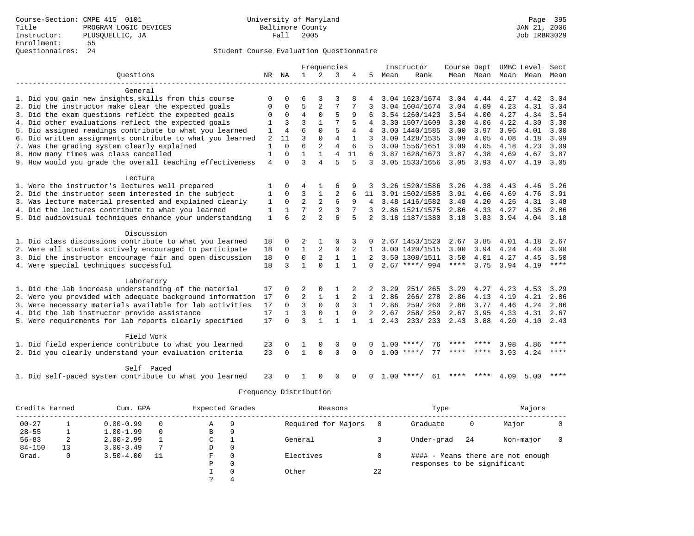|                                                                                                                       | Frequencies    |                |                   | Instructor               | Course Dept       |              |                | UMBC Level   | Sect               |                   |               |      |                          |             |
|-----------------------------------------------------------------------------------------------------------------------|----------------|----------------|-------------------|--------------------------|-------------------|--------------|----------------|--------------|--------------------|-------------------|---------------|------|--------------------------|-------------|
| Ouestions                                                                                                             |                | NR NA          | 1                 | 2                        | 3                 | 4            | 5              | Mean         | Rank               |                   |               |      | Mean Mean Mean Mean Mean |             |
|                                                                                                                       |                |                |                   |                          |                   |              |                |              |                    |                   |               |      |                          |             |
| General                                                                                                               |                |                |                   |                          |                   |              |                |              |                    |                   |               |      |                          |             |
| 1. Did you gain new insights, skills from this course                                                                 |                |                |                   | 3                        | 3                 |              |                |              | 3.04 1623/1674     | 3.04              | 4.44          | 4.27 | 4.42                     | 3.04        |
| 2. Did the instructor make clear the expected goals                                                                   | $\Omega$       | $\Omega$       | 5                 | 2                        | 7                 |              |                |              | 3.04 1604/1674     | 3.04              | 4.09          | 4.23 | 4.31                     | 3.04        |
| 3. Did the exam questions reflect the expected goals                                                                  | $\Omega$       | 0              | $\overline{4}$    | $\mathbf{0}$             | 5                 | 9            |                |              | 3.54 1260/1423     | 3.54              | 4.00          | 4.27 | 4.34                     | 3.54        |
| 4. Did other evaluations reflect the expected goals                                                                   |                | 3              | $\overline{3}$    |                          |                   |              | 4              |              | 3.30 1507/1609     | 3.30              | 4.06          | 4.22 | 4.30                     | 3.30        |
| 5. Did assigned readings contribute to what you learned                                                               | 1              | $\overline{4}$ | 6                 | $\Omega$                 | 5                 | 4            | 4              |              | 3.00 1440/1585     | 3.00              | 3.97          | 3.96 | 4.01                     | 3.00        |
| 6. Did written assignments contribute to what you learned                                                             | $\overline{2}$ | 11             | $\overline{3}$    | $\Omega$                 | $\overline{4}$    | $\mathbf{1}$ | 3              |              | 3.09 1428/1535     | 3.09              | 4.05          | 4.08 | 4.18                     | 3.09        |
| 7. Was the grading system clearly explained                                                                           | 1              | $\Omega$       | 6                 | 2                        | $\overline{4}$    | 6            | .5             |              | 3.09 1556/1651     | 3.09              | 4.05          | 4.18 | 4.23                     | 3.09        |
| 8. How many times was class cancelled                                                                                 | 1              | $\Omega$       | 1                 | $\mathbf{1}$             | 4                 | 11           | 6              |              | 3.87 1628/1673     | 3.87              | 4.38          | 4.69 | 4.67                     | 3.87        |
| 9. How would you grade the overall teaching effectiveness                                                             | 4              | $\Omega$       | $\mathbf{3}$      | $\overline{4}$           | 5                 | 5            | 3              |              | 3.05 1533/1656     | 3.05              | 3.93          | 4.07 | 4.19                     | 3.05        |
| Lecture                                                                                                               |                |                |                   |                          |                   |              |                |              |                    |                   |               |      |                          |             |
| 1. Were the instructor's lectures well prepared                                                                       |                | 0              | 4                 |                          | 6                 | 9            |                |              | 3.26 1520/1586     | 3.26              | 4.38          | 4.43 | 4.46                     | 3.26        |
| 2. Did the instructor seem interested in the subject                                                                  | 1              | $\mathbf 0$    | 3                 | 1                        | 2                 | 6            | 11             |              | 3.91 1502/1585     | 3.91              | 4.66          | 4.69 | 4.76                     | 3.91        |
| 3. Was lecture material presented and explained clearly                                                               | 1              | $\Omega$       | $\overline{a}$    | $\overline{2}$           | 6                 | 9            |                |              | 4 3.48 1416/1582   | 3.48              | 4.20          | 4.26 | 4.31                     | 3.48        |
| 4. Did the lectures contribute to what you learned                                                                    | 1              | 1              | 7                 | 2                        | 3                 |              | 3              |              | 2.86 1521/1575     | 2.86              | 4.33          | 4.27 | 4.35                     | 2.86        |
| 5. Did audiovisual techniques enhance your understanding                                                              | $\mathbf{1}$   | 6              | $\overline{a}$    | $\overline{a}$           | 6                 | 5            |                |              | 3.18 1187/1380     |                   | $3.18$ $3.83$ | 3.94 | 4.04                     | 3.18        |
|                                                                                                                       |                |                |                   |                          |                   |              |                |              |                    |                   |               |      |                          |             |
| Discussion                                                                                                            |                |                |                   |                          |                   |              |                |              |                    |                   |               |      |                          |             |
| 1. Did class discussions contribute to what you learned                                                               | 18             | $\Omega$       | 2                 |                          | $\Omega$          | 3            | 0              |              | 2.67 1453/1520     | 2.67              | 3.85          | 4.01 | 4.18                     | 2.67        |
| 2. Were all students actively encouraged to participate                                                               | 18             | $\mathbf 0$    | $\mathbf{1}$      | 2                        | 0                 |              | 1              |              | 3.00 1420/1515     | 3.00              | 3.94          | 4.24 | 4.40                     | 3.00        |
| 3. Did the instructor encourage fair and open discussion                                                              | 18             | $\Omega$       | $\Omega$          | 2                        | $\mathbf{1}$      | $\mathbf{1}$ | 2              |              | 3.50 1308/1511     | 3.50              | 4.01          | 4.27 | 4.45                     | 3.50        |
| 4. Were special techniques successful                                                                                 | 18             | २              | $\mathbf{1}$      | $\Omega$                 | 1                 | $\mathbf{1}$ | $\Omega$       |              | $2.67$ ****/ 994   | $***$ * * *       | 3.75          | 3.94 | 4.19                     | $***$ * * * |
| Laboratory                                                                                                            |                |                |                   |                          |                   |              |                |              |                    |                   |               |      |                          |             |
| 1. Did the lab increase understanding of the material                                                                 | 17             |                | 2                 | $\Omega$                 | 1                 |              | 2              | 3.29         | 251/ 265           | 3.29              | 4.27          | 4.23 | 4.53                     | 3.29        |
|                                                                                                                       | 17             | $\Omega$       | $\overline{2}$    |                          | 1                 | 2            | $\mathbf{1}$   | 2.86         | 266/278            | 2.86              | 4.13          | 4.19 | 4.21                     | 2.86        |
| 2. Were you provided with adequate background information<br>3. Were necessary materials available for lab activities | 17             | $\Omega$       | 3                 | 1<br>$\mathbf 0$         | $\mathbf 0$       |              | $\mathbf{1}$   | 2.86         | 259/ 260           | 2.86              | 3.77          | 4.46 | 4.24                     | 2.86        |
|                                                                                                                       |                |                |                   |                          |                   | $\Omega$     |                |              |                    |                   |               |      |                          |             |
| 4. Did the lab instructor provide assistance                                                                          | 17             | $\Omega$       | 3<br>$\mathbf{3}$ | $\Omega$<br>$\mathbf{1}$ | 1<br>$\mathbf{1}$ |              | $\overline{2}$ | 2.67<br>2.43 | 258/259<br>233/233 | 2.67<br>2.43 3.88 | 3.95          | 4.33 | 4.31                     | 2.67        |
| 5. Were requirements for lab reports clearly specified                                                                | 17             |                |                   |                          |                   | $\mathbf{1}$ | $\mathbf{1}$   |              |                    |                   |               | 4.20 | 4.10                     | 2.43        |
| Field Work                                                                                                            |                |                |                   |                          |                   |              |                |              |                    |                   |               |      |                          |             |
| 1. Did field experience contribute to what you learned                                                                | 23             | $\Omega$       |                   | $\Omega$                 | $\Omega$          |              |                |              | 76<br>$1.00$ ****/ | ****              |               | 3.98 | 4.86                     | ****        |
| 2. Did you clearly understand your evaluation criteria                                                                | 23             | $\Omega$       | $\mathbf{1}$      | $\Omega$                 | $\Omega$          | $\Omega$     | $\Omega$       |              | $1.00$ ****/<br>77 |                   |               | 3.93 | 4.24                     | ****        |
| Self Paced                                                                                                            |                |                |                   |                          |                   |              |                |              |                    |                   |               |      |                          |             |
| 1. Did self-paced system contribute to what you learned                                                               | 23             |                |                   | $\Omega$                 | $\Omega$          | $\Omega$     | $\Omega$       |              | $1.00$ ****/<br>61 | ****              | ****          | 4.09 | 5.00                     | ****        |

|            | Credits Earned<br>Cum. GPA |               |          | Expected Grades |          | Reasons             |    | Type                        |    | Majors                            |  |
|------------|----------------------------|---------------|----------|-----------------|----------|---------------------|----|-----------------------------|----|-----------------------------------|--|
| $00 - 27$  |                            | $0.00 - 0.99$ | $\Omega$ | A               | 9        | Required for Majors |    | Graduate                    | 0  | Major                             |  |
| $28 - 55$  |                            | $1.00 - 1.99$ | $\Omega$ | В               | 9        |                     |    |                             |    |                                   |  |
| $56 - 83$  | ∠                          | $2.00 - 2.99$ |          | C               |          | General             |    | Under-grad                  | 24 | Non-major                         |  |
| $84 - 150$ | 13                         | $3.00 - 3.49$ |          | D               | 0        |                     |    |                             |    |                                   |  |
| Grad.      |                            | $3.50 - 4.00$ | 11       | F               | 0        | Electives           |    |                             |    | #### - Means there are not enough |  |
|            |                            |               |          | P               | 0        |                     |    | responses to be significant |    |                                   |  |
|            |                            |               |          |                 | $\Omega$ | Other               | 22 |                             |    |                                   |  |
|            |                            |               |          |                 |          |                     |    |                             |    |                                   |  |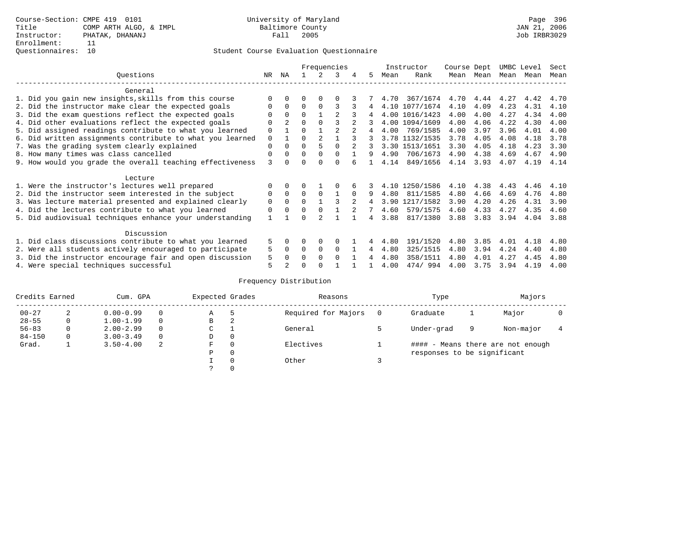|                                                           | Frequencies |                |          |                |                |          |    |      | Instructor     | Course Dept |      | UMBC Level |      | Sect |
|-----------------------------------------------------------|-------------|----------------|----------|----------------|----------------|----------|----|------|----------------|-------------|------|------------|------|------|
| Ouestions                                                 | NR.         | ΝA             |          |                | 3              |          | 5. | Mean | Rank           | Mean        | Mean | Mean       | Mean | Mean |
| General                                                   |             |                |          |                |                |          |    |      |                |             |      |            |      |      |
| 1. Did you gain new insights, skills from this course     |             | $\Omega$       | O        | $\Omega$       | O              |          |    | 4.70 | 367/1674       | 4.70        | 4.44 | 4.27       | 4.42 | 4.70 |
| 2. Did the instructor make clear the expected goals       | O           | $\Omega$       | $\Omega$ | $\Omega$       | ς              |          | 4  |      | 4.10 1077/1674 | 4.10        | 4.09 | 4.23       | 4.31 | 4.10 |
| 3. Did the exam questions reflect the expected goals      |             | $\Omega$       | $\Omega$ |                |                |          |    |      | 4.00 1016/1423 | 4.00        | 4.00 | 4.27       | 4.34 | 4.00 |
| 4. Did other evaluations reflect the expected goals       | O           | $\mathfrak{D}$ | $\Omega$ | $\Omega$       |                |          |    |      | 4.00 1094/1609 | 4.00        | 4.06 | 4.22       | 4.30 | 4.00 |
| 5. Did assigned readings contribute to what you learned   | $\mathbf 0$ |                | 0        |                | $\mathfrak{D}$ |          | 4  | 4.00 | 769/1585       | 4.00        | 3.97 | 3.96       | 4.01 | 4.00 |
| 6. Did written assignments contribute to what you learned | $\mathbf 0$ |                | $\Omega$ | $\mathfrak{D}$ |                |          | 3  |      | 3.78 1132/1535 | 3.78        | 4.05 | 4.08       | 4.18 | 3.78 |
| 7. Was the grading system clearly explained               | $\Omega$    | $\Omega$       | $\Omega$ | 5              | $\Omega$       |          |    |      | 3.30 1513/1651 | 3.30        | 4.05 | 4.18       | 4.23 | 3.30 |
| 8. How many times was class cancelled                     | $\Omega$    | $\Omega$       | $\Omega$ | $\Omega$       | $\Omega$       |          | 9  | 4.90 | 706/1673       | 4.90        | 4.38 | 4.69       | 4.67 | 4.90 |
| 9. How would you grade the overall teaching effectiveness | 3           | <sup>n</sup>   | U        | ∩              | U              |          |    | 4.14 | 849/1656       | 4.14        | 3.93 | 4.07       | 4.19 | 4.14 |
| Lecture                                                   |             |                |          |                |                |          |    |      |                |             |      |            |      |      |
| 1. Were the instructor's lectures well prepared           | 0           |                |          |                |                |          |    |      | 4.10 1250/1586 | 4.10        | 4.38 | 4.43       | 4.46 | 4.10 |
| 2. Did the instructor seem interested in the subject      | 0           | $\Omega$       | $\Omega$ | $\Omega$       |                | $\Omega$ | 9  | 4.80 | 811/1585       | 4.80        | 4.66 | 4.69       | 4.76 | 4.80 |
| 3. Was lecture material presented and explained clearly   | $\mathbf 0$ | $\Omega$       | $\Omega$ |                |                |          | 4  | 3.90 | 1217/1582      | 3.90        | 4.20 | 4.26       | 4.31 | 3.90 |
| 4. Did the lectures contribute to what you learned        | $\mathbf 0$ | $\Omega$       | $\Omega$ |                |                |          |    | 4.60 | 579/1575       | 4.60        | 4.33 | 4.27       | 4.35 | 4.60 |
| 5. Did audiovisual techniques enhance your understanding  |             |                |          |                |                |          | 4  | 3.88 | 817/1380       | 3.88        | 3.83 | 3.94       | 4.04 | 3.88 |
|                                                           |             |                |          |                |                |          |    |      |                |             |      |            |      |      |
| Discussion                                                |             |                |          |                |                |          |    |      |                |             |      |            |      |      |
| 1. Did class discussions contribute to what you learned   | 5           | $\Omega$       | U        | $\Omega$       | $\Omega$       |          |    | 4.80 | 191/1520       | 4.80        | 3.85 | 4.01       | 4.18 | 4.80 |
| 2. Were all students actively encouraged to participate   |             |                | $\Omega$ | $\Omega$       | $\Omega$       |          | 4  | 4.80 | 325/1515       | 4.80        | 3.94 | 4.24       | 4.40 | 4.80 |
| 3. Did the instructor encourage fair and open discussion  | 5           | $\Omega$       | 0        | $\Omega$       | $\Omega$       |          |    | 4.80 | 358/1511       | 4.80        | 4.01 | 4.27       | 4.45 | 4.80 |
| 4. Were special techniques successful                     | 5           |                |          |                |                |          |    | 4.00 | 474/994        | 4.00        | 3.75 | 3.94       | 4.19 | 4.00 |

| Credits Earned |          | Cum. GPA      |          | Expected Grades |          | Reasons             | Type                        |   | Majors                            |  |
|----------------|----------|---------------|----------|-----------------|----------|---------------------|-----------------------------|---|-----------------------------------|--|
| $00 - 27$      | 2        | $0.00 - 0.99$ | $\Omega$ | Α               | ל        | Required for Majors | Graduate                    |   | Major                             |  |
| $28 - 55$      | 0        | $1.00 - 1.99$ | $\Omega$ | В               | 2        |                     |                             |   |                                   |  |
| $56 - 83$      | 0        | $2.00 - 2.99$ | $\Omega$ | С               |          | General             | Under-grad                  | 9 | Non-major                         |  |
| $84 - 150$     | $\Omega$ | $3.00 - 3.49$ | $\Omega$ | D               | 0        |                     |                             |   |                                   |  |
| Grad.          |          | $3.50 - 4.00$ | -2       | F               | 0        | Electives           |                             |   | #### - Means there are not enough |  |
|                |          |               |          | Ρ               | 0        |                     | responses to be significant |   |                                   |  |
|                |          |               |          |                 | $\Omega$ | Other               |                             |   |                                   |  |
|                |          |               |          | っ               | 0        |                     |                             |   |                                   |  |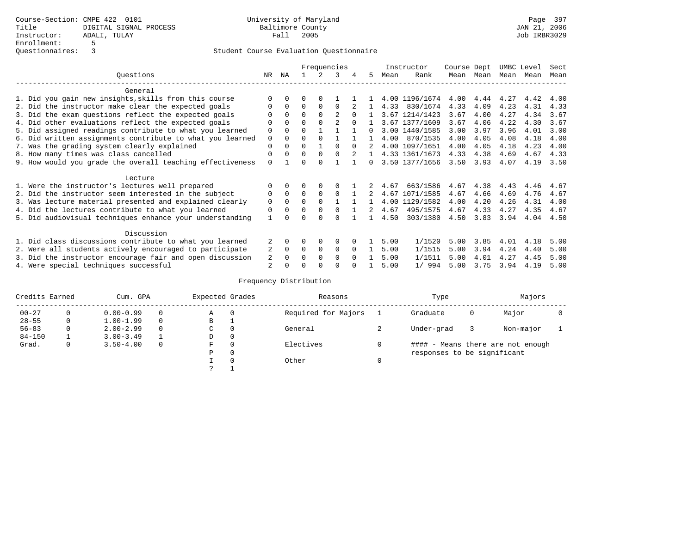|                                                          |                                                           |             |             |          |               | Frequencies |          |                |      | Instructor     | Course Dept |           | UMBC Level |      | Sect |
|----------------------------------------------------------|-----------------------------------------------------------|-------------|-------------|----------|---------------|-------------|----------|----------------|------|----------------|-------------|-----------|------------|------|------|
|                                                          | Ouestions                                                 | NR          | ΝA          |          | $\mathcal{L}$ | 3           | 4        | 5              | Mean | Rank           |             | Mean Mean | Mean       | Mean | Mean |
|                                                          | General                                                   |             |             |          |               |             |          |                |      |                |             |           |            |      |      |
|                                                          | 1. Did you gain new insights, skills from this course     |             | $\Omega$    | 0        | $\Omega$      |             |          |                |      | 4.00 1196/1674 | 4.00        | 4.44      | 4.27       | 4.42 | 4.00 |
|                                                          | 2. Did the instructor make clear the expected goals       | 0           | $\Omega$    | 0        | $\Omega$      | $\Omega$    |          |                | 4.33 | 830/1674       | 4.33        | 4.09      | 4.23       | 4.31 | 4.33 |
|                                                          | 3. Did the exam questions reflect the expected goals      |             | $\Omega$    | $\Omega$ | $\Omega$      |             |          |                |      | 3.67 1214/1423 | 3.67        | 4.00      | 4.27       | 4.34 | 3.67 |
|                                                          | 4. Did other evaluations reflect the expected goals       |             | $\Omega$    | 0        | $\Omega$      |             |          |                |      | 3.67 1377/1609 | 3.67        | 4.06      | 4.22       | 4.30 | 3.67 |
|                                                          | 5. Did assigned readings contribute to what you learned   | 0           | $\Omega$    | $\Omega$ |               |             |          | 0              |      | 3.00 1440/1585 | 3.00        | 3.97      | 3.96       | 4.01 | 3.00 |
|                                                          | 6. Did written assignments contribute to what you learned | $\mathbf 0$ | $\Omega$    | U        | $\Omega$      |             |          |                | 4.00 | 870/1535       | 4.00        | 4.05      | 4.08       | 4.18 | 4.00 |
|                                                          | 7. Was the grading system clearly explained               | 0           | $\Omega$    | 0        |               | $\cap$      | $\Omega$ |                |      | 4.00 1097/1651 | 4.00        | 4.05      | 4.18       | 4.23 | 4.00 |
|                                                          | 8. How many times was class cancelled                     | 0           | $\Omega$    | $\Omega$ | $\Omega$      | $\Omega$    | 2        | $\overline{1}$ |      | 4.33 1361/1673 | 4.33        | 4.38      | 4.69       | 4.67 | 4.33 |
|                                                          | 9. How would you grade the overall teaching effectiveness | $\Omega$    |             |          | <sup>n</sup>  |             |          | 0              |      | 3.50 1377/1656 | 3.50        | 3.93      | 4.07       | 4.19 | 3.50 |
|                                                          | Lecture                                                   |             |             |          |               |             |          |                |      |                |             |           |            |      |      |
|                                                          | 1. Were the instructor's lectures well prepared           |             | $\Omega$    |          | $\Omega$      |             |          |                | 4.67 | 663/1586       | 4.67        | 4.38      | 4.43       | 4.46 | 4.67 |
|                                                          | 2. Did the instructor seem interested in the subject      | 0           | $\Omega$    | $\Omega$ | $\Omega$      | $\Omega$    |          | 2              |      | 4.67 1071/1585 | 4.67        | 4.66      | 4.69       | 4.76 | 4.67 |
|                                                          | 3. Was lecture material presented and explained clearly   | 0           | $\Omega$    | 0        | $\Omega$      |             |          |                |      | 4.00 1129/1582 | 4.00        | 4.20      | 4.26       | 4.31 | 4.00 |
|                                                          | 4. Did the lectures contribute to what you learned        | 0           | $\Omega$    | 0        | $\Omega$      | $\Omega$    |          | 2.             | 4.67 | 495/1575       | 4.67        | 4.33      | 4.27       | 4.35 | 4.67 |
|                                                          | 5. Did audiovisual techniques enhance your understanding  |             |             |          |               |             |          |                | 4.50 | 303/1380       | 4.50        | 3.83      | 3.94       | 4.04 | 4.50 |
|                                                          | Discussion                                                |             |             |          |               |             |          |                |      |                |             |           |            |      |      |
|                                                          | 1. Did class discussions contribute to what you learned   |             | $\Omega$    | U        | $\Omega$      | 0           |          |                | 5.00 | 1/1520         | 5.00        | 3.85      | 4.01       | 4.18 | 5.00 |
|                                                          | 2. Were all students actively encouraged to participate   | 2           | $\mathbf 0$ | $\Omega$ | 0             | $\mathbf 0$ | $\Omega$ |                | 5.00 | 1/1515         | 5.00        | 3.94      | 4.24       | 4.40 | 5.00 |
| 3. Did the instructor encourage fair and open discussion |                                                           |             |             |          | $\Omega$      | $\Omega$    | $\Omega$ |                | 5.00 | 1/1511         | 5.00        | 4.01      | 4.27       | 4.45 | 5.00 |
|                                                          | 4. Were special techniques successful                     | 2           |             |          |               |             |          |                | 5.00 | 1/994          | 5.00        | 3.75      | 3.94       | 4.19 | 5.00 |

| Credits Earned |   | Cum. GPA      | Expected Grades |   | Reasons  | Type                | Majors                            |   |           |  |  |
|----------------|---|---------------|-----------------|---|----------|---------------------|-----------------------------------|---|-----------|--|--|
| $00 - 27$      | 0 | $0.00 - 0.99$ |                 | Α | $\Omega$ | Required for Majors | Graduate                          | 0 | Major     |  |  |
| $28 - 55$      | 0 | $1.00 - 1.99$ |                 | B | <b>.</b> |                     |                                   |   |           |  |  |
| $56 - 83$      | 0 | $2.00 - 2.99$ |                 | C | 0        | General             | Under-grad                        |   | Non-major |  |  |
| $84 - 150$     |   | $3.00 - 3.49$ |                 | D | 0        |                     |                                   |   |           |  |  |
| Grad.          | 0 | $3.50 - 4.00$ |                 | F | $\Omega$ | Electives           | #### - Means there are not enough |   |           |  |  |
|                |   |               |                 | Ρ | 0        |                     | responses to be significant       |   |           |  |  |
|                |   |               |                 |   | $\Omega$ | Other               |                                   |   |           |  |  |
|                |   |               |                 |   |          |                     |                                   |   |           |  |  |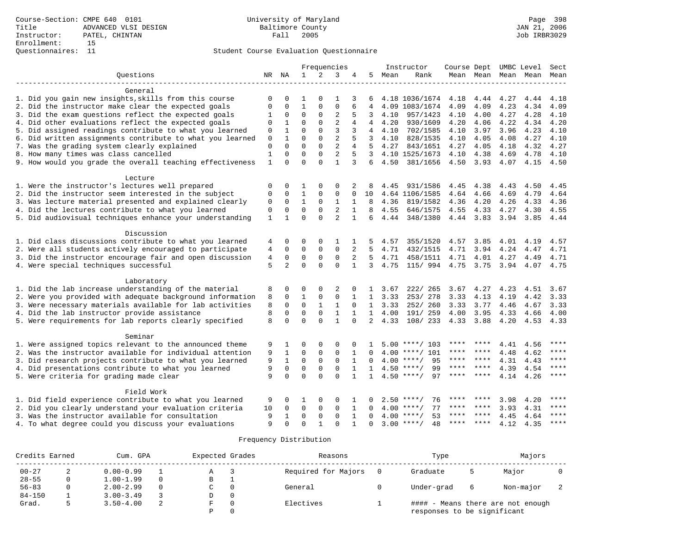|                                                           |                |                |              | Frequencies    |                |                |                |      | Instructor         | Course Dept |                     | UMBC Level |      | Sect      |
|-----------------------------------------------------------|----------------|----------------|--------------|----------------|----------------|----------------|----------------|------|--------------------|-------------|---------------------|------------|------|-----------|
| Ouestions                                                 |                | NR NA          | $\mathbf{1}$ | $\overline{2}$ | 3              | 4              | 5              | Mean | Rank               |             | Mean Mean Mean Mean |            |      | Mean      |
| General                                                   |                |                |              |                |                |                |                |      |                    |             |                     |            |      |           |
| 1. Did you gain new insights, skills from this course     | $\Omega$       | 0              | 1            |                |                | 3              |                |      | 4.18 1036/1674     | 4.18        | 4.44                | 4.27       | 4.44 | 4.18      |
| 2. Did the instructor make clear the expected goals       | $\mathbf 0$    | $\Omega$       | $\mathbf{1}$ | $\mathbf{0}$   | $\Omega$       | 6              | 4              |      | 4.09 1083/1674     | 4.09        | 4.09                | 4.23       | 4.34 | 4.09      |
| 3. Did the exam questions reflect the expected goals      | 1              | $\mathbf 0$    | $\mathbf 0$  | $\mathbf{0}$   | $\overline{2}$ | 5              | 3              | 4.10 | 957/1423           | 4.10        | 4.00                | 4.27       | 4.28 | 4.10      |
| 4. Did other evaluations reflect the expected goals       | $\Omega$       | $\mathbf{1}$   | $\Omega$     | $\Omega$       | $\overline{2}$ | 4              | 4              | 4.20 | 930/1609           | 4.20        | 4.06                | 4.22       | 4.34 | 4.20      |
| 5. Did assigned readings contribute to what you learned   | $\mathbf{0}$   | $\mathbf{1}$   | $\Omega$     | $\Omega$       | 3              | 3              | 4              | 4.10 | 702/1585           | 4.10        | 3.97                | 3.96       | 4.23 | 4.10      |
| 6. Did written assignments contribute to what you learned | 0              | $\mathbf{1}$   | $\Omega$     | $\Omega$       | $\overline{2}$ | 5              | 3              | 4.10 | 828/1535           | 4.10        | 4.05                | 4.08       | 4.27 | 4.10      |
| 7. Was the grading system clearly explained               | $\mathbf 0$    | $\Omega$       | $\Omega$     | $\mathbf 0$    | $\overline{2}$ | $\overline{4}$ | 5              | 4.27 | 843/1651           | 4.27        | 4.05                | 4.18       | 4.32 | 4.27      |
| 8. How many times was class cancelled                     | $\mathbf{1}$   | $\mathbf 0$    | $\mathbf 0$  | $\Omega$       | $\overline{2}$ | 5              | $\mathbf{3}$   |      | 4.10 1525/1673     | 4.10        | 4.38                | 4.69       | 4.78 | 4.10      |
| 9. How would you grade the overall teaching effectiveness | $\mathbf{1}$   | $\Omega$       | $\Omega$     | $\Omega$       | $\mathbf{1}$   | 3              | 6              | 4.50 | 381/1656           |             | 4.50 3.93           | 4.07       | 4.15 | 4.50      |
| Lecture                                                   |                |                |              |                |                |                |                |      |                    |             |                     |            |      |           |
| 1. Were the instructor's lectures well prepared           | 0              | 0              | 1            | 0              | 0              | 2              |                | 4.45 | 931/1586           | 4.45        | 4.38                | 4.43       | 4.50 | 4.45      |
| 2. Did the instructor seem interested in the subject      | $\mathbf 0$    | $\mathbf 0$    | $\mathbf{1}$ | $\mathbf 0$    | $\Omega$       | $\Omega$       | 10             |      | 4.64 1106/1585     | 4.64        | 4.66                | 4.69       | 4.79 | 4.64      |
| 3. Was lecture material presented and explained clearly   | $\mathbf 0$    | $\mathbf 0$    | $\mathbf{1}$ | $\mathbf 0$    | $\mathbf{1}$   | 1              | 8              | 4.36 | 819/1582           | 4.36        | 4.20                | 4.26       | 4.33 | 4.36      |
| 4. Did the lectures contribute to what you learned        | $\mathbf 0$    | $\mathbf 0$    | $\mathbf 0$  | $\mathbf 0$    | $\overline{2}$ | $\mathbf{1}$   | 8              | 4.55 | 646/1575           | 4.55        | 4.33                | 4.27       | 4.30 | 4.55      |
| 5. Did audiovisual techniques enhance your understanding  | $\mathbf{1}$   | $\mathbf{1}$   | $\Omega$     | $\Omega$       | $\overline{2}$ | $\mathbf{1}$   | 6              | 4.44 | 348/1380           |             | 4.44 3.83           | 3.94       | 3.85 | 4.44      |
| Discussion                                                |                |                |              |                |                |                |                |      |                    |             |                     |            |      |           |
| 1. Did class discussions contribute to what you learned   | 4              | 0              | 0            | 0              | $\mathbf{1}$   |                |                | 4.57 | 355/1520           | 4.57        | 3.85                | 4.01       | 4.19 | 4.57      |
| 2. Were all students actively encouraged to participate   | 4              | $\mathbf 0$    | $\mathbf 0$  | $\mathbf 0$    | $\mathbf{0}$   | 2              | 5              | 4.71 | 432/1515           | 4.71        | 3.94                | 4.24       | 4.47 | 4.71      |
| 3. Did the instructor encourage fair and open discussion  | $\overline{4}$ | $\mathbf 0$    | $\mathbf 0$  | $\mathbf 0$    | $\Omega$       | 2              | $5^{\circ}$    | 4.71 | 458/1511           | 4.71        | 4.01                | 4.27       | 4.49 | 4.71      |
| 4. Were special techniques successful                     | 5              | $\overline{a}$ | $\Omega$     | $\Omega$       | $\Omega$       | $\mathbf{1}$   | 3              | 4.75 | 115/ 994           |             | 4.75 3.75           | 3.94       |      | 4.07 4.75 |
| Laboratory                                                |                |                |              |                |                |                |                |      |                    |             |                     |            |      |           |
| 1. Did the lab increase understanding of the material     | 8              | $\mathbf 0$    | 0            | 0              | 2              | $\Omega$       | $\mathbf{1}$   | 3.67 | 222/ 265           | 3.67        | 4.27                | 4.23       | 4.51 | 3.67      |
| 2. Were you provided with adequate background information | 8              | $\Omega$       | $\mathbf{1}$ | $\mathbf 0$    | $\Omega$       | $\mathbf{1}$   | $\mathbf{1}$   | 3.33 | 253/278            | 3.33        | 4.13                | 4.19       | 4.42 | 3.33      |
| 3. Were necessary materials available for lab activities  | 8              | $\mathbf 0$    | $\Omega$     | $\mathbf{1}$   | $\mathbf{1}$   | $\Omega$       | 1              | 3.33 | 252/ 260           | 3.33        | 3.77                | 4.46       | 4.67 | 3.33      |
| 4. Did the lab instructor provide assistance              | 8              | $\mathbf 0$    | $\mathbf 0$  | $\mathbf{0}$   | 1              | $\mathbf{1}$   | $\mathbf{1}$   | 4.00 | 191/ 259           | 4.00        | 3.95                | 4.33       | 4.66 | 4.00      |
| 5. Were requirements for lab reports clearly specified    | 8              | $\Omega$       | $\Omega$     | $\Omega$       | $\mathbf{1}$   | $\Omega$       | $\mathfrak{D}$ | 4.33 | 108/ 233           | 4.33        | 3.88                | 4.20       | 4.53 | 4.33      |
| Seminar                                                   |                |                |              |                |                |                |                |      |                    |             |                     |            |      |           |
| 1. Were assigned topics relevant to the announced theme   | 9              | 1              | 0            | $\mathbf 0$    | $\Omega$       | $\Omega$       |                |      | $5.00$ ****/ 103   | ****        | ****                | 4.41       | 4.56 | ****      |
| 2. Was the instructor available for individual attention  | 9              | 1              | $\mathbf 0$  | $\mathbf 0$    | 0              | $\mathbf{1}$   | $\Omega$       | 4.00 | $***/101$          | ****        |                     | 4.48       | 4.62 | ****      |
| 3. Did research projects contribute to what you learned   | 9              | $\mathbf{1}$   | $\mathbf 0$  | $\mathbf 0$    | $\mathbf 0$    | $\mathbf{1}$   |                | 4.00 | 95<br>$***/$       | $***$ * *   | ****                | 4.31       | 4.43 | ****      |
| 4. Did presentations contribute to what you learned       | 9              | $\mathbf 0$    | $\mathbf 0$  | $\mathsf 0$    | $\mathbf 0$    | 1              | $\mathbf{1}$   |      | $4.50$ ****/<br>99 | $***$ * *   | $***$ *             | 4.39       | 4.54 | ****      |
| 5. Were criteria for grading made clear                   | 9              | $\Omega$       | $\Omega$     | $\Omega$       | $\Omega$       | $\mathbf{1}$   | 1              | 4.50 | 97<br>$***$ /      | ****        | $***$ * * *         | 4.14       | 4.26 | ****      |
| Field Work                                                |                |                |              |                |                |                |                |      |                    |             |                     |            |      |           |
| 1. Did field experience contribute to what you learned    | 9              | 0              | 1            | 0              | 0              |                |                | 2.50 | $***$ /<br>76      |             |                     | 3.98       | 4.20 | ****      |
| 2. Did you clearly understand your evaluation criteria    | 10             | $\mathbf 0$    | 0            | 0              | 0              | 1              | $\Omega$       | 4.00 | 77<br>$* * * * /$  | ****        | ****                | 3.93       | 4.31 | ****      |
| 3. Was the instructor available for consultation          | 9              | 1              | $\mathbf 0$  | $\mathbf{0}$   | $\Omega$       | 1              | $\Omega$       | 4.00 | 53<br>$***$ /      |             |                     | 4.45       | 4.64 | ****      |
| 4. To what degree could you discuss your evaluations      | 9              | $\Omega$       | $\Omega$     | $\mathbf{1}$   | $\Omega$       | $\mathbf{1}$   | $\Omega$       |      | $3.00$ ****/<br>48 | $***$ * * * | $***$ *             | 4.12       | 4.35 | $***$     |

| Credits Earned | Cum. GPA |               |  | Expected Grades |          | Reasons             | Type                        | Majors |                                   |  |
|----------------|----------|---------------|--|-----------------|----------|---------------------|-----------------------------|--------|-----------------------------------|--|
| $00 - 27$      | 2        | $0.00 - 0.99$ |  |                 |          | Required for Majors | Graduate                    |        | Major                             |  |
| $28 - 55$      |          | $1.00 - 1.99$ |  | в               |          |                     |                             |        |                                   |  |
| $56 - 83$      |          | $2.00 - 2.99$ |  |                 | $\Omega$ | General             | Under-grad                  | 6      | Non-major                         |  |
| $84 - 150$     |          | $3.00 - 3.49$ |  |                 | 0        |                     |                             |        |                                   |  |
| Grad.          |          | $3.50 - 4.00$ |  |                 |          | Electives           |                             |        | #### - Means there are not enough |  |
|                |          |               |  |                 |          |                     | responses to be significant |        |                                   |  |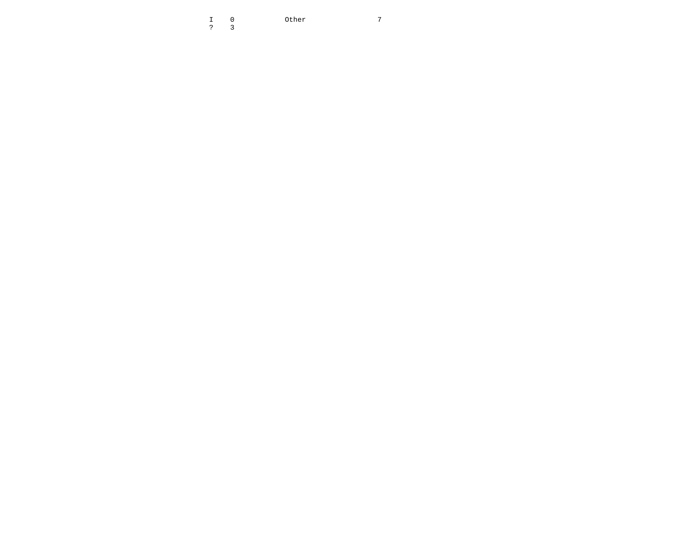I 0 Other 7  $\overline{7}$ ? 3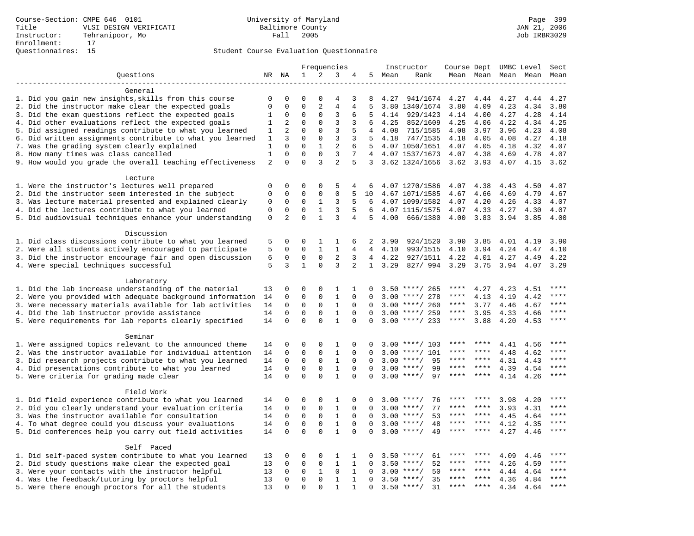|                                                           |                |                |              |                | Frequencies    |                |                |        | Instructor         | Course Dept UMBC Level |             |                     |      | Sect    |
|-----------------------------------------------------------|----------------|----------------|--------------|----------------|----------------|----------------|----------------|--------|--------------------|------------------------|-------------|---------------------|------|---------|
| Questions                                                 |                | NR NA          | $\mathbf{1}$ | 2              | 3              | 4              |                | 5 Mean | Rank               |                        |             | Mean Mean Mean Mean |      | Mean    |
|                                                           |                |                |              |                |                |                |                |        |                    |                        |             |                     |      |         |
| General                                                   |                |                |              |                |                |                |                |        |                    |                        |             |                     |      |         |
| 1. Did you gain new insights, skills from this course     | $\mathbf 0$    | $\mathbf 0$    | $\Omega$     | $\Omega$       | $\overline{4}$ | 3              | 8              |        | 4.27 941/1674      | 4.27                   | 4.44        | 4.27                | 4.44 | 4.27    |
| 2. Did the instructor make clear the expected goals       | $\mathbf{0}$   | $\mathbf 0$    | $\mathbf 0$  | $\overline{2}$ | $\overline{4}$ | 4              | 5              |        | 3.80 1340/1674     | 3.80                   | 4.09        | 4.23                | 4.34 | 3.80    |
| 3. Did the exam questions reflect the expected goals      | 1              | $\Omega$       | $\Omega$     | $\Omega$       | 3              | 6              | 5              |        | 4.14 929/1423      | 4.14                   | 4.00        | 4.27                | 4.28 | 4.14    |
| 4. Did other evaluations reflect the expected goals       | 1              | 2              | $\mathbf 0$  | $\mathbf 0$    | 3              | 3              | 6              | 4.25   | 852/1609           | 4.25                   | 4.06        | 4.22                | 4.34 | 4.25    |
| 5. Did assigned readings contribute to what you learned   | $\mathbf{1}$   | $\overline{2}$ | $\mathbf 0$  | $\mathbf 0$    | 3              | 5              | $\overline{4}$ | 4.08   | 715/1585           | 4.08                   | 3.97        | 3.96                | 4.23 | 4.08    |
| 6. Did written assignments contribute to what you learned | 1              | 3              | $\mathbf 0$  | $\mathbf{0}$   | 3              | 3              | 5              | 4.18   | 747/1535           | 4.18                   | 4.05        | 4.08                | 4.27 | 4.18    |
| 7. Was the grading system clearly explained               | 1              | $\Omega$       | $\Omega$     | $\mathbf{1}$   | $\overline{2}$ | 6              | 5              |        | 4.07 1050/1651     | 4.07                   | 4.05        | 4.18                | 4.32 | 4.07    |
| 8. How many times was class cancelled                     | $\mathbf{1}$   | $\Omega$       | $\Omega$     | $\Omega$       | 3              | 7              | 4              |        | 4.07 1537/1673     | 4.07                   | 4.38        | 4.69                | 4.78 | 4.07    |
| 9. How would you grade the overall teaching effectiveness | $\overline{2}$ | $\Omega$       | $\Omega$     | 3              | $\overline{a}$ | 5              |                |        | 3 3.62 1324/1656   | $3.62$ $3.93$          |             | 4.07                | 4.15 | 3.62    |
| Lecture                                                   |                |                |              |                |                |                |                |        |                    |                        |             |                     |      |         |
| 1. Were the instructor's lectures well prepared           | $\mathbf 0$    | $\mathbf 0$    | 0            | 0              | 5              | 4              | 6              |        | 4.07 1270/1586     | 4.07                   | 4.38        | 4.43                | 4.50 | 4.07    |
| 2. Did the instructor seem interested in the subject      | $\mathbf 0$    | $\mathbf 0$    | 0            | $\mathbf 0$    | $\mathbf{0}$   | 5              | 10             |        | 4.67 1071/1585     | 4.67                   | 4.66        | 4.69                | 4.79 | 4.67    |
| 3. Was lecture material presented and explained clearly   | 0              | $\mathbf 0$    | 0            | 1              | 3              | 5              | 6              |        | 4.07 1099/1582     | 4.07                   | 4.20        | 4.26                | 4.33 | 4.07    |
| 4. Did the lectures contribute to what you learned        | $\mathbf{0}$   | $\Omega$       | $\Omega$     | $\mathbf{1}$   | 3              | 5              | 6              |        | 4.07 1115/1575     | 4.07                   | 4.33        | 4.27                | 4.30 | 4.07    |
| 5. Did audiovisual techniques enhance your understanding  | $\mathsf 0$    | 2              | $\mathbf 0$  | $\mathbf{1}$   | $\overline{3}$ | 4              | 5              | 4.00   | 666/1380           | 4.00                   | 3.83        | 3.94                | 3.85 | 4.00    |
|                                                           |                |                |              |                |                |                |                |        |                    |                        |             |                     |      |         |
| Discussion                                                |                |                |              |                |                |                |                |        |                    |                        |             |                     |      |         |
| 1. Did class discussions contribute to what you learned   | 5              | $\mathbf 0$    | $\Omega$     | 1              | 1              | 6              | 2              | 3.90   | 924/1520           | 3.90                   | 3.85        | 4.01                | 4.19 | 3.90    |
| 2. Were all students actively encouraged to participate   | 5              | $\mathbf 0$    | $\mathbf 0$  | $\mathbf{1}$   | $\mathbf{1}$   | 4              | $\overline{4}$ | 4.10   | 993/1515           | 4.10                   | 3.94        | 4.24                | 4.47 | 4.10    |
| 3. Did the instructor encourage fair and open discussion  | 6              | $\mathbf 0$    | $\mathbf 0$  | $\mathbf 0$    | $\overline{2}$ | 3              | 4              | 4.22   | 927/1511           | 4.22                   | 4.01        | 4.27                | 4.49 | 4.22    |
| 4. Were special techniques successful                     | 5              | 3              | $\mathbf{1}$ | $\Omega$       | 3              | $\overline{2}$ | 1              | 3.29   | 827/994            | 3.29                   | 3.75        | 3.94                | 4.07 | 3.29    |
|                                                           |                |                |              |                |                |                |                |        |                    |                        |             |                     |      |         |
| Laboratory                                                |                |                |              |                |                |                |                |        |                    |                        |             |                     |      |         |
| 1. Did the lab increase understanding of the material     | 13             | $\mathbf 0$    | 0            | $\mathbf 0$    | 1              | 1              | $\Omega$       |        | $3.50$ ****/ 265   | ****                   | 4.27        | 4.23                | 4.51 |         |
| 2. Were you provided with adequate background information | 14             | $\mathbf 0$    | $\mathbf 0$  | $\mathbf{0}$   | $\mathbf{1}$   | $\Omega$       | $\Omega$       | 3.00   | ****/ 278          | ****                   | 4.13        | 4.19                | 4.42 | ****    |
| 3. Were necessary materials available for lab activities  | 14             | $\Omega$       | $\Omega$     | $\Omega$       | $\mathbf{1}$   | $\Omega$       | $\Omega$       |        | $3.00$ ****/ 260   | $***$ * *              | 3.77        | 4.46                | 4.67 | ****    |
| 4. Did the lab instructor provide assistance              | 14             | $\mathbf 0$    | $\mathbf 0$  | $\mathbf{0}$   | $\mathbf{1}$   | $\mathbf 0$    | $\Omega$       |        | $3.00$ ****/ 259   | $***$ * *              | 3.95        | 4.33                | 4.66 | ****    |
| 5. Were requirements for lab reports clearly specified    | 14             | $\mathbf 0$    | $\mathbf 0$  | $\Omega$       | $\mathbf{1}$   | $\Omega$       | 0              |        | $3.00$ ****/ 233   | $***$ * *              | 3.88        | 4.20                | 4.53 |         |
|                                                           |                |                |              |                |                |                |                |        |                    |                        |             |                     |      |         |
| Seminar                                                   |                |                |              |                |                |                |                |        |                    |                        |             |                     |      |         |
| 1. Were assigned topics relevant to the announced theme   | 14             | $\mathbf 0$    | $\mathbf 0$  | $\mathbf{0}$   | 1              | 0              |                |        | $3.00$ ****/ 103   | ****                   | ****        | 4.41                | 4.56 | ****    |
| 2. Was the instructor available for individual attention  | 14             | $\mathbf 0$    | $\mathbf 0$  | $\mathbf{0}$   | $\mathbf{1}$   | $\Omega$       | $\Omega$       | 3.00   | $***/101$          | ****                   | ****        | 4.48                | 4.62 | * * * * |
| 3. Did research projects contribute to what you learned   | 14             | $\mathbf 0$    | $\mathbf 0$  | $\mathsf 0$    | $\mathbf{1}$   | $\mathbf 0$    | $\mathbf 0$    | 3.00   | $***$ /<br>95      | ****                   | $* * * *$   | 4.31                | 4.43 | ****    |
| 4. Did presentations contribute to what you learned       | 14             | $\mathbf 0$    | $\mathbf 0$  | $\mathbf 0$    | $\mathbf{1}$   | $\mathbf 0$    | $\Omega$       | 3.00   | $***$ /<br>99      | ****                   | $* * * *$   | 4.39                | 4.54 | $***$   |
| 5. Were criteria for grading made clear                   | 14             | $\mathbf 0$    | $\Omega$     | $\Omega$       | $\mathbf{1}$   | $\Omega$       | $\Omega$       |        | $3.00$ ****/<br>97 | ****                   | ****        | 4.14                | 4.26 | $***$   |
|                                                           |                |                |              |                |                |                |                |        |                    |                        |             |                     |      |         |
| Field Work                                                |                |                |              |                |                |                |                |        |                    |                        |             |                     |      |         |
| 1. Did field experience contribute to what you learned    | 14             | $\mathbf 0$    | 0            | $\Omega$       | 1              | $\Omega$       | $\Omega$       |        | $3.00$ ****/<br>76 |                        |             | 3.98                | 4.20 | * * * * |
| 2. Did you clearly understand your evaluation criteria    | 14             | $\Omega$       | $\mathbf 0$  | $\Omega$       | $1\,$          | $\Omega$       | $\Omega$       | 3.00   | 77<br>$***$ /      | ****                   | ****        | 3.93                | 4.31 | $***$   |
| 3. Was the instructor available for consultation          | 14             | $\mathbf 0$    | 0            | $\mathbf 0$    | $\mathbf{1}$   | $\mathbf 0$    | $\mathbf 0$    | 3.00   | $***/$<br>53       | ****                   | $***$ * * * | 4.45                | 4.64 | $***$   |
| 4. To what degree could you discuss your evaluations      | 14             | $\mathbf 0$    | $\mathbf 0$  | $\mathbf 0$    | $1\,$          | 0              | $\Omega$       | 3.00   | $***/$<br>48       | $***$ * * *            | $***$       | 4.12                | 4.35 | $***$   |
| 5. Did conferences help you carry out field activities    | 14             | $\Omega$       | $\Omega$     | $\Omega$       | $\mathbf{1}$   | $\Omega$       | $\Omega$       | 3.00   | $***$ /<br>49      | ****                   | ****        | 4.27                | 4.46 | $***$   |
|                                                           |                |                |              |                |                |                |                |        |                    |                        |             |                     |      |         |
| Self Paced                                                |                |                |              |                |                |                |                |        |                    |                        |             |                     |      |         |
| 1. Did self-paced system contribute to what you learned   | 13             | $\mathbf 0$    | 0            | $\Omega$       | 1              | 1              | $\Omega$       |        | 61<br>$3.50$ ****/ | ****                   |             | 4.09                | 4.46 | ****    |
| 2. Did study questions make clear the expected goal       | 13             | $\mathbf 0$    | $\mathbf 0$  | $\mathbf 0$    | $\mathbf{1}$   | $\mathbf{1}$   | $\Omega$       | 3.50   | $***/$<br>52       | ****                   | $* * * * *$ | 4.26                | 4.59 |         |
| 3. Were your contacts with the instructor helpful         | 13             | $\mathbf 0$    | 0            | 1              | 0              | $\mathbf{1}$   | $\Omega$       | 3.00   | 50<br>$***/$       | ****                   | ****        | 4.44                | 4.64 | ****    |
| 4. Was the feedback/tutoring by proctors helpful          | 13             | $\mathbf 0$    | $\mathbf 0$  | $\mathbf 0$    | $\mathbf{1}$   | $\mathbf{1}$   | $\Omega$       | 3.50   | 35<br>$***/$       |                        |             | 4.36                | 4.84 | * * * * |
| 5. Were there enough proctors for all the students        | 13             | $\Omega$       | $\Omega$     | $\Omega$       | $\mathbf{1}$   | $\mathbf{1}$   | 0              |        | $3.50$ ****/<br>31 | $***$ * * *            | $***$       | 4.34                | 4.64 | ****    |